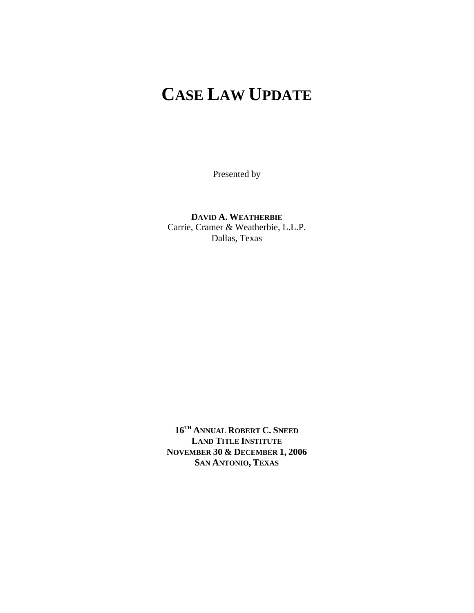# **CASE LAW UPDATE**

Presented by

**DAVID A. WEATHERBIE** Carrie, Cramer & Weatherbie, L.L.P. Dallas, Texas

**16TH ANNUAL ROBERT C. SNEED LAND TITLE INSTITUTE NOVEMBER 30 & DECEMBER 1, 2006 SAN ANTONIO, TEXAS**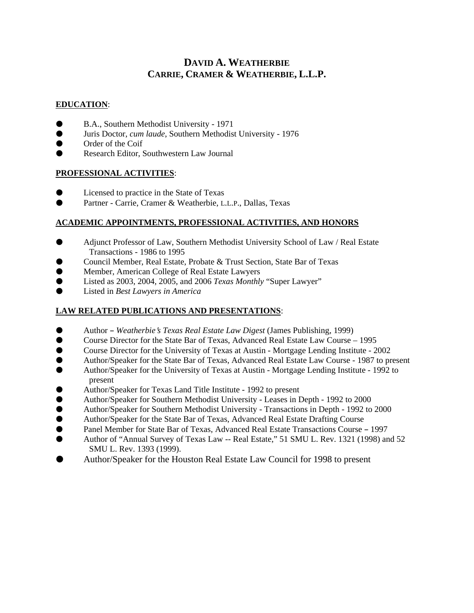## **DAVID A. WEATHERBIE CARRIE, CRAMER & WEATHERBIE, L.L.P.**

## **EDUCATION**:

- B.A., Southern Methodist University 1971
- M Juris Doctor, *cum laude*, Southern Methodist University 1976
- $\bullet$  Order of the Coif
- Research Editor, Southwestern Law Journal

## **PROFESSIONAL ACTIVITIES**:

- $\bullet$  Licensed to practice in the State of Texas
- **M Partner Carrie, Cramer & Weatherbie, L.L.P., Dallas, Texas**

### **ACADEMIC APPOINTMENTS, PROFESSIONAL ACTIVITIES, AND HONORS**

- **M Adjunct Professor of Law, Southern Methodist University School of Law / Real Estate** Transactions - 1986 to 1995
- Council Member, Real Estate, Probate & Trust Section, State Bar of Texas
- Member, American College of Real Estate Lawyers
- M Listed as 2003, 2004, 2005, and 2006 *Texas Monthly* "Super Lawyer"
- M Listed in *Best Lawyers in America*

## **LAW RELATED PUBLICATIONS AND PRESENTATIONS**:

- Author *Weatherbie's Texas Real Estate Law Digest* (James Publishing, 1999)
- Course Director for the State Bar of Texas, Advanced Real Estate Law Course 1995
- **O** Course Director for the University of Texas at Austin Mortgage Lending Institute 2002
- M Author/Speaker for the State Bar of Texas, Advanced Real Estate Law Course 1987 to present
- M Author/Speaker for the University of Texas at Austin Mortgage Lending Institute 1992 to present
- Author/Speaker for Texas Land Title Institute 1992 to present<br>● Author/Speaker for Southern Methodist University Leases in D
- Author/Speaker for Southern Methodist University Leases in Depth 1992 to 2000<br>● Author/Speaker for Southern Methodist University Transactions in Depth 1992 to
- M Author/Speaker for Southern Methodist University Transactions in Depth 1992 to 2000
- $\bullet$  Author/Speaker for the State Bar of Texas, Advanced Real Estate Drafting Course
- $\bullet$  Panel Member for State Bar of Texas, Advanced Real Estate Transactions Course 1997
- Author of "Annual Survey of Texas Law -- Real Estate," 51 SMU L. Rev. 1321 (1998) and 52 SMU L. Rev. 1393 (1999).
- Author/Speaker for the Houston Real Estate Law Council for 1998 to present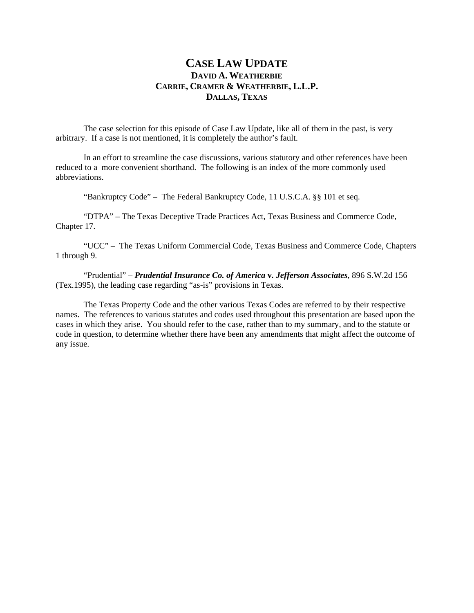## **CASE LAW UPDATE DAVID A. WEATHERBIE CARRIE, CRAMER & WEATHERBIE, L.L.P. DALLAS, TEXAS**

 The case selection for this episode of Case Law Update, like all of them in the past, is very arbitrary. If a case is not mentioned, it is completely the author's fault.

 In an effort to streamline the case discussions, various statutory and other references have been reduced to a more convenient shorthand. The following is an index of the more commonly used abbreviations.

"Bankruptcy Code" – The Federal Bankruptcy Code, 11 U.S.C.A. §§ 101 et seq.

 "DTPA" – The Texas Deceptive Trade Practices Act, Texas Business and Commerce Code, Chapter 17.

 "UCC" – The Texas Uniform Commercial Code, Texas Business and Commerce Code, Chapters 1 through 9.

"Prudential" – *Prudential Insurance Co. of America* **v***. Jefferson Associates*, 896 S.W.2d 156 (Tex.1995), the leading case regarding "as-is" provisions in Texas.

 The Texas Property Code and the other various Texas Codes are referred to by their respective names. The references to various statutes and codes used throughout this presentation are based upon the cases in which they arise. You should refer to the case, rather than to my summary, and to the statute or code in question, to determine whether there have been any amendments that might affect the outcome of any issue.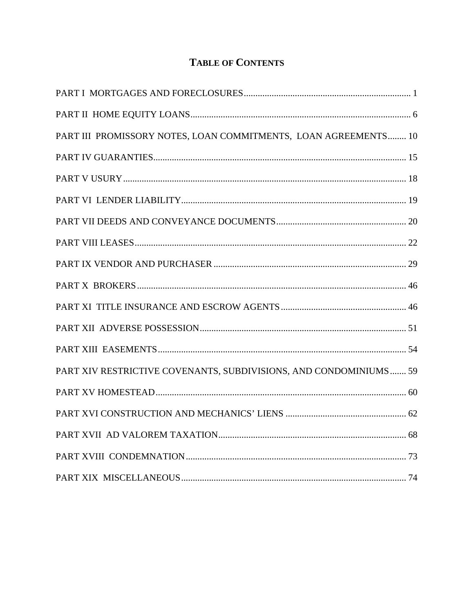# **TABLE OF CONTENTS**

| PART III PROMISSORY NOTES, LOAN COMMITMENTS, LOAN AGREEMENTS 10   |
|-------------------------------------------------------------------|
|                                                                   |
|                                                                   |
|                                                                   |
|                                                                   |
|                                                                   |
|                                                                   |
|                                                                   |
|                                                                   |
|                                                                   |
|                                                                   |
| PART XIV RESTRICTIVE COVENANTS, SUBDIVISIONS, AND CONDOMINIUMS 59 |
|                                                                   |
|                                                                   |
|                                                                   |
|                                                                   |
|                                                                   |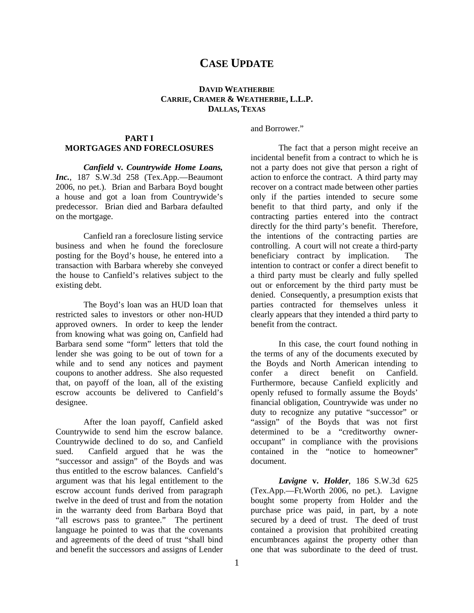## **CASE UPDATE**

#### **DAVID WEATHERBIE CARRIE, CRAMER & WEATHERBIE, L.L.P. DALLAS, TEXAS**

and Borrower."

#### **PART I MORTGAGES AND FORECLOSURES**

 *Canfield* **v***. Countrywide Home Loans, Inc.*, 187 S.W.3d 258 (Tex.App.—Beaumont 2006, no pet.). Brian and Barbara Boyd bought a house and got a loan from Countrywide's predecessor. Brian died and Barbara defaulted on the mortgage.

 Canfield ran a foreclosure listing service business and when he found the foreclosure posting for the Boyd's house, he entered into a transaction with Barbara whereby she conveyed the house to Canfield's relatives subject to the existing debt.

 The Boyd's loan was an HUD loan that restricted sales to investors or other non-HUD approved owners. In order to keep the lender from knowing what was going on, Canfield had Barbara send some "form" letters that told the lender she was going to be out of town for a while and to send any notices and payment coupons to another address. She also requested that, on payoff of the loan, all of the existing escrow accounts be delivered to Canfield's designee.

 After the loan payoff, Canfield asked Countrywide to send him the escrow balance. Countrywide declined to do so, and Canfield sued. Canfield argued that he was the "successor and assign" of the Boyds and was thus entitled to the escrow balances. Canfield's argument was that his legal entitlement to the escrow account funds derived from paragraph twelve in the deed of trust and from the notation in the warranty deed from Barbara Boyd that "all escrows pass to grantee." The pertinent language he pointed to was that the covenants and agreements of the deed of trust "shall bind and benefit the successors and assigns of Lender

 The fact that a person might receive an incidental benefit from a contract to which he is not a party does not give that person a right of action to enforce the contract. A third party may recover on a contract made between other parties only if the parties intended to secure some benefit to that third party, and only if the contracting parties entered into the contract directly for the third party's benefit. Therefore, the intentions of the contracting parties are controlling. A court will not create a third-party beneficiary contract by implication. The intention to contract or confer a direct benefit to a third party must be clearly and fully spelled out or enforcement by the third party must be denied. Consequently, a presumption exists that parties contracted for themselves unless it clearly appears that they intended a third party to benefit from the contract.

 In this case, the court found nothing in the terms of any of the documents executed by the Boyds and North American intending to confer a direct benefit on Canfield. Furthermore, because Canfield explicitly and openly refused to formally assume the Boyds' financial obligation, Countrywide was under no duty to recognize any putative "successor" or "assign" of the Boyds that was not first determined to be a "creditworthy owneroccupant" in compliance with the provisions contained in the "notice to homeowner" document.

*Lavigne* **v.** *Holder*, 186 S.W.3d 625 (Tex.App.—Ft.Worth 2006, no pet.). Lavigne bought some property from Holder and the purchase price was paid, in part, by a note secured by a deed of trust. The deed of trust contained a provision that prohibited creating encumbrances against the property other than one that was subordinate to the deed of trust.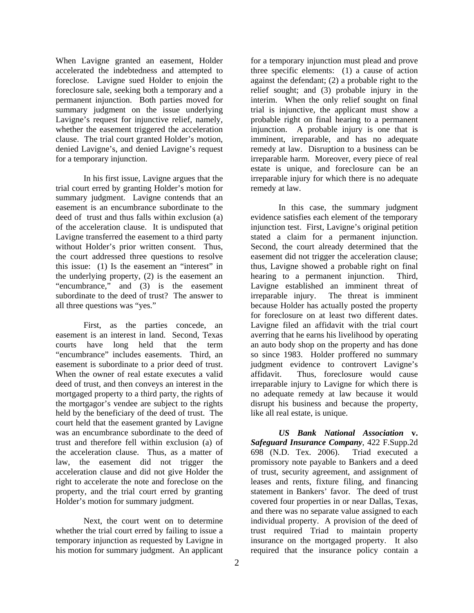When Lavigne granted an easement, Holder accelerated the indebtedness and attempted to foreclose. Lavigne sued Holder to enjoin the foreclosure sale, seeking both a temporary and a permanent injunction. Both parties moved for summary judgment on the issue underlying Lavigne's request for injunctive relief, namely, whether the easement triggered the acceleration clause. The trial court granted Holder's motion, denied Lavigne's, and denied Lavigne's request for a temporary injunction.

 In his first issue, Lavigne argues that the trial court erred by granting Holder's motion for summary judgment. Lavigne contends that an easement is an encumbrance subordinate to the deed of trust and thus falls within exclusion (a) of the acceleration clause. It is undisputed that Lavigne transferred the easement to a third party without Holder's prior written consent. Thus, the court addressed three questions to resolve this issue: (1) Is the easement an "interest" in the underlying property, (2) is the easement an "encumbrance," and (3) is the easement subordinate to the deed of trust? The answer to all three questions was "yes."

 First, as the parties concede, an easement is an interest in land. Second, Texas courts have long held that the term "encumbrance" includes easements. Third, an easement is subordinate to a prior deed of trust. When the owner of real estate executes a valid deed of trust, and then conveys an interest in the mortgaged property to a third party, the rights of the mortgagor's vendee are subject to the rights held by the beneficiary of the deed of trust. The court held that the easement granted by Lavigne was an encumbrance subordinate to the deed of trust and therefore fell within exclusion (a) of the acceleration clause. Thus, as a matter of law, the easement did not trigger the acceleration clause and did not give Holder the right to accelerate the note and foreclose on the property, and the trial court erred by granting Holder's motion for summary judgment.

 Next, the court went on to determine whether the trial court erred by failing to issue a temporary injunction as requested by Lavigne in his motion for summary judgment. An applicant

for a temporary injunction must plead and prove three specific elements: (1) a cause of action against the defendant; (2) a probable right to the relief sought; and (3) probable injury in the interim. When the only relief sought on final trial is injunctive, the applicant must show a probable right on final hearing to a permanent injunction. A probable injury is one that is imminent, irreparable, and has no adequate remedy at law. Disruption to a business can be irreparable harm. Moreover, every piece of real estate is unique, and foreclosure can be an irreparable injury for which there is no adequate remedy at law.

 In this case, the summary judgment evidence satisfies each element of the temporary injunction test. First, Lavigne's original petition stated a claim for a permanent injunction. Second, the court already determined that the easement did not trigger the acceleration clause; thus, Lavigne showed a probable right on final hearing to a permanent injunction. Third, Lavigne established an imminent threat of irreparable injury. The threat is imminent because Holder has actually posted the property for foreclosure on at least two different dates. Lavigne filed an affidavit with the trial court averring that he earns his livelihood by operating an auto body shop on the property and has done so since 1983. Holder proffered no summary judgment evidence to controvert Lavigne's affidavit. Thus, foreclosure would cause irreparable injury to Lavigne for which there is no adequate remedy at law because it would disrupt his business and because the property, like all real estate, is unique.

*US Bank National Association* **v.** *Safeguard Insurance Company*, 422 F.Supp.2d 698 (N.D. Tex. 2006). Triad executed a promissory note payable to Bankers and a deed of trust, security agreement, and assignment of leases and rents, fixture filing, and financing statement in Bankers' favor. The deed of trust covered four properties in or near Dallas, Texas, and there was no separate value assigned to each individual property. A provision of the deed of trust required Triad to maintain property insurance on the mortgaged property. It also required that the insurance policy contain a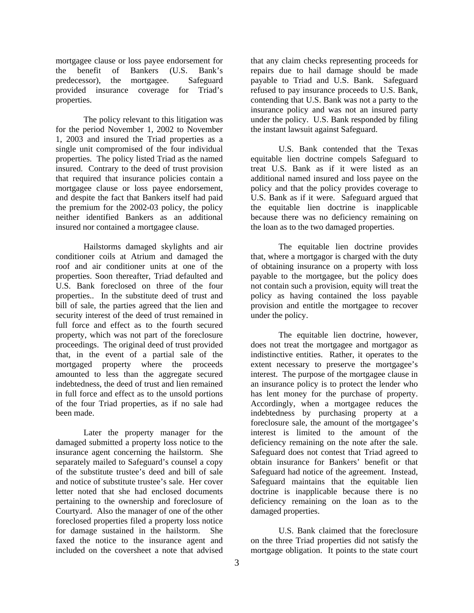mortgagee clause or loss payee endorsement for the benefit of Bankers (U.S. Bank's predecessor), the mortgagee. Safeguard provided insurance coverage for Triad's properties.

 The policy relevant to this litigation was for the period November 1, 2002 to November 1, 2003 and insured the Triad properties as a single unit compromised of the four individual properties. The policy listed Triad as the named insured. Contrary to the deed of trust provision that required that insurance policies contain a mortgagee clause or loss payee endorsement, and despite the fact that Bankers itself had paid the premium for the 2002-03 policy, the policy neither identified Bankers as an additional insured nor contained a mortgagee clause.

 Hailstorms damaged skylights and air conditioner coils at Atrium and damaged the roof and air conditioner units at one of the properties. Soon thereafter, Triad defaulted and U.S. Bank foreclosed on three of the four properties.. In the substitute deed of trust and bill of sale, the parties agreed that the lien and security interest of the deed of trust remained in full force and effect as to the fourth secured property, which was not part of the foreclosure proceedings. The original deed of trust provided that, in the event of a partial sale of the mortgaged property where the proceeds amounted to less than the aggregate secured indebtedness, the deed of trust and lien remained in full force and effect as to the unsold portions of the four Triad properties, as if no sale had been made.

 Later the property manager for the damaged submitted a property loss notice to the insurance agent concerning the hailstorm. She separately mailed to Safeguard's counsel a copy of the substitute trustee's deed and bill of sale and notice of substitute trustee's sale. Her cover letter noted that she had enclosed documents pertaining to the ownership and foreclosure of Courtyard. Also the manager of one of the other foreclosed properties filed a property loss notice for damage sustained in the hailstorm. She faxed the notice to the insurance agent and included on the coversheet a note that advised

that any claim checks representing proceeds for repairs due to hail damage should be made payable to Triad and U.S. Bank. Safeguard refused to pay insurance proceeds to U.S. Bank, contending that U.S. Bank was not a party to the insurance policy and was not an insured party under the policy. U.S. Bank responded by filing the instant lawsuit against Safeguard.

 U.S. Bank contended that the Texas equitable lien doctrine compels Safeguard to treat U.S. Bank as if it were listed as an additional named insured and loss payee on the policy and that the policy provides coverage to U.S. Bank as if it were. Safeguard argued that the equitable lien doctrine is inapplicable because there was no deficiency remaining on the loan as to the two damaged properties.

 The equitable lien doctrine provides that, where a mortgagor is charged with the duty of obtaining insurance on a property with loss payable to the mortgagee, but the policy does not contain such a provision, equity will treat the policy as having contained the loss payable provision and entitle the mortgagee to recover under the policy.

 The equitable lien doctrine, however, does not treat the mortgagee and mortgagor as indistinctive entities. Rather, it operates to the extent necessary to preserve the mortgagee's interest. The purpose of the mortgagee clause in an insurance policy is to protect the lender who has lent money for the purchase of property. Accordingly, when a mortgagee reduces the indebtedness by purchasing property at a foreclosure sale, the amount of the mortgagee's interest is limited to the amount of the deficiency remaining on the note after the sale. Safeguard does not contest that Triad agreed to obtain insurance for Bankers' benefit or that Safeguard had notice of the agreement. Instead, Safeguard maintains that the equitable lien doctrine is inapplicable because there is no deficiency remaining on the loan as to the damaged properties.

 U.S. Bank claimed that the foreclosure on the three Triad properties did not satisfy the mortgage obligation. It points to the state court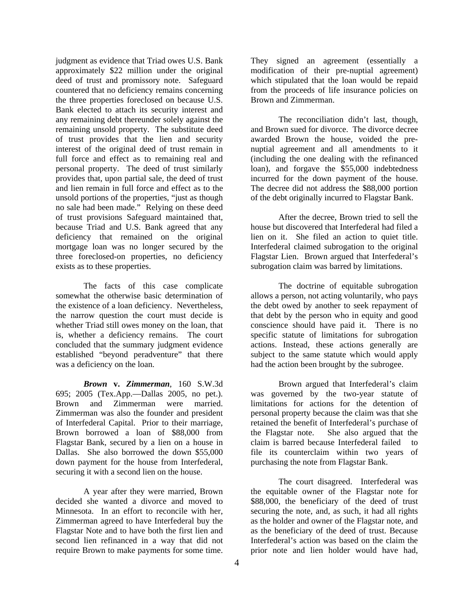judgment as evidence that Triad owes U.S. Bank approximately \$22 million under the original deed of trust and promissory note. Safeguard countered that no deficiency remains concerning the three properties foreclosed on because U.S. Bank elected to attach its security interest and any remaining debt thereunder solely against the remaining unsold property. The substitute deed of trust provides that the lien and security interest of the original deed of trust remain in full force and effect as to remaining real and personal property. The deed of trust similarly provides that, upon partial sale, the deed of trust and lien remain in full force and effect as to the unsold portions of the properties, "just as though no sale had been made." Relying on these deed of trust provisions Safeguard maintained that, because Triad and U.S. Bank agreed that any deficiency that remained on the original mortgage loan was no longer secured by the three foreclosed-on properties, no deficiency exists as to these properties.

 The facts of this case complicate somewhat the otherwise basic determination of the existence of a loan deficiency. Nevertheless, the narrow question the court must decide is whether Triad still owes money on the loan, that is, whether a deficiency remains. The court concluded that the summary judgment evidence established "beyond peradventure" that there was a deficiency on the loan.

*Brown* **v.** *Zimmerman*, 160 S.W.3d 695; 2005 (Tex.App.—Dallas 2005, no pet.). Brown and Zimmerman were married. Zimmerman was also the founder and president of Interfederal Capital. Prior to their marriage, Brown borrowed a loan of \$88,000 from Flagstar Bank, secured by a lien on a house in Dallas. She also borrowed the down \$55,000 down payment for the house from Interfederal, securing it with a second lien on the house.

A year after they were married, Brown decided she wanted a divorce and moved to Minnesota. In an effort to reconcile with her, Zimmerman agreed to have Interfederal buy the Flagstar Note and to have both the first lien and second lien refinanced in a way that did not require Brown to make payments for some time.

They signed an agreement (essentially a modification of their pre-nuptial agreement) which stipulated that the loan would be repaid from the proceeds of life insurance policies on Brown and Zimmerman.

The reconciliation didn't last, though, and Brown sued for divorce. The divorce decree awarded Brown the house, voided the prenuptial agreement and all amendments to it (including the one dealing with the refinanced loan), and forgave the \$55,000 indebtedness incurred for the down payment of the house. The decree did not address the \$88,000 portion of the debt originally incurred to Flagstar Bank.

After the decree, Brown tried to sell the house but discovered that Interfederal had filed a lien on it. She filed an action to quiet title. Interfederal claimed subrogation to the original Flagstar Lien. Brown argued that Interfederal's subrogation claim was barred by limitations.

The doctrine of equitable subrogation allows a person, not acting voluntarily, who pays the debt owed by another to seek repayment of that debt by the person who in equity and good conscience should have paid it. There is no specific statute of limitations for subrogation actions. Instead, these actions generally are subject to the same statute which would apply had the action been brought by the subrogee.

Brown argued that Interfederal's claim was governed by the two-year statute of limitations for actions for the detention of personal property because the claim was that she retained the benefit of Interfederal's purchase of the Flagstar note. She also argued that the claim is barred because Interfederal failed to file its counterclaim within two years of purchasing the note from Flagstar Bank.

The court disagreed. Interfederal was the equitable owner of the Flagstar note for \$88,000, the beneficiary of the deed of trust securing the note, and, as such, it had all rights as the holder and owner of the Flagstar note, and as the beneficiary of the deed of trust. Because Interfederal's action was based on the claim the prior note and lien holder would have had,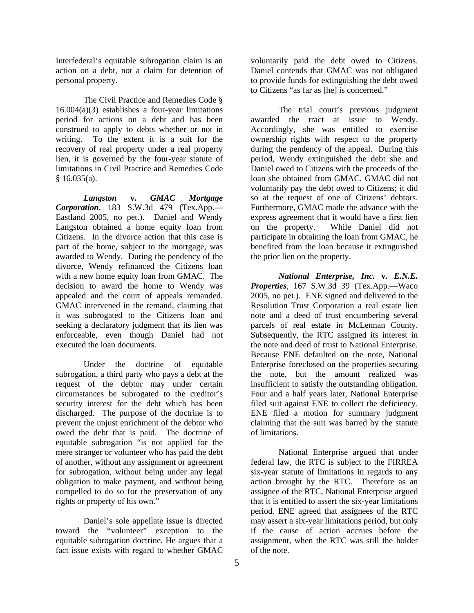Interfederal's equitable subrogation claim is an action on a debt, not a claim for detention of personal property.

The Civil Practice and Remedies Code § 16.004(a)(3) establishes a four-year limitations period for actions on a debt and has been construed to apply to debts whether or not in writing. To the extent it is a suit for the recovery of real property under a real property lien, it is governed by the four-year statute of limitations in Civil Practice and Remedies Code  $§ 16.035(a).$ 

*Langston* **v.** *GMAC Mortgage Corporation*, 183 S.W.3d 479 (Tex.App.— Eastland 2005, no pet.). Daniel and Wendy Langston obtained a home equity loan from Citizens. In the divorce action that this case is part of the home, subject to the mortgage, was awarded to Wendy. During the pendency of the divorce, Wendy refinanced the Citizens loan with a new home equity loan from GMAC. The decision to award the home to Wendy was appealed and the court of appeals remanded. GMAC intervened in the remand, claiming that it was subrogated to the Citizens loan and seeking a declaratory judgment that its lien was enforceable, even though Daniel had not executed the loan documents.

Under the doctrine of equitable subrogation, a third party who pays a debt at the request of the debtor may under certain circumstances be subrogated to the creditor's security interest for the debt which has been discharged. The purpose of the doctrine is to prevent the unjust enrichment of the debtor who owed the debt that is paid. The doctrine of equitable subrogation "is not applied for the mere stranger or volunteer who has paid the debt of another, without any assignment or agreement for subrogation, without being under any legal obligation to make payment, and without being compelled to do so for the preservation of any rights or property of his own."

Daniel's sole appellate issue is directed toward the "volunteer" exception to the equitable subrogation doctrine. He argues that a fact issue exists with regard to whether GMAC

voluntarily paid the debt owed to Citizens. Daniel contends that GMAC was not obligated to provide funds for extinguishing the debt owed to Citizens "as far as [he] is concerned."

The trial court's previous judgment awarded the tract at issue to Wendy. Accordingly, she was entitled to exercise ownership rights with respect to the property during the pendency of the appeal. During this period, Wendy extinguished the debt she and Daniel owed to Citizens with the proceeds of the loan she obtained from GMAC. GMAC did not voluntarily pay the debt owed to Citizens; it did so at the request of one of Citizens' debtors. Furthermore, GMAC made the advance with the express agreement that it would have a first lien on the property. While Daniel did not participate in obtaining the loan from GMAC, he benefited from the loan because it extinguished the prior lien on the property.

*National Enterprise, Inc.* **v***. E.N.E. Properties*, 167 S.W.3d 39 (Tex.App.—Waco 2005, no pet.). ENE signed and delivered to the Resolution Trust Corporation a real estate lien note and a deed of trust encumbering several parcels of real estate in McLennan County. Subsequently, the RTC assigned its interest in the note and deed of trust to National Enterprise. Because ENE defaulted on the note, National Enterprise foreclosed on the properties securing the note, but the amount realized was insufficient to satisfy the outstanding obligation. Four and a half years later, National Enterprise filed suit against ENE to collect the deficiency. ENE filed a motion for summary judgment claiming that the suit was barred by the statute of limitations.

National Enterprise argued that under federal law, the RTC is subject to the FIRREA six-year statute of limitations in regards to any action brought by the RTC. Therefore as an assignee of the RTC, National Enterprise argued that it is entitled to assert the six-year limitations period. ENE agreed that assignees of the RTC may assert a six-year limitations period, but only if the cause of action accrues before the assignment, when the RTC was still the holder of the note.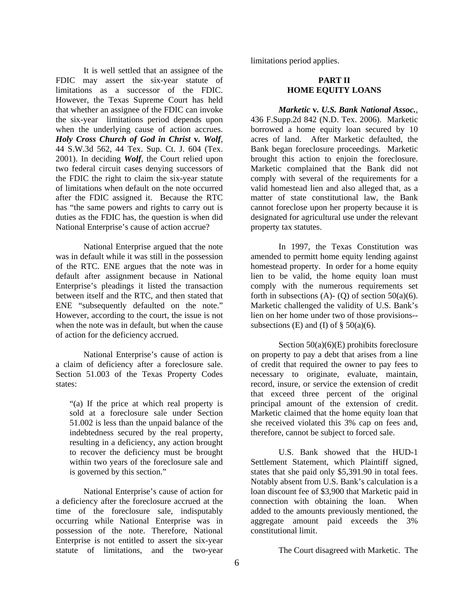It is well settled that an assignee of the FDIC may assert the six-year statute of limitations as a successor of the FDIC. However, the Texas Supreme Court has held that whether an assignee of the FDIC can invoke the six-year limitations period depends upon when the underlying cause of action accrues. *Holy Cross Church of God in Christ* **v***. Wolf*, 44 S.W.3d 562, 44 Tex. Sup. Ct. J. 604 (Tex. 2001). In deciding *Wolf*, the Court relied upon two federal circuit cases denying successors of the FDIC the right to claim the six-year statute of limitations when default on the note occurred after the FDIC assigned it. Because the RTC has "the same powers and rights to carry out is duties as the FDIC has, the question is when did National Enterprise's cause of action accrue?

National Enterprise argued that the note was in default while it was still in the possession of the RTC. ENE argues that the note was in default after assignment because in National Enterprise's pleadings it listed the transaction between itself and the RTC, and then stated that ENE "subsequently defaulted on the note." However, according to the court, the issue is not when the note was in default, but when the cause of action for the deficiency accrued.

National Enterprise's cause of action is a claim of deficiency after a foreclosure sale. Section 51.003 of the Texas Property Codes states:

"(a) If the price at which real property is sold at a foreclosure sale under Section 51.002 is less than the unpaid balance of the indebtedness secured by the real property, resulting in a deficiency, any action brought to recover the deficiency must be brought within two years of the foreclosure sale and is governed by this section."

National Enterprise's cause of action for a deficiency after the foreclosure accrued at the time of the foreclosure sale, indisputably occurring while National Enterprise was in possession of the note. Therefore, National Enterprise is not entitled to assert the six-year statute of limitations, and the two-year

limitations period applies.

#### **PART II HOME EQUITY LOANS**

*Marketic* **v***. U.S. Bank National Assoc.*, 436 F.Supp.2d 842 (N.D. Tex. 2006). Marketic borrowed a home equity loan secured by 10 acres of land. After Marketic defaulted, the Bank began foreclosure proceedings. Marketic brought this action to enjoin the foreclosure. Marketic complained that the Bank did not comply with several of the requirements for a valid homestead lien and also alleged that, as a matter of state constitutional law, the Bank cannot foreclose upon her property because it is designated for agricultural use under the relevant property tax statutes.

 In 1997, the Texas Constitution was amended to permitt home equity lending against homestead property. In order for a home equity lien to be valid, the home equity loan must comply with the numerous requirements set forth in subsections  $(A)$ -  $(O)$  of section  $50(a)(6)$ . Marketic challenged the validity of U.S. Bank's lien on her home under two of those provisions- subsections (E) and (I) of  $\S$  50(a)(6).

Section  $50(a)(6)(E)$  prohibits foreclosure on property to pay a debt that arises from a line of credit that required the owner to pay fees to necessary to originate, evaluate, maintain, record, insure, or service the extension of credit that exceed three percent of the original principal amount of the extension of credit. Marketic claimed that the home equity loan that she received violated this 3% cap on fees and, therefore, cannot be subject to forced sale.

 U.S. Bank showed that the HUD-1 Settlement Statement, which Plaintiff signed, states that she paid only \$5,391.90 in total fees. Notably absent from U.S. Bank's calculation is a loan discount fee of \$3,900 that Marketic paid in connection with obtaining the loan. When added to the amounts previously mentioned, the aggregate amount paid exceeds the 3% constitutional limit.

The Court disagreed with Marketic. The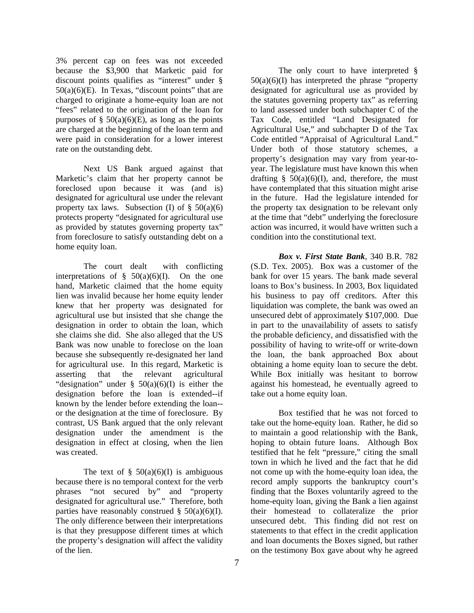3% percent cap on fees was not exceeded because the \$3,900 that Marketic paid for discount points qualifies as "interest" under §  $50(a)(6)(\overline{E})$ . In Texas, "discount points" that are charged to originate a home-equity loan are not "fees" related to the origination of the loan for purposes of §  $50(a)(6)(E)$ , as long as the points are charged at the beginning of the loan term and were paid in consideration for a lower interest rate on the outstanding debt.

 Next US Bank argued against that Marketic's claim that her property cannot be foreclosed upon because it was (and is) designated for agricultural use under the relevant property tax laws. Subsection (I) of  $\S$  50(a)(6) protects property "designated for agricultural use as provided by statutes governing property tax" from foreclosure to satisfy outstanding debt on a home equity loan.

 The court dealt with conflicting interpretations of  $\S$  50(a)(6)(I). On the one hand, Marketic claimed that the home equity lien was invalid because her home equity lender knew that her property was designated for agricultural use but insisted that she change the designation in order to obtain the loan, which she claims she did. She also alleged that the US Bank was now unable to foreclose on the loan because she subsequently re-designated her land for agricultural use. In this regard, Marketic is asserting that the relevant agricultural "designation" under  $\S$  50(a)(6)(I) is either the designation before the loan is extended--if known by the lender before extending the loan- or the designation at the time of foreclosure. By contrast, US Bank argued that the only relevant designation under the amendment is the designation in effect at closing, when the lien was created.

The text of  $\S$  50(a)(6)(I) is ambiguous because there is no temporal context for the verb phrases "not secured by" and "property designated for agricultural use." Therefore, both parties have reasonably construed  $\S$  50(a)(6)(I). The only difference between their interpretations is that they presuppose different times at which the property's designation will affect the validity of the lien.

The only court to have interpreted §  $50(a)(6)(I)$  has interpreted the phrase "property" designated for agricultural use as provided by the statutes governing property tax" as referring to land assessed under both subchapter C of the Tax Code, entitled "Land Designated for Agricultural Use," and subchapter D of the Tax Code entitled "Appraisal of Agricultural Land." Under both of those statutory schemes, a property's designation may vary from year-toyear. The legislature must have known this when drafting  $\S$  50(a)(6)(I), and, therefore, the must have contemplated that this situation might arise in the future. Had the legislature intended for the property tax designation to be relevant only at the time that "debt" underlying the foreclosure action was incurred, it would have written such a condition into the constitutional text.

*Box v. First State Bank*, 340 B.R. 782 (S.D. Tex. 2005). Box was a customer of the bank for over 15 years. The bank made several loans to Box's business. In 2003, Box liquidated his business to pay off creditors. After this liquidation was complete, the bank was owed an unsecured debt of approximately \$107,000. Due in part to the unavailability of assets to satisfy the probable deficiency, and dissatisfied with the possibility of having to write-off or write-down the loan, the bank approached Box about obtaining a home equity loan to secure the debt. While Box initially was hesitant to borrow against his homestead, he eventually agreed to take out a home equity loan.

Box testified that he was not forced to take out the home-equity loan. Rather, he did so to maintain a good relationship with the Bank, hoping to obtain future loans. Although Box testified that he felt "pressure," citing the small town in which he lived and the fact that he did not come up with the home-equity loan idea, the record amply supports the bankruptcy court's finding that the Boxes voluntarily agreed to the home-equity loan, giving the Bank a lien against their homestead to collateralize the prior unsecured debt. This finding did not rest on statements to that effect in the credit application and loan documents the Boxes signed, but rather on the testimony Box gave about why he agreed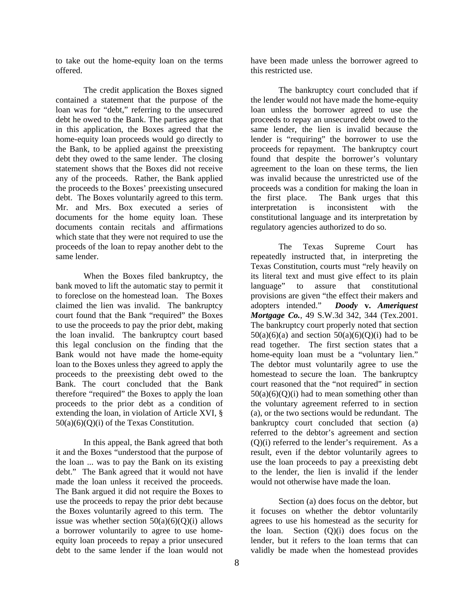to take out the home-equity loan on the terms offered.

The credit application the Boxes signed contained a statement that the purpose of the loan was for "debt," referring to the unsecured debt he owed to the Bank. The parties agree that in this application, the Boxes agreed that the home-equity loan proceeds would go directly to the Bank, to be applied against the preexisting debt they owed to the same lender. The closing statement shows that the Boxes did not receive any of the proceeds. Rather, the Bank applied the proceeds to the Boxes' preexisting unsecured debt. The Boxes voluntarily agreed to this term. Mr. and Mrs. Box executed a series of documents for the home equity loan. These documents contain recitals and affirmations which state that they were not required to use the proceeds of the loan to repay another debt to the same lender.

When the Boxes filed bankruptcy, the bank moved to lift the automatic stay to permit it to foreclose on the homestead loan. The Boxes claimed the lien was invalid. The bankruptcy court found that the Bank "required" the Boxes to use the proceeds to pay the prior debt, making the loan invalid. The bankruptcy court based this legal conclusion on the finding that the Bank would not have made the home-equity loan to the Boxes unless they agreed to apply the proceeds to the preexisting debt owed to the Bank. The court concluded that the Bank therefore "required" the Boxes to apply the loan proceeds to the prior debt as a condition of extending the loan, in violation of Article XVI, §  $50(a)(6)(O)(i)$  of the Texas Constitution.

In this appeal, the Bank agreed that both it and the Boxes "understood that the purpose of the loan ... was to pay the Bank on its existing debt." The Bank agreed that it would not have made the loan unless it received the proceeds. The Bank argued it did not require the Boxes to use the proceeds to repay the prior debt because the Boxes voluntarily agreed to this term. The issue was whether section  $50(a)(6)(O)(i)$  allows a borrower voluntarily to agree to use homeequity loan proceeds to repay a prior unsecured debt to the same lender if the loan would not

have been made unless the borrower agreed to this restricted use.

The bankruptcy court concluded that if the lender would not have made the home-equity loan unless the borrower agreed to use the proceeds to repay an unsecured debt owed to the same lender, the lien is invalid because the lender is "requiring" the borrower to use the proceeds for repayment. The bankruptcy court found that despite the borrower's voluntary agreement to the loan on these terms, the lien was invalid because the unrestricted use of the proceeds was a condition for making the loan in the first place. The Bank urges that this interpretation is inconsistent with the constitutional language and its interpretation by regulatory agencies authorized to do so.

The Texas Supreme Court has repeatedly instructed that, in interpreting the Texas Constitution, courts must "rely heavily on its literal text and must give effect to its plain language" to assure that constitutional provisions are given "the effect their makers and adopters intended." *Doody* **v.** *Ameriquest Mortgage Co.*, 49 S.W.3d 342, 344 (Tex.2001. The bankruptcy court properly noted that section  $50(a)(6)(a)$  and section  $50(a)(6)(Q)(i)$  had to be read together. The first section states that a home-equity loan must be a "voluntary lien." The debtor must voluntarily agree to use the homestead to secure the loan. The bankruptcy court reasoned that the "not required" in section  $50(a)(6)(Q)(i)$  had to mean something other than the voluntary agreement referred to in section (a), or the two sections would be redundant. The bankruptcy court concluded that section (a) referred to the debtor's agreement and section (Q)(i) referred to the lender's requirement. As a result, even if the debtor voluntarily agrees to use the loan proceeds to pay a preexisting debt to the lender, the lien is invalid if the lender would not otherwise have made the loan.

Section (a) does focus on the debtor, but it focuses on whether the debtor voluntarily agrees to use his homestead as the security for the loan. Section  $(Q)(i)$  does focus on the lender, but it refers to the loan terms that can validly be made when the homestead provides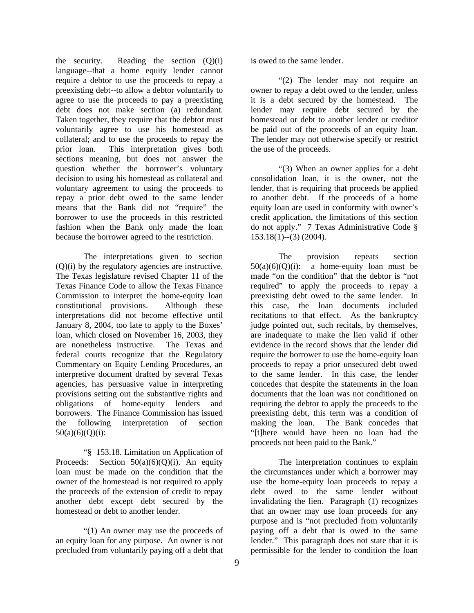the security. Reading the section  $(Q)(i)$ language--that a home equity lender cannot require a debtor to use the proceeds to repay a preexisting debt--to allow a debtor voluntarily to agree to use the proceeds to pay a preexisting debt does not make section (a) redundant. Taken together, they require that the debtor must voluntarily agree to use his homestead as collateral; and to use the proceeds to repay the prior loan. This interpretation gives both sections meaning, but does not answer the question whether the borrower's voluntary decision to using his homestead as collateral and voluntary agreement to using the proceeds to repay a prior debt owed to the same lender means that the Bank did not "require" the borrower to use the proceeds in this restricted fashion when the Bank only made the loan because the borrower agreed to the restriction.

The interpretations given to section (Q)(i) by the regulatory agencies are instructive. The Texas legislature revised Chapter 11 of the Texas Finance Code to allow the Texas Finance Commission to interpret the home-equity loan constitutional provisions. Although these interpretations did not become effective until January 8, 2004, too late to apply to the Boxes' loan, which closed on November 16, 2003, they are nonetheless instructive. The Texas and federal courts recognize that the Regulatory Commentary on Equity Lending Procedures, an interpretive document drafted by several Texas agencies, has persuasive value in interpreting provisions setting out the substantive rights and obligations of home-equity lenders and borrowers. The Finance Commission has issued the following interpretation of section  $50(a)(6)(Q)(i)$ :

"§ 153.18. Limitation on Application of Proceeds: Section  $50(a)(6)(Q)(i)$ . An equity loan must be made on the condition that the owner of the homestead is not required to apply the proceeds of the extension of credit to repay another debt except debt secured by the homestead or debt to another lender.

"(1) An owner may use the proceeds of an equity loan for any purpose. An owner is not precluded from voluntarily paying off a debt that

is owed to the same lender.

"(2) The lender may not require an owner to repay a debt owed to the lender, unless it is a debt secured by the homestead. The lender may require debt secured by the homestead or debt to another lender or creditor be paid out of the proceeds of an equity loan. The lender may not otherwise specify or restrict the use of the proceeds.

"(3) When an owner applies for a debt consolidation loan, it is the owner, not the lender, that is requiring that proceeds be applied to another debt. If the proceeds of a home equity loan are used in conformity with owner's credit application, the limitations of this section do not apply." 7 Texas Administrative Code § 153.18(1)--(3) (2004).

The provision repeats section  $50(a)(6)(Q)(i)$ : a home-equity loan must be made "on the condition" that the debtor is "not required" to apply the proceeds to repay a preexisting debt owed to the same lender. In this case, the loan documents included recitations to that effect. As the bankruptcy judge pointed out, such recitals, by themselves, are inadequate to make the lien valid if other evidence in the record shows that the lender did require the borrower to use the home-equity loan proceeds to repay a prior unsecured debt owed to the same lender. In this case, the lender concedes that despite the statements in the loan documents that the loan was not conditioned on requiring the debtor to apply the proceeds to the preexisting debt, this term was a condition of making the loan. The Bank concedes that "[t]here would have been no loan had the proceeds not been paid to the Bank."

The interpretation continues to explain the circumstances under which a borrower may use the home-equity loan proceeds to repay a debt owed to the same lender without invalidating the lien. Paragraph (1) recognizes that an owner may use loan proceeds for any purpose and is "not precluded from voluntarily paying off a debt that is owed to the same lender." This paragraph does not state that it is permissible for the lender to condition the loan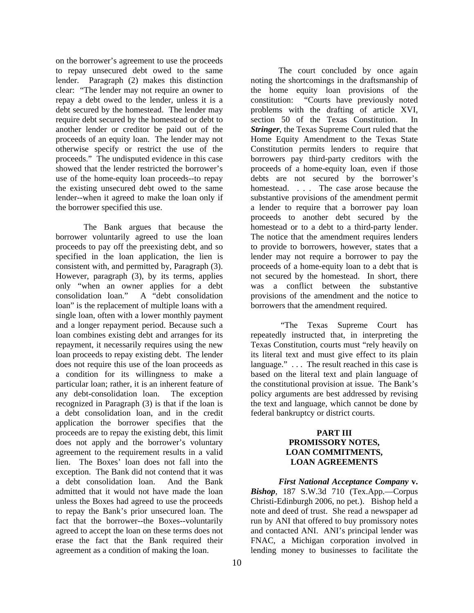on the borrower's agreement to use the proceeds to repay unsecured debt owed to the same lender. Paragraph (2) makes this distinction clear: "The lender may not require an owner to repay a debt owed to the lender, unless it is a debt secured by the homestead. The lender may require debt secured by the homestead or debt to another lender or creditor be paid out of the proceeds of an equity loan. The lender may not otherwise specify or restrict the use of the proceeds." The undisputed evidence in this case showed that the lender restricted the borrower's use of the home-equity loan proceeds--to repay the existing unsecured debt owed to the same lender--when it agreed to make the loan only if the borrower specified this use.

The Bank argues that because the borrower voluntarily agreed to use the loan proceeds to pay off the preexisting debt, and so specified in the loan application, the lien is consistent with, and permitted by, Paragraph (3). However, paragraph (3), by its terms, applies only "when an owner applies for a debt consolidation loan." A "debt consolidation loan" is the replacement of multiple loans with a single loan, often with a lower monthly payment and a longer repayment period. Because such a loan combines existing debt and arranges for its repayment, it necessarily requires using the new loan proceeds to repay existing debt. The lender does not require this use of the loan proceeds as a condition for its willingness to make a particular loan; rather, it is an inherent feature of any debt-consolidation loan. The exception recognized in Paragraph (3) is that if the loan is a debt consolidation loan, and in the credit application the borrower specifies that the proceeds are to repay the existing debt, this limit does not apply and the borrower's voluntary agreement to the requirement results in a valid lien. The Boxes' loan does not fall into the exception. The Bank did not contend that it was a debt consolidation loan. And the Bank admitted that it would not have made the loan unless the Boxes had agreed to use the proceeds to repay the Bank's prior unsecured loan. The fact that the borrower--the Boxes--voluntarily agreed to accept the loan on these terms does not erase the fact that the Bank required their agreement as a condition of making the loan.

10

The court concluded by once again noting the shortcomings in the draftsmanship of the home equity loan provisions of the constitution: "Courts have previously noted problems with the drafting of article XVI, section 50 of the Texas Constitution. In *Stringer*, the Texas Supreme Court ruled that the Home Equity Amendment to the Texas State Constitution permits lenders to require that borrowers pay third-party creditors with the proceeds of a home-equity loan, even if those debts are not secured by the borrower's homestead. . . . The case arose because the substantive provisions of the amendment permit a lender to require that a borrower pay loan proceeds to another debt secured by the homestead or to a debt to a third-party lender. The notice that the amendment requires lenders to provide to borrowers, however, states that a lender may not require a borrower to pay the proceeds of a home-equity loan to a debt that is not secured by the homestead. In short, there was a conflict between the substantive provisions of the amendment and the notice to borrowers that the amendment required.

 "The Texas Supreme Court has repeatedly instructed that, in interpreting the Texas Constitution, courts must "rely heavily on its literal text and must give effect to its plain language." . . . The result reached in this case is based on the literal text and plain language of the constitutional provision at issue. The Bank's policy arguments are best addressed by revising the text and language, which cannot be done by federal bankruptcy or district courts.

#### **PART III PROMISSORY NOTES, LOAN COMMITMENTS, LOAN AGREEMENTS**

*First National Acceptance Company* **v.** *Bishop*, 187 S.W.3d 710 (Tex.App.—Corpus Christi-Edinburgh 2006, no pet.). Bishop held a note and deed of trust. She read a newspaper ad run by ANI that offered to buy promissory notes and contacted ANI. ANI's principal lender was FNAC, a Michigan corporation involved in lending money to businesses to facilitate the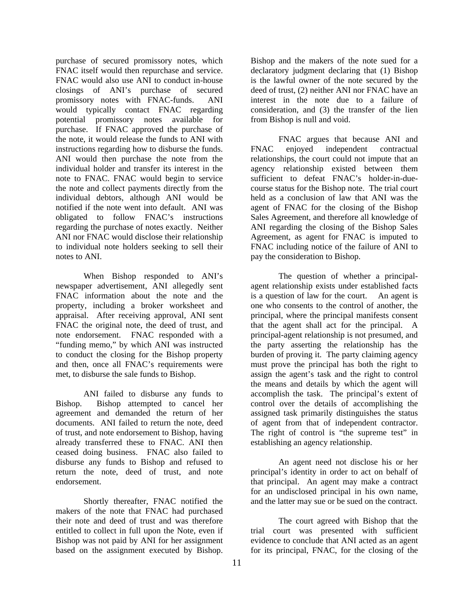purchase of secured promissory notes, which FNAC itself would then repurchase and service. FNAC would also use ANI to conduct in-house closings of ANI's purchase of secured promissory notes with FNAC-funds. ANI would typically contact FNAC regarding potential promissory notes available for purchase. If FNAC approved the purchase of the note, it would release the funds to ANI with instructions regarding how to disburse the funds. ANI would then purchase the note from the individual holder and transfer its interest in the note to FNAC. FNAC would begin to service the note and collect payments directly from the individual debtors, although ANI would be notified if the note went into default. ANI was obligated to follow FNAC's instructions regarding the purchase of notes exactly. Neither ANI nor FNAC would disclose their relationship to individual note holders seeking to sell their notes to ANI.

 When Bishop responded to ANI's newspaper advertisement, ANI allegedly sent FNAC information about the note and the property, including a broker worksheet and appraisal. After receiving approval, ANI sent FNAC the original note, the deed of trust, and note endorsement. FNAC responded with a "funding memo," by which ANI was instructed to conduct the closing for the Bishop property and then, once all FNAC's requirements were met, to disburse the sale funds to Bishop.

 ANI failed to disburse any funds to Bishop. Bishop attempted to cancel her agreement and demanded the return of her documents. ANI failed to return the note, deed of trust, and note endorsement to Bishop, having already transferred these to FNAC. ANI then ceased doing business. FNAC also failed to disburse any funds to Bishop and refused to return the note, deed of trust, and note endorsement.

 Shortly thereafter, FNAC notified the makers of the note that FNAC had purchased their note and deed of trust and was therefore entitled to collect in full upon the Note, even if Bishop was not paid by ANI for her assignment based on the assignment executed by Bishop.

Bishop and the makers of the note sued for a declaratory judgment declaring that (1) Bishop is the lawful owner of the note secured by the deed of trust, (2) neither ANI nor FNAC have an interest in the note due to a failure of consideration, and (3) the transfer of the lien from Bishop is null and void.

 FNAC argues that because ANI and FNAC enjoyed independent contractual relationships, the court could not impute that an agency relationship existed between them sufficient to defeat FNAC's holder-in-duecourse status for the Bishop note. The trial court held as a conclusion of law that ANI was the agent of FNAC for the closing of the Bishop Sales Agreement, and therefore all knowledge of ANI regarding the closing of the Bishop Sales Agreement, as agent for FNAC is imputed to FNAC including notice of the failure of ANI to pay the consideration to Bishop.

 The question of whether a principalagent relationship exists under established facts is a question of law for the court. An agent is one who consents to the control of another, the principal, where the principal manifests consent that the agent shall act for the principal. A principal-agent relationship is not presumed, and the party asserting the relationship has the burden of proving it. The party claiming agency must prove the principal has both the right to assign the agent's task and the right to control the means and details by which the agent will accomplish the task. The principal's extent of control over the details of accomplishing the assigned task primarily distinguishes the status of agent from that of independent contractor. The right of control is "the supreme test" in establishing an agency relationship.

 An agent need not disclose his or her principal's identity in order to act on behalf of that principal. An agent may make a contract for an undisclosed principal in his own name, and the latter may sue or be sued on the contract.

 The court agreed with Bishop that the trial court was presented with sufficient evidence to conclude that ANI acted as an agent for its principal, FNAC, for the closing of the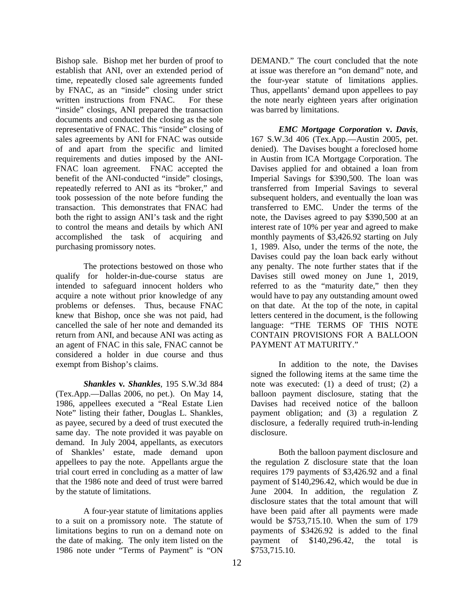Bishop sale. Bishop met her burden of proof to establish that ANI, over an extended period of time, repeatedly closed sale agreements funded by FNAC, as an "inside" closing under strict written instructions from FNAC. For these "inside" closings, ANI prepared the transaction documents and conducted the closing as the sole representative of FNAC. This "inside" closing of sales agreements by ANI for FNAC was outside of and apart from the specific and limited requirements and duties imposed by the ANI-FNAC loan agreement. FNAC accepted the benefit of the ANI-conducted "inside" closings, repeatedly referred to ANI as its "broker," and took possession of the note before funding the transaction. This demonstrates that FNAC had both the right to assign ANI's task and the right to control the means and details by which ANI accomplished the task of acquiring and purchasing promissory notes.

 The protections bestowed on those who qualify for holder-in-due-course status are intended to safeguard innocent holders who acquire a note without prior knowledge of any problems or defenses. Thus, because FNAC knew that Bishop, once she was not paid, had cancelled the sale of her note and demanded its return from ANI, and because ANI was acting as an agent of FNAC in this sale, FNAC cannot be considered a holder in due course and thus exempt from Bishop's claims.

*Shankles* **v***. Shankles*, 195 S.W.3d 884 (Tex.App.—Dallas 2006, no pet.). On May 14, 1986, appellees executed a "Real Estate Lien Note" listing their father, Douglas L. Shankles, as payee, secured by a deed of trust executed the same day. The note provided it was payable on demand. In July 2004, appellants, as executors of Shankles' estate, made demand upon appellees to pay the note. Appellants argue the trial court erred in concluding as a matter of law that the 1986 note and deed of trust were barred by the statute of limitations.

 A four-year statute of limitations applies to a suit on a promissory note. The statute of limitations begins to run on a demand note on the date of making. The only item listed on the 1986 note under "Terms of Payment" is "ON

DEMAND." The court concluded that the note at issue was therefore an "on demand" note, and the four-year statute of limitations applies. Thus, appellants' demand upon appellees to pay the note nearly eighteen years after origination was barred by limitations.

*EMC Mortgage Corporation* **v.** *Davis*, 167 S.W.3d 406 (Tex.App.—Austin 2005, pet. denied). The Davises bought a foreclosed home in Austin from ICA Mortgage Corporation. The Davises applied for and obtained a loan from Imperial Savings for \$390,500. The loan was transferred from Imperial Savings to several subsequent holders, and eventually the loan was transferred to EMC. Under the terms of the note, the Davises agreed to pay \$390,500 at an interest rate of 10% per year and agreed to make monthly payments of \$3,426.92 starting on July 1, 1989. Also, under the terms of the note, the Davises could pay the loan back early without any penalty. The note further states that if the Davises still owed money on June 1, 2019, referred to as the "maturity date," then they would have to pay any outstanding amount owed on that date. At the top of the note, in capital letters centered in the document, is the following language: "THE TERMS OF THIS NOTE CONTAIN PROVISIONS FOR A BALLOON PAYMENT AT MATURITY."

In addition to the note, the Davises signed the following items at the same time the note was executed: (1) a deed of trust; (2) a balloon payment disclosure, stating that the Davises had received notice of the balloon payment obligation; and (3) a regulation Z disclosure, a federally required truth-in-lending disclosure.

 Both the balloon payment disclosure and the regulation Z disclosure state that the loan requires 179 payments of \$3,426.92 and a final payment of \$140,296.42, which would be due in June 2004. In addition, the regulation Z disclosure states that the total amount that will have been paid after all payments were made would be \$753,715.10. When the sum of 179 payments of \$3426.92 is added to the final payment of \$140,296.42, the total is \$753,715.10.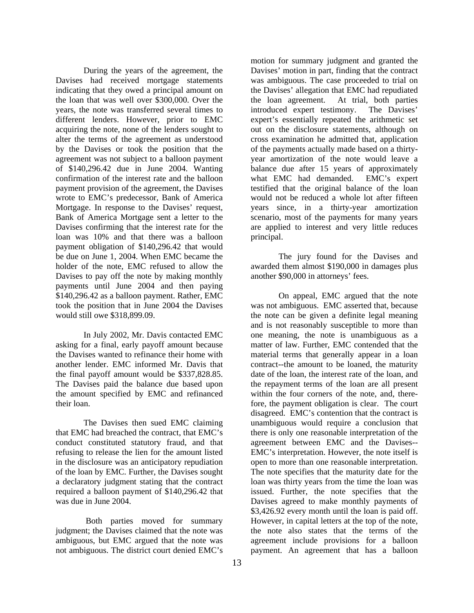During the years of the agreement, the Davises had received mortgage statements indicating that they owed a principal amount on the loan that was well over \$300,000. Over the years, the note was transferred several times to different lenders. However, prior to EMC acquiring the note, none of the lenders sought to alter the terms of the agreement as understood by the Davises or took the position that the agreement was not subject to a balloon payment of \$140,296.42 due in June 2004. Wanting confirmation of the interest rate and the balloon payment provision of the agreement, the Davises wrote to EMC's predecessor, Bank of America Mortgage. In response to the Davises' request, Bank of America Mortgage sent a letter to the Davises confirming that the interest rate for the loan was 10% and that there was a balloon payment obligation of \$140,296.42 that would be due on June 1, 2004. When EMC became the holder of the note, EMC refused to allow the Davises to pay off the note by making monthly payments until June 2004 and then paying \$140,296.42 as a balloon payment. Rather, EMC took the position that in June 2004 the Davises would still owe \$318,899.09.

In July 2002, Mr. Davis contacted EMC asking for a final, early payoff amount because the Davises wanted to refinance their home with another lender. EMC informed Mr. Davis that the final payoff amount would be \$337,828.85. The Davises paid the balance due based upon the amount specified by EMC and refinanced their loan.

The Davises then sued EMC claiming that EMC had breached the contract, that EMC's conduct constituted statutory fraud, and that refusing to release the lien for the amount listed in the disclosure was an anticipatory repudiation of the loan by EMC. Further, the Davises sought a declaratory judgment stating that the contract required a balloon payment of \$140,296.42 that was due in June 2004.

 Both parties moved for summary judgment; the Davises claimed that the note was ambiguous, but EMC argued that the note was not ambiguous. The district court denied EMC's

motion for summary judgment and granted the Davises' motion in part, finding that the contract was ambiguous. The case proceeded to trial on the Davises' allegation that EMC had repudiated the loan agreement. At trial, both parties introduced expert testimony. The Davises' expert's essentially repeated the arithmetic set out on the disclosure statements, although on cross examination he admitted that, application of the payments actually made based on a thirtyyear amortization of the note would leave a balance due after 15 years of approximately what EMC had demanded. EMC's expert testified that the original balance of the loan would not be reduced a whole lot after fifteen years since, in a thirty-year amortization scenario, most of the payments for many years are applied to interest and very little reduces principal.

The jury found for the Davises and awarded them almost \$190,000 in damages plus another \$90,000 in attorneys' fees.

On appeal, EMC argued that the note was not ambiguous. EMC asserted that, because the note can be given a definite legal meaning and is not reasonably susceptible to more than one meaning, the note is unambiguous as a matter of law. Further, EMC contended that the material terms that generally appear in a loan contract--the amount to be loaned, the maturity date of the loan, the interest rate of the loan, and the repayment terms of the loan are all present within the four corners of the note, and, therefore, the payment obligation is clear. The court disagreed. EMC's contention that the contract is unambiguous would require a conclusion that there is only one reasonable interpretation of the agreement between EMC and the Davises-- EMC's interpretation. However, the note itself is open to more than one reasonable interpretation. The note specifies that the maturity date for the loan was thirty years from the time the loan was issued. Further, the note specifies that the Davises agreed to make monthly payments of \$3,426.92 every month until the loan is paid off. However, in capital letters at the top of the note, the note also states that the terms of the agreement include provisions for a balloon payment. An agreement that has a balloon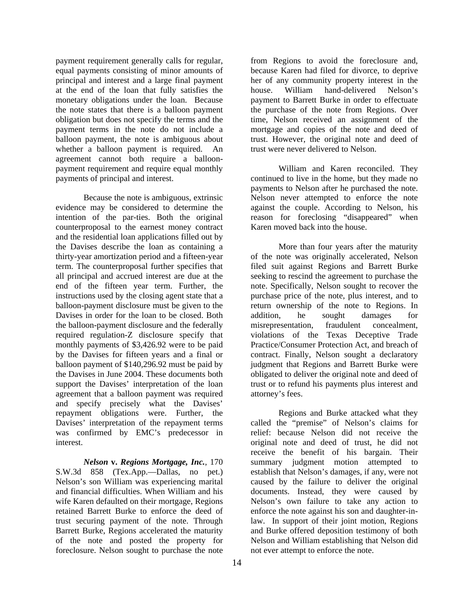payment requirement generally calls for regular, equal payments consisting of minor amounts of principal and interest and a large final payment at the end of the loan that fully satisfies the monetary obligations under the loan. Because the note states that there is a balloon payment obligation but does not specify the terms and the payment terms in the note do not include a balloon payment, the note is ambiguous about whether a balloon payment is required. An agreement cannot both require a balloonpayment requirement and require equal monthly payments of principal and interest.

Because the note is ambiguous, extrinsic evidence may be considered to determine the intention of the par-ties. Both the original counterproposal to the earnest money contract and the residential loan applications filled out by the Davises describe the loan as containing a thirty-year amortization period and a fifteen-year term. The counterproposal further specifies that all principal and accrued interest are due at the end of the fifteen year term. Further, the instructions used by the closing agent state that a balloon-payment disclosure must be given to the Davises in order for the loan to be closed. Both the balloon-payment disclosure and the federally required regulation-Z disclosure specify that monthly payments of \$3,426.92 were to be paid by the Davises for fifteen years and a final or balloon payment of \$140,296.92 must be paid by the Davises in June 2004. These documents both support the Davises' interpretation of the loan agreement that a balloon payment was required and specify precisely what the Davises' repayment obligations were. Further, the Davises' interpretation of the repayment terms was confirmed by EMC's predecessor in interest.

*Nelson* **v.** *Regions Mortgage, Inc.*, 170 S.W.3d 858 (Tex.App.—Dallas, no pet.) Nelson's son William was experiencing marital and financial difficulties. When William and his wife Karen defaulted on their mortgage, Regions retained Barrett Burke to enforce the deed of trust securing payment of the note. Through Barrett Burke, Regions accelerated the maturity of the note and posted the property for foreclosure. Nelson sought to purchase the note

from Regions to avoid the foreclosure and, because Karen had filed for divorce, to deprive her of any community property interest in the house. William hand-delivered Nelson's payment to Barrett Burke in order to effectuate the purchase of the note from Regions. Over time, Nelson received an assignment of the mortgage and copies of the note and deed of trust. However, the original note and deed of trust were never delivered to Nelson.

William and Karen reconciled. They continued to live in the home, but they made no payments to Nelson after he purchased the note. Nelson never attempted to enforce the note against the couple. According to Nelson, his reason for foreclosing "disappeared" when Karen moved back into the house.

More than four years after the maturity of the note was originally accelerated, Nelson filed suit against Regions and Barrett Burke seeking to rescind the agreement to purchase the note. Specifically, Nelson sought to recover the purchase price of the note, plus interest, and to return ownership of the note to Regions. In addition, he sought damages for misrepresentation, fraudulent concealment, violations of the Texas Deceptive Trade Practice/Consumer Protection Act, and breach of contract. Finally, Nelson sought a declaratory judgment that Regions and Barrett Burke were obligated to deliver the original note and deed of trust or to refund his payments plus interest and attorney's fees.

Regions and Burke attacked what they called the "premise" of Nelson's claims for relief: because Nelson did not receive the original note and deed of trust, he did not receive the benefit of his bargain. Their summary judgment motion attempted to establish that Nelson's damages, if any, were not caused by the failure to deliver the original documents. Instead, they were caused by Nelson's own failure to take any action to enforce the note against his son and daughter-inlaw. In support of their joint motion, Regions and Burke offered deposition testimony of both Nelson and William establishing that Nelson did not ever attempt to enforce the note.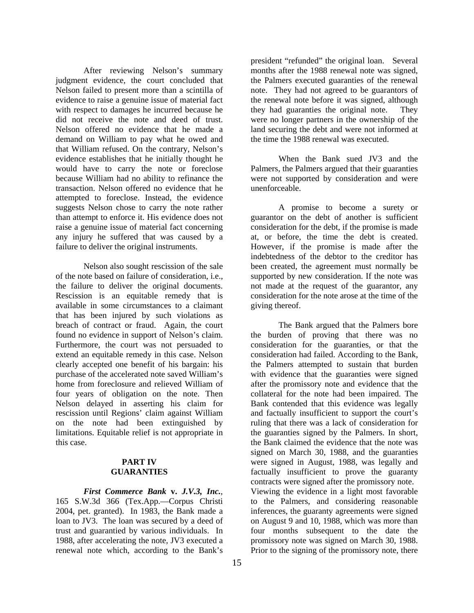After reviewing Nelson's summary judgment evidence, the court concluded that Nelson failed to present more than a scintilla of evidence to raise a genuine issue of material fact with respect to damages he incurred because he did not receive the note and deed of trust. Nelson offered no evidence that he made a demand on William to pay what he owed and that William refused. On the contrary, Nelson's evidence establishes that he initially thought he would have to carry the note or foreclose because William had no ability to refinance the transaction. Nelson offered no evidence that he attempted to foreclose. Instead, the evidence suggests Nelson chose to carry the note rather than attempt to enforce it. His evidence does not raise a genuine issue of material fact concerning any injury he suffered that was caused by a failure to deliver the original instruments.

Nelson also sought rescission of the sale of the note based on failure of consideration, i.e., the failure to deliver the original documents. Rescission is an equitable remedy that is available in some circumstances to a claimant that has been injured by such violations as breach of contract or fraud. Again, the court found no evidence in support of Nelson's claim. Furthermore, the court was not persuaded to extend an equitable remedy in this case. Nelson clearly accepted one benefit of his bargain: his purchase of the accelerated note saved William's home from foreclosure and relieved William of four years of obligation on the note. Then Nelson delayed in asserting his claim for rescission until Regions' claim against William on the note had been extinguished by limitations. Equitable relief is not appropriate in this case.

#### **PART IV GUARANTIES**

*First Commerce Bank* **v.** *J.V.3, Inc.*, 165 S.W.3d 366 (Tex.App.—Corpus Christi 2004, pet. granted). In 1983, the Bank made a loan to JV3. The loan was secured by a deed of trust and guarantied by various individuals. In 1988, after accelerating the note, JV3 executed a renewal note which, according to the Bank's

president "refunded" the original loan. Several months after the 1988 renewal note was signed, the Palmers executed guaranties of the renewal note. They had not agreed to be guarantors of the renewal note before it was signed, although they had guaranties the original note. They were no longer partners in the ownership of the land securing the debt and were not informed at the time the 1988 renewal was executed.

When the Bank sued JV3 and the Palmers, the Palmers argued that their guaranties were not supported by consideration and were unenforceable.

A promise to become a surety or guarantor on the debt of another is sufficient consideration for the debt, if the promise is made at, or before, the time the debt is created. However, if the promise is made after the indebtedness of the debtor to the creditor has been created, the agreement must normally be supported by new consideration. If the note was not made at the request of the guarantor, any consideration for the note arose at the time of the giving thereof.

The Bank argued that the Palmers bore the burden of proving that there was no consideration for the guaranties, or that the consideration had failed. According to the Bank, the Palmers attempted to sustain that burden with evidence that the guaranties were signed after the promissory note and evidence that the collateral for the note had been impaired. The Bank contended that this evidence was legally and factually insufficient to support the court's ruling that there was a lack of consideration for the guaranties signed by the Palmers. In short, the Bank claimed the evidence that the note was signed on March 30, 1988, and the guaranties were signed in August, 1988, was legally and factually insufficient to prove the guaranty contracts were signed after the promissory note. Viewing the evidence in a light most favorable to the Palmers, and considering reasonable inferences, the guaranty agreements were signed on August 9 and 10, 1988, which was more than four months subsequent to the date the promissory note was signed on March 30, 1988. Prior to the signing of the promissory note, there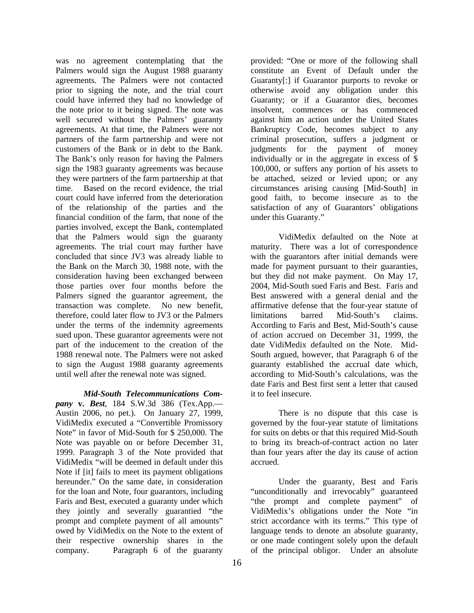was no agreement contemplating that the Palmers would sign the August 1988 guaranty agreements. The Palmers were not contacted prior to signing the note, and the trial court could have inferred they had no knowledge of the note prior to it being signed. The note was well secured without the Palmers' guaranty agreements. At that time, the Palmers were not partners of the farm partnership and were not customers of the Bank or in debt to the Bank. The Bank's only reason for having the Palmers sign the 1983 guaranty agreements was because they were partners of the farm partnership at that time. Based on the record evidence, the trial court could have inferred from the deterioration of the relationship of the parties and the financial condition of the farm, that none of the parties involved, except the Bank, contemplated that the Palmers would sign the guaranty agreements. The trial court may further have concluded that since JV3 was already liable to the Bank on the March 30, 1988 note, with the consideration having been exchanged between those parties over four months before the Palmers signed the guarantor agreement, the transaction was complete. No new benefit, therefore, could later flow to JV3 or the Palmers under the terms of the indemnity agreements sued upon. These guarantor agreements were not part of the inducement to the creation of the 1988 renewal note. The Palmers were not asked to sign the August 1988 guaranty agreements until well after the renewal note was signed.

*Mid-South Telecommunications Company* **v.** *Best*, 184 S.W.3d 386 (Tex.App.— Austin 2006, no pet.). On January 27, 1999, VidiMedix executed a "Convertible Promissory Note" in favor of Mid-South for \$ 250,000. The Note was payable on or before December 31, 1999. Paragraph 3 of the Note provided that VidiMedix "will be deemed in default under this Note if [it] fails to meet its payment obligations hereunder." On the same date, in consideration for the loan and Note, four guarantors, including Faris and Best, executed a guaranty under which they jointly and severally guarantied "the prompt and complete payment of all amounts" owed by VidiMedix on the Note to the extent of their respective ownership shares in the company. Paragraph 6 of the guaranty

provided: "One or more of the following shall constitute an Event of Default under the Guaranty[:] if Guarantor purports to revoke or otherwise avoid any obligation under this Guaranty; or if a Guarantor dies, becomes insolvent, commences or has commenced against him an action under the United States Bankruptcy Code, becomes subject to any criminal prosecution, suffers a judgment or judgments for the payment of money individually or in the aggregate in excess of \$ 100,000, or suffers any portion of his assets to be attached, seized or levied upon; or any circumstances arising causing [Mid-South] in good faith, to become insecure as to the satisfaction of any of Guarantors' obligations under this Guaranty."

 VidiMedix defaulted on the Note at maturity. There was a lot of correspondence with the guarantors after initial demands were made for payment pursuant to their guaranties, but they did not make payment. On May 17, 2004, Mid-South sued Faris and Best. Faris and Best answered with a general denial and the affirmative defense that the four-year statute of limitations barred Mid-South's claims. According to Faris and Best, Mid-South's cause of action accrued on December 31, 1999, the date VidiMedix defaulted on the Note. Mid-South argued, however, that Paragraph 6 of the guaranty established the accrual date which, according to Mid-South's calculations, was the date Faris and Best first sent a letter that caused it to feel insecure.

 There is no dispute that this case is governed by the four-year statute of limitations for suits on debts or that this required Mid-South to bring its breach-of-contract action no later than four years after the day its cause of action accrued.

Under the guaranty, Best and Faris "unconditionally and irrevocably" guaranteed "the prompt and complete payment" of VidiMedix's obligations under the Note "in strict accordance with its terms." This type of language tends to denote an absolute guaranty, or one made contingent solely upon the default of the principal obligor. Under an absolute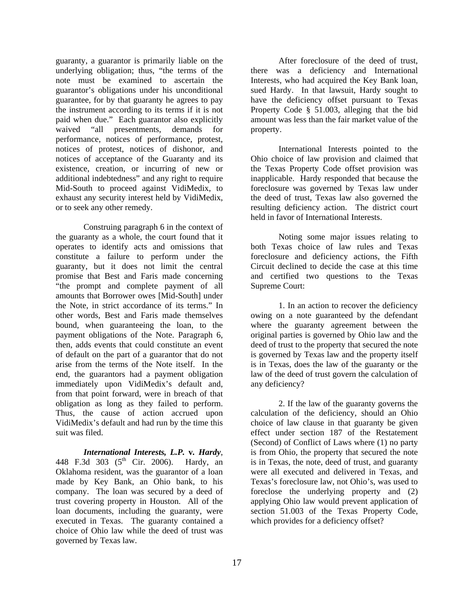guaranty, a guarantor is primarily liable on the underlying obligation; thus, "the terms of the note must be examined to ascertain the guarantor's obligations under his unconditional guarantee, for by that guaranty he agrees to pay the instrument according to its terms if it is not paid when due." Each guarantor also explicitly waived "all presentments, demands for performance, notices of performance, protest, notices of protest, notices of dishonor, and notices of acceptance of the Guaranty and its existence, creation, or incurring of new or additional indebtedness" and any right to require Mid-South to proceed against VidiMedix, to exhaust any security interest held by VidiMedix, or to seek any other remedy.

Construing paragraph 6 in the context of the guaranty as a whole, the court found that it operates to identify acts and omissions that constitute a failure to perform under the guaranty, but it does not limit the central promise that Best and Faris made concerning "the prompt and complete payment of all amounts that Borrower owes [Mid-South] under the Note, in strict accordance of its terms." In other words, Best and Faris made themselves bound, when guaranteeing the loan, to the payment obligations of the Note. Paragraph 6, then, adds events that could constitute an event of default on the part of a guarantor that do not arise from the terms of the Note itself. In the end, the guarantors had a payment obligation immediately upon VidiMedix's default and, from that point forward, were in breach of that obligation as long as they failed to perform. Thus, the cause of action accrued upon VidiMedix's default and had run by the time this suit was filed.

*International Interests, L.P.* **v***. Hardy*, 448 F.3d 303 (5<sup>th</sup> Cir. 2006). Hardy, an Oklahoma resident, was the guarantor of a loan made by Key Bank, an Ohio bank, to his company. The loan was secured by a deed of trust covering property in Houston. All of the loan documents, including the guaranty, were executed in Texas. The guaranty contained a choice of Ohio law while the deed of trust was governed by Texas law.

 After foreclosure of the deed of trust, there was a deficiency and International Interests, who had acquired the Key Bank loan, sued Hardy. In that lawsuit, Hardy sought to have the deficiency offset pursuant to Texas Property Code § 51.003, alleging that the bid amount was less than the fair market value of the property.

 International Interests pointed to the Ohio choice of law provision and claimed that the Texas Property Code offset provision was inapplicable. Hardy responded that because the foreclosure was governed by Texas law under the deed of trust, Texas law also governed the resulting deficiency action. The district court held in favor of International Interests.

 Noting some major issues relating to both Texas choice of law rules and Texas foreclosure and deficiency actions, the Fifth Circuit declined to decide the case at this time and certified two questions to the Texas Supreme Court:

 1. In an action to recover the deficiency owing on a note guaranteed by the defendant where the guaranty agreement between the original parties is governed by Ohio law and the deed of trust to the property that secured the note is governed by Texas law and the property itself is in Texas, does the law of the guaranty or the law of the deed of trust govern the calculation of any deficiency?

 2. If the law of the guaranty governs the calculation of the deficiency, should an Ohio choice of law clause in that guaranty be given effect under section 187 of the Restatement (Second) of Conflict of Laws where (1) no party is from Ohio, the property that secured the note is in Texas, the note, deed of trust, and guaranty were all executed and delivered in Texas, and Texas's foreclosure law, not Ohio's, was used to foreclose the underlying property and (2) applying Ohio law would prevent application of section 51.003 of the Texas Property Code, which provides for a deficiency offset?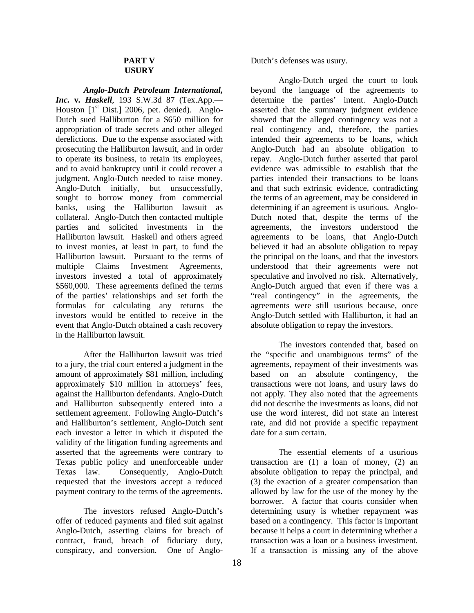#### **PART V USURY**

*Anglo-Dutch Petroleum International, Inc.* **v***. Haskell*, 193 S.W.3d 87 (Tex.App.— Houston  $[1<sup>st</sup> Dist.]$  2006, pet. denied). Anglo-Dutch sued Halliburton for a \$650 million for appropriation of trade secrets and other alleged derelictions. Due to the expense associated with prosecuting the Halliburton lawsuit, and in order to operate its business, to retain its employees, and to avoid bankruptcy until it could recover a judgment, Anglo-Dutch needed to raise money. Anglo-Dutch initially, but unsuccessfully, sought to borrow money from commercial banks, using the Halliburton lawsuit as collateral. Anglo-Dutch then contacted multiple parties and solicited investments in the Halliburton lawsuit. Haskell and others agreed to invest monies, at least in part, to fund the Halliburton lawsuit. Pursuant to the terms of multiple Claims Investment Agreements, investors invested a total of approximately \$560,000. These agreements defined the terms of the parties' relationships and set forth the formulas for calculating any returns the investors would be entitled to receive in the event that Anglo-Dutch obtained a cash recovery in the Halliburton lawsuit.

 After the Halliburton lawsuit was tried to a jury, the trial court entered a judgment in the amount of approximately \$81 million, including approximately \$10 million in attorneys' fees, against the Halliburton defendants. Anglo-Dutch and Halliburton subsequently entered into a settlement agreement. Following Anglo-Dutch's and Halliburton's settlement, Anglo-Dutch sent each investor a letter in which it disputed the validity of the litigation funding agreements and asserted that the agreements were contrary to Texas public policy and unenforceable under Texas law. Consequently, Anglo-Dutch requested that the investors accept a reduced payment contrary to the terms of the agreements.

 The investors refused Anglo-Dutch's offer of reduced payments and filed suit against Anglo-Dutch, asserting claims for breach of contract, fraud, breach of fiduciary duty, conspiracy, and conversion. One of AngloDutch's defenses was usury.

 Anglo-Dutch urged the court to look beyond the language of the agreements to determine the parties' intent. Anglo-Dutch asserted that the summary judgment evidence showed that the alleged contingency was not a real contingency and, therefore, the parties intended their agreements to be loans, which Anglo-Dutch had an absolute obligation to repay. Anglo-Dutch further asserted that parol evidence was admissible to establish that the parties intended their transactions to be loans and that such extrinsic evidence, contradicting the terms of an agreement, may be considered in determining if an agreement is usurious. Anglo-Dutch noted that, despite the terms of the agreements, the investors understood the agreements to be loans, that Anglo-Dutch believed it had an absolute obligation to repay the principal on the loans, and that the investors understood that their agreements were not speculative and involved no risk. Alternatively, Anglo-Dutch argued that even if there was a "real contingency" in the agreements, the agreements were still usurious because, once Anglo-Dutch settled with Halliburton, it had an absolute obligation to repay the investors.

 The investors contended that, based on the "specific and unambiguous terms" of the agreements, repayment of their investments was based on an absolute contingency, the transactions were not loans, and usury laws do not apply. They also noted that the agreements did not describe the investments as loans, did not use the word interest, did not state an interest rate, and did not provide a specific repayment date for a sum certain.

 The essential elements of a usurious transaction are  $(1)$  a loan of money,  $(2)$  an absolute obligation to repay the principal, and (3) the exaction of a greater compensation than allowed by law for the use of the money by the borrower. A factor that courts consider when determining usury is whether repayment was based on a contingency. This factor is important because it helps a court in determining whether a transaction was a loan or a business investment. If a transaction is missing any of the above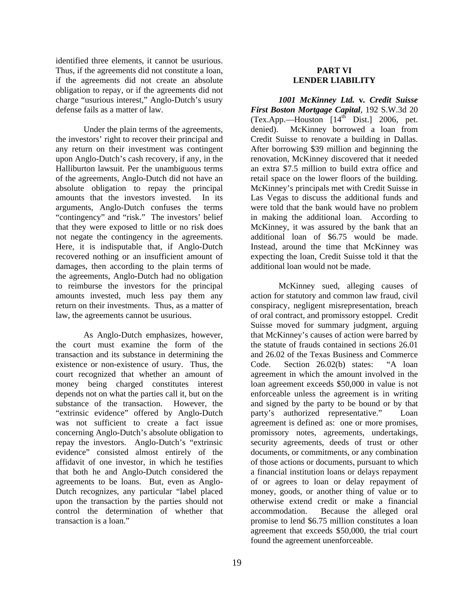identified three elements, it cannot be usurious. Thus, if the agreements did not constitute a loan, if the agreements did not create an absolute obligation to repay, or if the agreements did not charge "usurious interest," Anglo-Dutch's usury defense fails as a matter of law.

 Under the plain terms of the agreements, the investors' right to recover their principal and any return on their investment was contingent upon Anglo-Dutch's cash recovery, if any, in the Halliburton lawsuit. Per the unambiguous terms of the agreements, Anglo-Dutch did not have an absolute obligation to repay the principal amounts that the investors invested. In its arguments, Anglo-Dutch confuses the terms "contingency" and "risk." The investors' belief that they were exposed to little or no risk does not negate the contingency in the agreements. Here, it is indisputable that, if Anglo-Dutch recovered nothing or an insufficient amount of damages, then according to the plain terms of the agreements, Anglo-Dutch had no obligation to reimburse the investors for the principal amounts invested, much less pay them any return on their investments. Thus, as a matter of law, the agreements cannot be usurious.

 As Anglo-Dutch emphasizes, however, the court must examine the form of the transaction and its substance in determining the existence or non-existence of usury. Thus, the court recognized that whether an amount of money being charged constitutes interest depends not on what the parties call it, but on the substance of the transaction. However, the "extrinsic evidence" offered by Anglo-Dutch was not sufficient to create a fact issue concerning Anglo-Dutch's absolute obligation to repay the investors. Anglo-Dutch's "extrinsic evidence" consisted almost entirely of the affidavit of one investor, in which he testifies that both he and Anglo-Dutch considered the agreements to be loans. But, even as Anglo-Dutch recognizes, any particular "label placed upon the transaction by the parties should not control the determination of whether that transaction is a loan."

#### **PART VI LENDER LIABILITY**

*1001 McKinney Ltd.* **v***. Credit Suisse First Boston Mortgage Capital*, 192 S.W.3d 20  $(Tex. App. - Houston [14<sup>th</sup> Dist.]$  2006, pet. denied). McKinney borrowed a loan from Credit Suisse to renovate a building in Dallas. After borrowing \$39 million and beginning the renovation, McKinney discovered that it needed an extra \$7.5 million to build extra office and retail space on the lower floors of the building. McKinney's principals met with Credit Suisse in Las Vegas to discuss the additional funds and were told that the bank would have no problem in making the additional loan. According to McKinney, it was assured by the bank that an additional loan of \$6.75 would be made. Instead, around the time that McKinney was expecting the loan, Credit Suisse told it that the additional loan would not be made.

 McKinney sued, alleging causes of action for statutory and common law fraud, civil conspiracy, negligent misrepresentation, breach of oral contract, and promissory estoppel. Credit Suisse moved for summary judgment, arguing that McKinney's causes of action were barred by the statute of frauds contained in sections 26.01 and 26.02 of the Texas Business and Commerce Code. Section 26.02(b) states: "A loan agreement in which the amount involved in the loan agreement exceeds \$50,000 in value is not enforceable unless the agreement is in writing and signed by the party to be bound or by that party's authorized representative." Loan agreement is defined as: one or more promises, promissory notes, agreements, undertakings, security agreements, deeds of trust or other documents, or commitments, or any combination of those actions or documents, pursuant to which a financial institution loans or delays repayment of or agrees to loan or delay repayment of money, goods, or another thing of value or to otherwise extend credit or make a financial accommodation. Because the alleged oral promise to lend \$6.75 million constitutes a loan agreement that exceeds \$50,000, the trial court found the agreement unenforceable.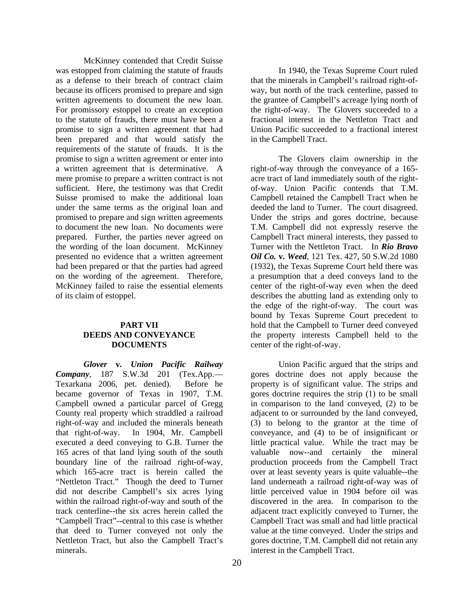McKinney contended that Credit Suisse was estopped from claiming the statute of frauds as a defense to their breach of contract claim because its officers promised to prepare and sign written agreements to document the new loan. For promissory estoppel to create an exception to the statute of frauds, there must have been a promise to sign a written agreement that had been prepared and that would satisfy the requirements of the statute of frauds. It is the promise to sign a written agreement or enter into a written agreement that is determinative. A mere promise to prepare a written contract is not sufficient. Here, the testimony was that Credit Suisse promised to make the additional loan under the same terms as the original loan and promised to prepare and sign written agreements to document the new loan. No documents were prepared. Further, the parties never agreed on the wording of the loan document. McKinney presented no evidence that a written agreement had been prepared or that the parties had agreed on the wording of the agreement. Therefore, McKinney failed to raise the essential elements of its claim of estoppel.

#### **PART VII DEEDS AND CONVEYANCE DOCUMENTS**

*Glover* **v***. Union Pacific Railway Company*, 187 S.W.3d 201 (Tex.App.— Texarkana 2006, pet. denied). Before he became governor of Texas in 1907, T.M. Campbell owned a particular parcel of Gregg County real property which straddled a railroad right-of-way and included the minerals beneath that right-of-way. In 1904, Mr. Campbell executed a deed conveying to G.B. Turner the 165 acres of that land lying south of the south boundary line of the railroad right-of-way, which 165-acre tract is herein called the "Nettleton Tract." Though the deed to Turner did not describe Campbell's six acres lying within the railroad right-of-way and south of the track centerline--the six acres herein called the "Campbell Tract"--central to this case is whether that deed to Turner conveyed not only the Nettleton Tract, but also the Campbell Tract's minerals.

20

 In 1940, the Texas Supreme Court ruled that the minerals in Campbell's railroad right-ofway, but north of the track centerline, passed to the grantee of Campbell's acreage lying north of the right-of-way. The Glovers succeeded to a fractional interest in the Nettleton Tract and Union Pacific succeeded to a fractional interest in the Campbell Tract.

 The Glovers claim ownership in the right-of-way through the conveyance of a 165 acre tract of land immediately south of the rightof-way. Union Pacific contends that T.M. Campbell retained the Campbell Tract when he deeded the land to Turner. The court disagreed. Under the strips and gores doctrine, because T.M. Campbell did not expressly reserve the Campbell Tract mineral interests, they passed to Turner with the Nettleton Tract. In *Rio Bravo Oil Co.* **v***. Weed*, 121 Tex. 427, 50 S.W.2d 1080 (1932), the Texas Supreme Court held there was a presumption that a deed conveys land to the center of the right-of-way even when the deed describes the abutting land as extending only to the edge of the right-of-way. The court was bound by Texas Supreme Court precedent to hold that the Campbell to Turner deed conveyed the property interests Campbell held to the center of the right-of-way.

 Union Pacific argued that the strips and gores doctrine does not apply because the property is of significant value. The strips and gores doctrine requires the strip (1) to be small in comparison to the land conveyed, (2) to be adjacent to or surrounded by the land conveyed, (3) to belong to the grantor at the time of conveyance, and (4) to be of insignificant or little practical value. While the tract may be valuable now--and certainly the mineral production proceeds from the Campbell Tract over at least seventy years is quite valuable--the land underneath a railroad right-of-way was of little perceived value in 1904 before oil was discovered in the area. In comparison to the adjacent tract explicitly conveyed to Turner, the Campbell Tract was small and had little practical value at the time conveyed. Under the strips and gores doctrine, T.M. Campbell did not retain any interest in the Campbell Tract.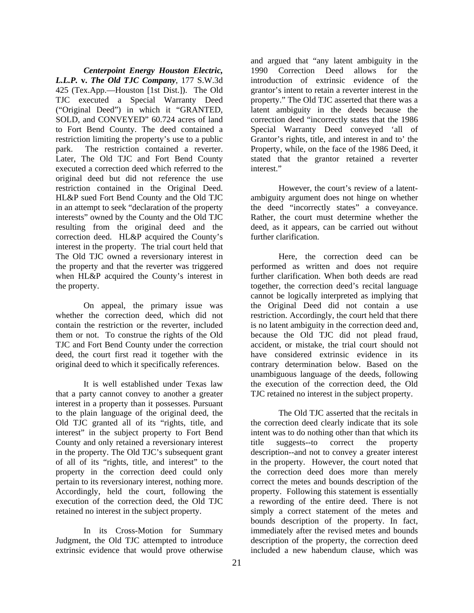*Centerpoint Energy Houston Electric, L.L.P.* **v.** *The Old TJC Company*, 177 S.W.3d 425 (Tex.App.—Houston [1st Dist.]). The Old TJC executed a Special Warranty Deed ("Original Deed") in which it "GRANTED, SOLD, and CONVEYED" 60.724 acres of land to Fort Bend County. The deed contained a restriction limiting the property's use to a public park. The restriction contained a reverter. Later, The Old TJC and Fort Bend County executed a correction deed which referred to the original deed but did not reference the use restriction contained in the Original Deed. HL&P sued Fort Bend County and the Old TJC in an attempt to seek "declaration of the property interests" owned by the County and the Old TJC resulting from the original deed and the correction deed. HL&P acquired the County's interest in the property. The trial court held that The Old TJC owned a reversionary interest in the property and that the reverter was triggered when HL&P acquired the County's interest in the property.

On appeal, the primary issue was whether the correction deed, which did not contain the restriction or the reverter, included them or not. To construe the rights of the Old TJC and Fort Bend County under the correction deed, the court first read it together with the original deed to which it specifically references.

It is well established under Texas law that a party cannot convey to another a greater interest in a property than it possesses. Pursuant to the plain language of the original deed, the Old TJC granted all of its "rights, title, and interest" in the subject property to Fort Bend County and only retained a reversionary interest in the property. The Old TJC's subsequent grant of all of its "rights, title, and interest" to the property in the correction deed could only pertain to its reversionary interest, nothing more. Accordingly, held the court, following the execution of the correction deed, the Old TJC retained no interest in the subject property.

In its Cross-Motion for Summary Judgment, the Old TJC attempted to introduce extrinsic evidence that would prove otherwise

and argued that "any latent ambiguity in the 1990 Correction Deed allows for the introduction of extrinsic evidence of the grantor's intent to retain a reverter interest in the property." The Old TJC asserted that there was a latent ambiguity in the deeds because the correction deed "incorrectly states that the 1986 Special Warranty Deed conveyed 'all of Grantor's rights, title, and interest in and to' the Property, while, on the face of the 1986 Deed, it stated that the grantor retained a reverter interest."

However, the court's review of a latentambiguity argument does not hinge on whether the deed "incorrectly states" a conveyance. Rather, the court must determine whether the deed, as it appears, can be carried out without further clarification.

Here, the correction deed can be performed as written and does not require further clarification. When both deeds are read together, the correction deed's recital language cannot be logically interpreted as implying that the Original Deed did not contain a use restriction. Accordingly, the court held that there is no latent ambiguity in the correction deed and, because the Old TJC did not plead fraud, accident, or mistake, the trial court should not have considered extrinsic evidence in its contrary determination below. Based on the unambiguous language of the deeds, following the execution of the correction deed, the Old TJC retained no interest in the subject property.

The Old TJC asserted that the recitals in the correction deed clearly indicate that its sole intent was to do nothing other than that which its title suggests--to correct the property description--and not to convey a greater interest in the property. However, the court noted that the correction deed does more than merely correct the metes and bounds description of the property. Following this statement is essentially a rewording of the entire deed. There is not simply a correct statement of the metes and bounds description of the property. In fact, immediately after the revised metes and bounds description of the property, the correction deed included a new habendum clause, which was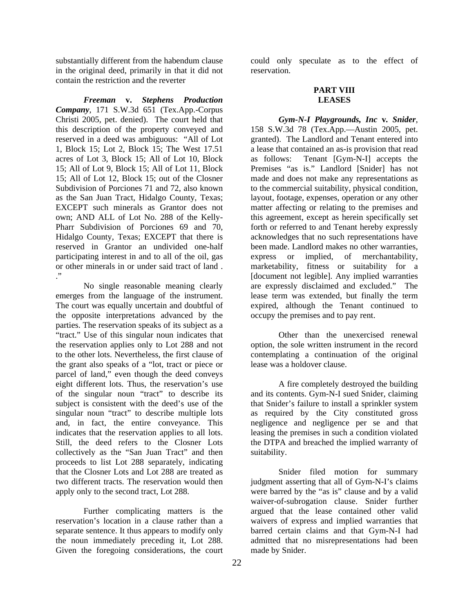substantially different from the habendum clause in the original deed, primarily in that it did not contain the restriction and the reverter

*Freeman* **v.** *Stephens Production Company*, 171 S.W.3d 651 (Tex.App.-Corpus Christi 2005, pet. denied). The court held that this description of the property conveyed and reserved in a deed was ambiguous: "All of Lot 1, Block 15; Lot 2, Block 15; The West 17.51 acres of Lot 3, Block 15; All of Lot 10, Block 15; All of Lot 9, Block 15; All of Lot 11, Block 15; All of Lot 12, Block 15; out of the Closner Subdivision of Porciones 71 and 72, also known as the San Juan Tract, Hidalgo County, Texas; EXCEPT such minerals as Grantor does not own; AND ALL of Lot No. 288 of the Kelly-Pharr Subdivision of Porciones 69 and 70, Hidalgo County, Texas; EXCEPT that there is reserved in Grantor an undivided one-half participating interest in and to all of the oil, gas or other minerals in or under said tract of land . ."

No single reasonable meaning clearly emerges from the language of the instrument. The court was equally uncertain and doubtful of the opposite interpretations advanced by the parties. The reservation speaks of its subject as a "tract." Use of this singular noun indicates that the reservation applies only to Lot 288 and not to the other lots. Nevertheless, the first clause of the grant also speaks of a "lot, tract or piece or parcel of land," even though the deed conveys eight different lots. Thus, the reservation's use of the singular noun "tract" to describe its subject is consistent with the deed's use of the singular noun "tract" to describe multiple lots and, in fact, the entire conveyance. This indicates that the reservation applies to all lots. Still, the deed refers to the Closner Lots collectively as the "San Juan Tract" and then proceeds to list Lot 288 separately, indicating that the Closner Lots and Lot 288 are treated as two different tracts. The reservation would then apply only to the second tract, Lot 288.

Further complicating matters is the reservation's location in a clause rather than a separate sentence. It thus appears to modify only the noun immediately preceding it, Lot 288. Given the foregoing considerations, the court

could only speculate as to the effect of reservation.

#### **PART VIII LEASES**

*Gym-N-I Playgrounds, Inc* **v***. Snider*, 158 S.W.3d 78 (Tex.App.—Austin 2005, pet. granted). The Landlord and Tenant entered into a lease that contained an as-is provision that read as follows: Tenant [Gym-N-I] accepts the Premises "as is." Landlord [Snider] has not made and does not make any representations as to the commercial suitability, physical condition, layout, footage, expenses, operation or any other matter affecting or relating to the premises and this agreement, except as herein specifically set forth or referred to and Tenant hereby expressly acknowledges that no such representations have been made. Landlord makes no other warranties, express or implied, of merchantability, marketability, fitness or suitability for a [document not legible]. Any implied warranties are expressly disclaimed and excluded." The lease term was extended, but finally the term expired, although the Tenant continued to occupy the premises and to pay rent.

Other than the unexercised renewal option, the sole written instrument in the record contemplating a continuation of the original lease was a holdover clause.

A fire completely destroyed the building and its contents. Gym-N-I sued Snider, claiming that Snider's failure to install a sprinkler system as required by the City constituted gross negligence and negligence per se and that leasing the premises in such a condition violated the DTPA and breached the implied warranty of suitability.

Snider filed motion for summary judgment asserting that all of Gym-N-I's claims were barred by the "as is" clause and by a valid waiver-of-subrogation clause. Snider further argued that the lease contained other valid waivers of express and implied warranties that barred certain claims and that Gym-N-I had admitted that no misrepresentations had been made by Snider.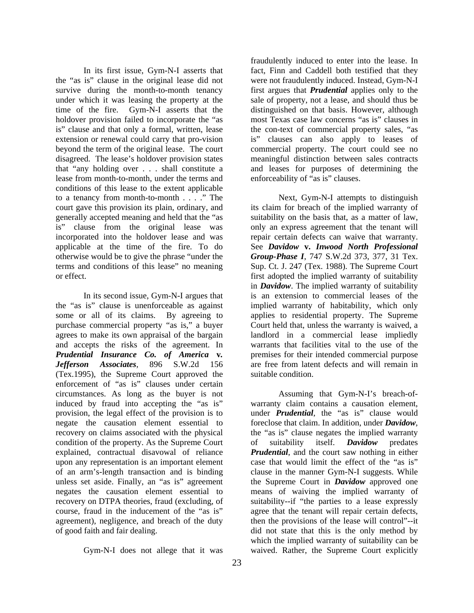In its first issue, Gym-N-I asserts that the "as is" clause in the original lease did not survive during the month-to-month tenancy under which it was leasing the property at the time of the fire. Gym-N-I asserts that the holdover provision failed to incorporate the "as is" clause and that only a formal, written, lease extension or renewal could carry that pro-vision beyond the term of the original lease. The court disagreed. The lease's holdover provision states that "any holding over . . . shall constitute a lease from month-to-month, under the terms and conditions of this lease to the extent applicable to a tenancy from month-to-month . . . ." The court gave this provision its plain, ordinary, and generally accepted meaning and held that the "as is" clause from the original lease was incorporated into the holdover lease and was applicable at the time of the fire. To do otherwise would be to give the phrase "under the terms and conditions of this lease" no meaning or effect.

In its second issue, Gym-N-I argues that the "as is" clause is unenforceable as against some or all of its claims. By agreeing to purchase commercial property "as is," a buyer agrees to make its own appraisal of the bargain and accepts the risks of the agreement. In *Prudential Insurance Co. of America* **v***. Jefferson Associates*, 896 S.W.2d 156 (Tex.1995), the Supreme Court approved the enforcement of "as is" clauses under certain circumstances. As long as the buyer is not induced by fraud into accepting the "as is" provision, the legal effect of the provision is to negate the causation element essential to recovery on claims associated with the physical condition of the property. As the Supreme Court explained, contractual disavowal of reliance upon any representation is an important element of an arm's-length transaction and is binding unless set aside. Finally, an "as is" agreement negates the causation element essential to recovery on DTPA theories, fraud (excluding, of course, fraud in the inducement of the "as is" agreement), negligence, and breach of the duty of good faith and fair dealing.

Gym-N-I does not allege that it was

fraudulently induced to enter into the lease. In fact, Finn and Caddell both testified that they were not fraudulently induced. Instead, Gym-N-I first argues that *Prudential* applies only to the sale of property, not a lease, and should thus be distinguished on that basis. However, although most Texas case law concerns "as is" clauses in the con-text of commercial property sales, "as is" clauses can also apply to leases of commercial property. The court could see no meaningful distinction between sales contracts and leases for purposes of determining the enforceability of "as is" clauses.

Next, Gym-N-I attempts to distinguish its claim for breach of the implied warranty of suitability on the basis that, as a matter of law, only an express agreement that the tenant will repair certain defects can waive that warranty. See *Davidow* **v.** *Inwood North Professional Group-Phase I*, 747 S.W.2d 373, 377, 31 Tex. Sup. Ct. J. 247 (Tex. 1988). The Supreme Court first adopted the implied warranty of suitability in *Davidow*. The implied warranty of suitability is an extension to commercial leases of the implied warranty of habitability, which only applies to residential property. The Supreme Court held that, unless the warranty is waived, a landlord in a commercial lease impliedly warrants that facilities vital to the use of the premises for their intended commercial purpose are free from latent defects and will remain in suitable condition.

 Assuming that Gym-N-I's breach-ofwarranty claim contains a causation element, under *Prudential*, the "as is" clause would foreclose that claim. In addition, under *Davidow*, the "as is" clause negates the implied warranty of suitability itself. *Davidow* predates *Prudential*, and the court saw nothing in either case that would limit the effect of the "as is" clause in the manner Gym-N-I suggests. While the Supreme Court in *Davidow* approved one means of waiving the implied warranty of suitability--if "the parties to a lease expressly agree that the tenant will repair certain defects, then the provisions of the lease will control"--it did not state that this is the only method by which the implied warranty of suitability can be waived. Rather, the Supreme Court explicitly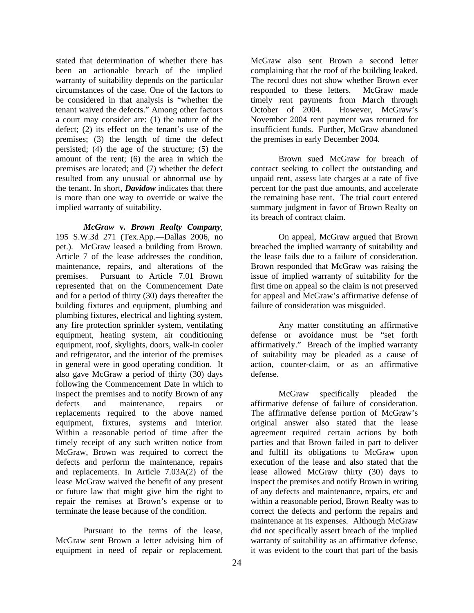stated that determination of whether there has been an actionable breach of the implied warranty of suitability depends on the particular circumstances of the case. One of the factors to be considered in that analysis is "whether the tenant waived the defects." Among other factors a court may consider are: (1) the nature of the defect; (2) its effect on the tenant's use of the premises; (3) the length of time the defect persisted; (4) the age of the structure; (5) the amount of the rent; (6) the area in which the premises are located; and (7) whether the defect resulted from any unusual or abnormal use by the tenant. In short, *Davidow* indicates that there is more than one way to override or waive the implied warranty of suitability.

 *McGraw* **v***. Brown Realty Company*, 195 S.W.3d 271 (Tex.App.—Dallas 2006, no pet.). McGraw leased a building from Brown. Article 7 of the lease addresses the condition, maintenance, repairs, and alterations of the premises. Pursuant to Article 7.01 Brown represented that on the Commencement Date and for a period of thirty (30) days thereafter the building fixtures and equipment, plumbing and plumbing fixtures, electrical and lighting system, any fire protection sprinkler system, ventilating equipment, heating system, air conditioning equipment, roof, skylights, doors, walk-in cooler and refrigerator, and the interior of the premises in general were in good operating condition. It also gave McGraw a period of thirty (30) days following the Commencement Date in which to inspect the premises and to notify Brown of any defects and maintenance, repairs or replacements required to the above named equipment, fixtures, systems and interior. Within a reasonable period of time after the timely receipt of any such written notice from McGraw, Brown was required to correct the defects and perform the maintenance, repairs and replacements. In Article 7.03A(2) of the lease McGraw waived the benefit of any present or future law that might give him the right to repair the remises at Brown's expense or to terminate the lease because of the condition.

 Pursuant to the terms of the lease, McGraw sent Brown a letter advising him of equipment in need of repair or replacement.

McGraw also sent Brown a second letter complaining that the roof of the building leaked. The record does not show whether Brown ever responded to these letters. McGraw made timely rent payments from March through October of 2004. However, McGraw's November 2004 rent payment was returned for insufficient funds. Further, McGraw abandoned the premises in early December 2004.

 Brown sued McGraw for breach of contract seeking to collect the outstanding and unpaid rent, assess late charges at a rate of five percent for the past due amounts, and accelerate the remaining base rent. The trial court entered summary judgment in favor of Brown Realty on its breach of contract claim.

 On appeal, McGraw argued that Brown breached the implied warranty of suitability and the lease fails due to a failure of consideration. Brown responded that McGraw was raising the issue of implied warranty of suitability for the first time on appeal so the claim is not preserved for appeal and McGraw's affirmative defense of failure of consideration was misguided.

 Any matter constituting an affirmative defense or avoidance must be "set forth affirmatively." Breach of the implied warranty of suitability may be pleaded as a cause of action, counter-claim, or as an affirmative defense.

 McGraw specifically pleaded the affirmative defense of failure of consideration. The affirmative defense portion of McGraw's original answer also stated that the lease agreement required certain actions by both parties and that Brown failed in part to deliver and fulfill its obligations to McGraw upon execution of the lease and also stated that the lease allowed McGraw thirty (30) days to inspect the premises and notify Brown in writing of any defects and maintenance, repairs, etc and within a reasonable period, Brown Realty was to correct the defects and perform the repairs and maintenance at its expenses. Although McGraw did not specifically assert breach of the implied warranty of suitability as an affirmative defense, it was evident to the court that part of the basis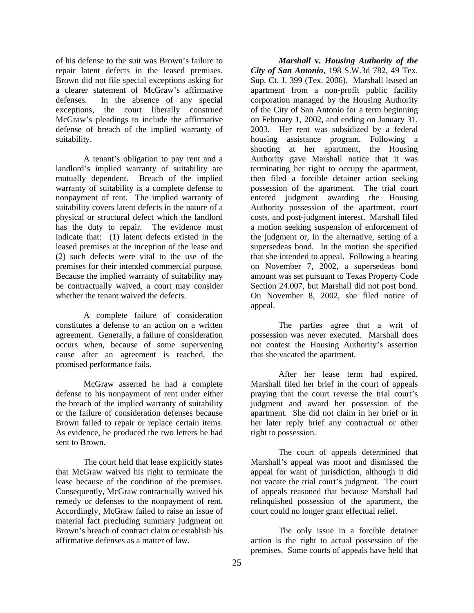of his defense to the suit was Brown's failure to repair latent defects in the leased premises. Brown did not file special exceptions asking for a clearer statement of McGraw's affirmative defenses. In the absence of any special exceptions, the court liberally construed McGraw's pleadings to include the affirmative defense of breach of the implied warranty of suitability.

 A tenant's obligation to pay rent and a landlord's implied warranty of suitability are mutually dependent. Breach of the implied warranty of suitability is a complete defense to nonpayment of rent. The implied warranty of suitability covers latent defects in the nature of a physical or structural defect which the landlord has the duty to repair. The evidence must indicate that: (1) latent defects existed in the leased premises at the inception of the lease and (2) such defects were vital to the use of the premises for their intended commercial purpose. Because the implied warranty of suitability may be contractually waived, a court may consider whether the tenant waived the defects.

 A complete failure of consideration constitutes a defense to an action on a written agreement. Generally, a failure of consideration occurs when, because of some supervening cause after an agreement is reached, the promised performance fails.

 McGraw asserted he had a complete defense to his nonpayment of rent under either the breach of the implied warranty of suitability or the failure of consideration defenses because Brown failed to repair or replace certain items. As evidence, he produced the two letters he had sent to Brown.

 The court held that lease explicitly states that McGraw waived his right to terminate the lease because of the condition of the premises. Consequently, McGraw contractually waived his remedy or defenses to the nonpayment of rent. Accordingly, McGraw failed to raise an issue of material fact precluding summary judgment on Brown's breach of contract claim or establish his affirmative defenses as a matter of law.

*Marshall* **v.** *Housing Authority of the City of San Antonio*, 198 S.W.3d 782, 49 Tex. Sup. Ct. J. 399 (Tex. 2006). Marshall leased an apartment from a non-profit public facility corporation managed by the Housing Authority of the City of San Antonio for a term beginning on February 1, 2002, and ending on January 31, 2003. Her rent was subsidized by a federal housing assistance program. Following a shooting at her apartment, the Housing Authority gave Marshall notice that it was terminating her right to occupy the apartment, then filed a forcible detainer action seeking possession of the apartment. The trial court entered judgment awarding the Housing Authority possession of the apartment, court costs, and post-judgment interest. Marshall filed a motion seeking suspension of enforcement of the judgment or, in the alternative, setting of a supersedeas bond. In the motion she specified that she intended to appeal. Following a hearing on November 7, 2002, a supersedeas bond amount was set pursuant to Texas Property Code Section 24.007, but Marshall did not post bond. On November 8, 2002, she filed notice of appeal.

 The parties agree that a writ of possession was never executed. Marshall does not contest the Housing Authority's assertion that she vacated the apartment.

 After her lease term had expired, Marshall filed her brief in the court of appeals praying that the court reverse the trial court's judgment and award her possession of the apartment. She did not claim in her brief or in her later reply brief any contractual or other right to possession.

 The court of appeals determined that Marshall's appeal was moot and dismissed the appeal for want of jurisdiction, although it did not vacate the trial court's judgment. The court of appeals reasoned that because Marshall had relinquished possession of the apartment, the court could no longer grant effectual relief.

 The only issue in a forcible detainer action is the right to actual possession of the premises. Some courts of appeals have held that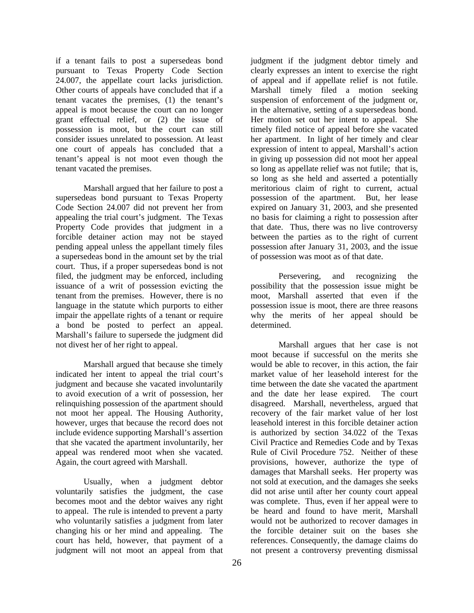if a tenant fails to post a supersedeas bond pursuant to Texas Property Code Section 24.007, the appellate court lacks jurisdiction. Other courts of appeals have concluded that if a tenant vacates the premises, (1) the tenant's appeal is moot because the court can no longer grant effectual relief, or (2) the issue of possession is moot, but the court can still consider issues unrelated to possession. At least one court of appeals has concluded that a tenant's appeal is not moot even though the tenant vacated the premises.

 Marshall argued that her failure to post a supersedeas bond pursuant to Texas Property Code Section 24.007 did not prevent her from appealing the trial court's judgment. The Texas Property Code provides that judgment in a forcible detainer action may not be stayed pending appeal unless the appellant timely files a supersedeas bond in the amount set by the trial court. Thus, if a proper supersedeas bond is not filed, the judgment may be enforced, including issuance of a writ of possession evicting the tenant from the premises. However, there is no language in the statute which purports to either impair the appellate rights of a tenant or require a bond be posted to perfect an appeal. Marshall's failure to supersede the judgment did not divest her of her right to appeal.

 Marshall argued that because she timely indicated her intent to appeal the trial court's judgment and because she vacated involuntarily to avoid execution of a writ of possession, her relinquishing possession of the apartment should not moot her appeal. The Housing Authority, however, urges that because the record does not include evidence supporting Marshall's assertion that she vacated the apartment involuntarily, her appeal was rendered moot when she vacated. Again, the court agreed with Marshall.

 Usually, when a judgment debtor voluntarily satisfies the judgment, the case becomes moot and the debtor waives any right to appeal. The rule is intended to prevent a party who voluntarily satisfies a judgment from later changing his or her mind and appealing. The court has held, however, that payment of a judgment will not moot an appeal from that

judgment if the judgment debtor timely and clearly expresses an intent to exercise the right of appeal and if appellate relief is not futile. Marshall timely filed a motion seeking suspension of enforcement of the judgment or, in the alternative, setting of a supersedeas bond. Her motion set out her intent to appeal. She timely filed notice of appeal before she vacated her apartment. In light of her timely and clear expression of intent to appeal, Marshall's action in giving up possession did not moot her appeal so long as appellate relief was not futile; that is, so long as she held and asserted a potentially meritorious claim of right to current, actual possession of the apartment. But, her lease expired on January 31, 2003, and she presented no basis for claiming a right to possession after that date. Thus, there was no live controversy between the parties as to the right of current possession after January 31, 2003, and the issue of possession was moot as of that date.

 Persevering, and recognizing the possibility that the possession issue might be moot, Marshall asserted that even if the possession issue is moot, there are three reasons why the merits of her appeal should be determined.

 Marshall argues that her case is not moot because if successful on the merits she would be able to recover, in this action, the fair market value of her leasehold interest for the time between the date she vacated the apartment and the date her lease expired. The court disagreed. Marshall, nevertheless, argued that recovery of the fair market value of her lost leasehold interest in this forcible detainer action is authorized by section 34.022 of the Texas Civil Practice and Remedies Code and by Texas Rule of Civil Procedure 752. Neither of these provisions, however, authorize the type of damages that Marshall seeks. Her property was not sold at execution, and the damages she seeks did not arise until after her county court appeal was complete. Thus, even if her appeal were to be heard and found to have merit, Marshall would not be authorized to recover damages in the forcible detainer suit on the bases she references. Consequently, the damage claims do not present a controversy preventing dismissal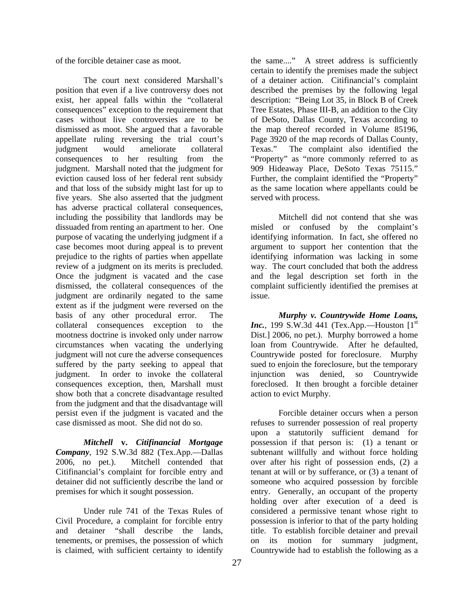of the forcible detainer case as moot.

 The court next considered Marshall's position that even if a live controversy does not exist, her appeal falls within the "collateral consequences" exception to the requirement that cases without live controversies are to be dismissed as moot. She argued that a favorable appellate ruling reversing the trial court's judgment would ameliorate collateral consequences to her resulting from the judgment. Marshall noted that the judgment for eviction caused loss of her federal rent subsidy and that loss of the subsidy might last for up to five years. She also asserted that the judgment has adverse practical collateral consequences, including the possibility that landlords may be dissuaded from renting an apartment to her. One purpose of vacating the underlying judgment if a case becomes moot during appeal is to prevent prejudice to the rights of parties when appellate review of a judgment on its merits is precluded. Once the judgment is vacated and the case dismissed, the collateral consequences of the judgment are ordinarily negated to the same extent as if the judgment were reversed on the basis of any other procedural error. The collateral consequences exception to the mootness doctrine is invoked only under narrow circumstances when vacating the underlying judgment will not cure the adverse consequences suffered by the party seeking to appeal that judgment. In order to invoke the collateral consequences exception, then, Marshall must show both that a concrete disadvantage resulted from the judgment and that the disadvantage will persist even if the judgment is vacated and the case dismissed as moot. She did not do so.

 *Mitchell* **v.** *Citifinancial Mortgage Company*, 192 S.W.3d 882 (Tex.App.—Dallas 2006, no pet.). Mitchell contended that Citifinancial's complaint for forcible entry and detainer did not sufficiently describe the land or premises for which it sought possession.

 Under rule 741 of the Texas Rules of Civil Procedure, a complaint for forcible entry and detainer "shall describe the lands, tenements, or premises, the possession of which is claimed, with sufficient certainty to identify

the same...." A street address is sufficiently certain to identify the premises made the subject of a detainer action. Citifinancial's complaint described the premises by the following legal description: "Being Lot 35, in Block B of Creek Tree Estates, Phase III-B, an addition to the City of DeSoto, Dallas County, Texas according to the map thereof recorded in Volume 85196, Page 3920 of the map records of Dallas County, Texas." The complaint also identified the "Property" as "more commonly referred to as 909 Hideaway Place, DeSoto Texas 75115." Further, the complaint identified the "Property" as the same location where appellants could be served with process.

 Mitchell did not contend that she was misled or confused by the complaint's identifying information. In fact, she offered no argument to support her contention that the identifying information was lacking in some way. The court concluded that both the address and the legal description set forth in the complaint sufficiently identified the premises at issue.

*Murphy v. Countrywide Home Loans, Inc.*, 199 S.W.3d 441 (Tex.App.—Houston  $1<sup>st</sup>$ Dist.] 2006, no pet.). Murphy borrowed a home loan from Countrywide. After he defaulted, Countrywide posted for foreclosure. Murphy sued to enjoin the foreclosure, but the temporary injunction was denied, so Countrywide foreclosed. It then brought a forcible detainer action to evict Murphy.

 Forcible detainer occurs when a person refuses to surrender possession of real property upon a statutorily sufficient demand for possession if that person is: (1) a tenant or subtenant willfully and without force holding over after his right of possession ends, (2) a tenant at will or by sufferance, or (3) a tenant of someone who acquired possession by forcible entry. Generally, an occupant of the property holding over after execution of a deed is considered a permissive tenant whose right to possession is inferior to that of the party holding title. To establish forcible detainer and prevail on its motion for summary judgment, Countrywide had to establish the following as a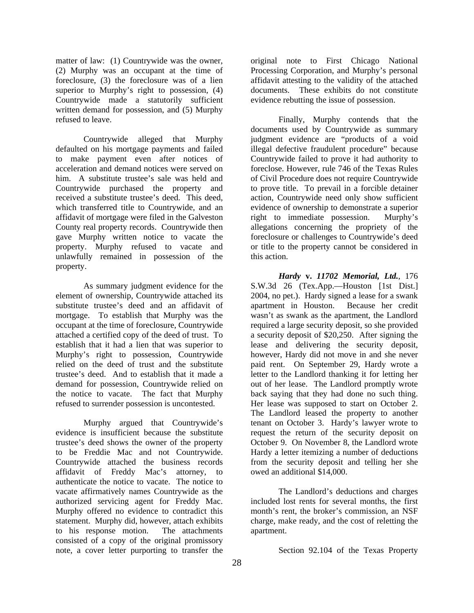matter of law: (1) Countrywide was the owner, (2) Murphy was an occupant at the time of foreclosure, (3) the foreclosure was of a lien superior to Murphy's right to possession,  $(4)$ Countrywide made a statutorily sufficient written demand for possession, and (5) Murphy refused to leave.

 Countrywide alleged that Murphy defaulted on his mortgage payments and failed to make payment even after notices of acceleration and demand notices were served on him. A substitute trustee's sale was held and Countrywide purchased the property and received a substitute trustee's deed. This deed, which transferred title to Countrywide, and an affidavit of mortgage were filed in the Galveston County real property records. Countrywide then gave Murphy written notice to vacate the property. Murphy refused to vacate and unlawfully remained in possession of the property.

 As summary judgment evidence for the element of ownership, Countrywide attached its substitute trustee's deed and an affidavit of mortgage. To establish that Murphy was the occupant at the time of foreclosure, Countrywide attached a certified copy of the deed of trust. To establish that it had a lien that was superior to Murphy's right to possession, Countrywide relied on the deed of trust and the substitute trustee's deed. And to establish that it made a demand for possession, Countrywide relied on the notice to vacate. The fact that Murphy refused to surrender possession is uncontested.

 Murphy argued that Countrywide's evidence is insufficient because the substitute trustee's deed shows the owner of the property to be Freddie Mac and not Countrywide. Countrywide attached the business records affidavit of Freddy Mac's attorney, to authenticate the notice to vacate. The notice to vacate affirmatively names Countrywide as the authorized servicing agent for Freddy Mac. Murphy offered no evidence to contradict this statement. Murphy did, however, attach exhibits to his response motion. The attachments consisted of a copy of the original promissory note, a cover letter purporting to transfer the

original note to First Chicago National Processing Corporation, and Murphy's personal affidavit attesting to the validity of the attached documents. These exhibits do not constitute evidence rebutting the issue of possession.

 Finally, Murphy contends that the documents used by Countrywide as summary judgment evidence are "products of a void illegal defective fraudulent procedure" because Countrywide failed to prove it had authority to foreclose. However, rule 746 of the Texas Rules of Civil Procedure does not require Countrywide to prove title. To prevail in a forcible detainer action, Countrywide need only show sufficient evidence of ownership to demonstrate a superior right to immediate possession. Murphy's allegations concerning the propriety of the foreclosure or challenges to Countrywide's deed or title to the property cannot be considered in this action.

*Hardy* **v.** *11702 Memorial, Ltd.*, 176 S.W.3d 26 (Tex.App.—Houston [1st Dist.] 2004, no pet.). Hardy signed a lease for a swank apartment in Houston. Because her credit wasn't as swank as the apartment, the Landlord required a large security deposit, so she provided a security deposit of \$20,250. After signing the lease and delivering the security deposit, however, Hardy did not move in and she never paid rent. On September 29, Hardy wrote a letter to the Landlord thanking it for letting her out of her lease. The Landlord promptly wrote back saying that they had done no such thing. Her lease was supposed to start on October 2. The Landlord leased the property to another tenant on October 3. Hardy's lawyer wrote to request the return of the security deposit on October 9. On November 8, the Landlord wrote Hardy a letter itemizing a number of deductions from the security deposit and telling her she owed an additional \$14,000.

The Landlord's deductions and charges included lost rents for several months, the first month's rent, the broker's commission, an NSF charge, make ready, and the cost of reletting the apartment.

Section 92.104 of the Texas Property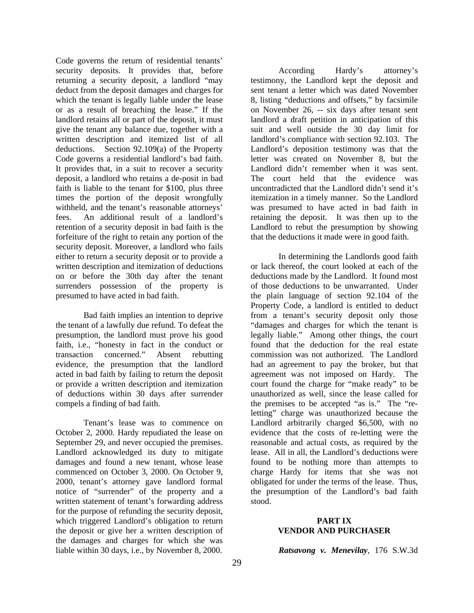Code governs the return of residential tenants' security deposits. It provides that, before returning a security deposit, a landlord "may deduct from the deposit damages and charges for which the tenant is legally liable under the lease or as a result of breaching the lease." If the landlord retains all or part of the deposit, it must give the tenant any balance due, together with a written description and itemized list of all deductions. Section 92.109(a) of the Property Code governs a residential landlord's bad faith. It provides that, in a suit to recover a security deposit, a landlord who retains a de-posit in bad faith is liable to the tenant for \$100, plus three times the portion of the deposit wrongfully withheld, and the tenant's reasonable attorneys' fees. An additional result of a landlord's retention of a security deposit in bad faith is the forfeiture of the right to retain any portion of the security deposit. Moreover, a landlord who fails either to return a security deposit or to provide a written description and itemization of deductions on or before the 30th day after the tenant surrenders possession of the property is presumed to have acted in bad faith.

Bad faith implies an intention to deprive the tenant of a lawfully due refund. To defeat the presumption, the landlord must prove his good faith, i.e., "honesty in fact in the conduct or transaction concerned." Absent rebutting evidence, the presumption that the landlord acted in bad faith by failing to return the deposit or provide a written description and itemization of deductions within 30 days after surrender compels a finding of bad faith.

Tenant's lease was to commence on October 2, 2000. Hardy repudiated the lease on September 29, and never occupied the premises. Landlord acknowledged its duty to mitigate damages and found a new tenant, whose lease commenced on October 3, 2000. On October 9, 2000, tenant's attorney gave landlord formal notice of "surrender" of the property and a written statement of tenant's forwarding address for the purpose of refunding the security deposit, which triggered Landlord's obligation to return the deposit or give her a written description of the damages and charges for which she was liable within 30 days, i.e., by November 8, 2000.

According Hardy's attorney's testimony, the Landlord kept the deposit and sent tenant a letter which was dated November 8, listing "deductions and offsets," by facsimile on November 26, -- six days after tenant sent landlord a draft petition in anticipation of this suit and well outside the 30 day limit for landlord's compliance with section 92.103. The Landlord's deposition testimony was that the letter was created on November 8, but the Landlord didn't remember when it was sent. The court held that the evidence was uncontradicted that the Landlord didn't send it's itemization in a timely manner. So the Landlord was presumed to have acted in bad faith in retaining the deposit. It was then up to the Landlord to rebut the presumption by showing that the deductions it made were in good faith.

In determining the Landlords good faith or lack thereof, the court looked at each of the deductions made by the Landlord. It found most of those deductions to be unwarranted. Under the plain language of section 92.104 of the Property Code, a landlord is entitled to deduct from a tenant's security deposit only those "damages and charges for which the tenant is legally liable." Among other things, the court found that the deduction for the real estate commission was not authorized. The Landlord had an agreement to pay the broker, but that agreement was not imposed on Hardy. The court found the charge for "make ready" to be unauthorized as well, since the lease called for the premises to be accepted "as is." The "reletting" charge was unauthorized because the Landlord arbitrarily charged \$6,500, with no evidence that the costs of re-letting were the reasonable and actual costs, as required by the lease. All in all, the Landlord's deductions were found to be nothing more than attempts to charge Hardy for items that she was not obligated for under the terms of the lease. Thus, the presumption of the Landlord's bad faith stood.

#### **PART IX VENDOR AND PURCHASER**

*Ratsavong v. Menevilay*, 176 S.W.3d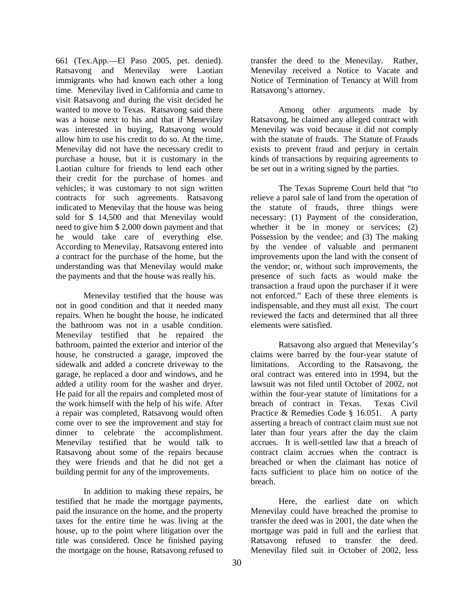661 (Tex.App.—El Paso 2005, pet. denied). Ratsavong and Menevilay were Laotian immigrants who had known each other a long time. Menevilay lived in California and came to visit Ratsavong and during the visit decided he wanted to move to Texas. Ratsavong said there was a house next to his and that if Menevilay was interested in buying, Ratsavong would allow him to use his credit to do so. At the time, Menevilay did not have the necessary credit to purchase a house, but it is customary in the Laotian culture for friends to lend each other their credit for the purchase of homes and vehicles; it was customary to not sign written contracts for such agreements. Ratsavong indicated to Menevilay that the house was being sold for \$ 14,500 and that Menevilay would need to give him \$ 2,000 down payment and that he would take care of everything else. According to Menevilay, Ratsavong entered into a contract for the purchase of the home, but the understanding was that Menevilay would make the payments and that the house was really his.

Menevilay testified that the house was not in good condition and that it needed many repairs. When he bought the house, he indicated the bathroom was not in a usable condition. Menevilay testified that he repaired the bathroom, painted the exterior and interior of the house, he constructed a garage, improved the sidewalk and added a concrete driveway to the garage, he replaced a door and windows, and he added a utility room for the washer and dryer. He paid for all the repairs and completed most of the work himself with the help of his wife. After a repair was completed, Ratsavong would often come over to see the improvement and stay for dinner to celebrate the accomplishment. Menevilay testified that he would talk to Ratsavong about some of the repairs because they were friends and that he did not get a building permit for any of the improvements.

In addition to making these repairs, he testified that he made the mortgage payments, paid the insurance on the home, and the property taxes for the entire time he was living at the house, up to the point where litigation over the title was considered. Once he finished paying the mortgage on the house, Ratsavong refused to

transfer the deed to the Menevilay. Rather, Menevilay received a Notice to Vacate and Notice of Termination of Tenancy at Will from Ratsavong's attorney.

Among other arguments made by Ratsavong, he claimed any alleged contract with Menevilay was void because it did not comply with the statute of frauds. The Statute of Frauds exists to prevent fraud and perjury in certain kinds of transactions by requiring agreements to be set out in a writing signed by the parties.

The Texas Supreme Court held that "to relieve a parol sale of land from the operation of the statute of frauds, three things were necessary: (1) Payment of the consideration, whether it be in money or services; (2) Possession by the vendee; and (3) The making by the vendee of valuable and permanent improvements upon the land with the consent of the vendor; or, without such improvements, the presence of such facts as would make the transaction a fraud upon the purchaser if it were not enforced." Each of these three elements is indispensable, and they must all exist. The court reviewed the facts and determined that all three elements were satisfied.

Ratsavong also argued that Menevilay's claims were barred by the four-year statute of limitations. According to the Ratsavong, the oral contract was entered into in 1994, but the lawsuit was not filed until October of 2002, not within the four-year statute of limitations for a breach of contract in Texas. Texas Civil Practice & Remedies Code § 16.051. A party asserting a breach of contract claim must sue not later than four years after the day the claim accrues. It is well-settled law that a breach of contract claim accrues when the contract is breached or when the claimant has notice of facts sufficient to place him on notice of the breach.

Here, the earliest date on which Menevilay could have breached the promise to transfer the deed was in 2001, the date when the mortgage was paid in full and the earliest that Ratsavong refused to transfer the deed. Menevilay filed suit in October of 2002, less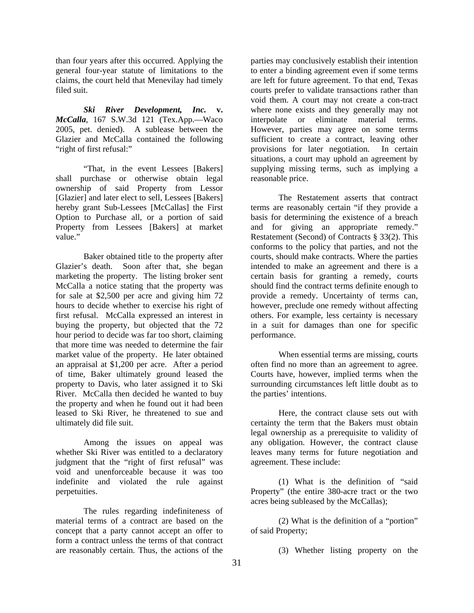than four years after this occurred. Applying the general four-year statute of limitations to the claims, the court held that Menevilay had timely filed suit.

*Ski River Development, Inc.* **v.** *McCalla*, 167 S.W.3d 121 (Tex.App.—Waco 2005, pet. denied). A sublease between the Glazier and McCalla contained the following "right of first refusal:"

"That, in the event Lessees [Bakers] shall purchase or otherwise obtain legal ownership of said Property from Lessor [Glazier] and later elect to sell, Lessees [Bakers] hereby grant Sub-Lessees [McCallas] the First Option to Purchase all, or a portion of said Property from Lessees [Bakers] at market value."

Baker obtained title to the property after Glazier's death. Soon after that, she began marketing the property. The listing broker sent McCalla a notice stating that the property was for sale at \$2,500 per acre and giving him 72 hours to decide whether to exercise his right of first refusal. McCalla expressed an interest in buying the property, but objected that the 72 hour period to decide was far too short, claiming that more time was needed to determine the fair market value of the property. He later obtained an appraisal at \$1,200 per acre. After a period of time, Baker ultimately ground leased the property to Davis, who later assigned it to Ski River. McCalla then decided he wanted to buy the property and when he found out it had been leased to Ski River, he threatened to sue and ultimately did file suit.

Among the issues on appeal was whether Ski River was entitled to a declaratory judgment that the "right of first refusal" was void and unenforceable because it was too indefinite and violated the rule against perpetuities.

The rules regarding indefiniteness of material terms of a contract are based on the concept that a party cannot accept an offer to form a contract unless the terms of that contract are reasonably certain. Thus, the actions of the

parties may conclusively establish their intention to enter a binding agreement even if some terms are left for future agreement. To that end, Texas courts prefer to validate transactions rather than void them. A court may not create a con-tract where none exists and they generally may not interpolate or eliminate material terms. However, parties may agree on some terms sufficient to create a contract, leaving other provisions for later negotiation. In certain situations, a court may uphold an agreement by supplying missing terms, such as implying a reasonable price.

The Restatement asserts that contract terms are reasonably certain "if they provide a basis for determining the existence of a breach and for giving an appropriate remedy." Restatement (Second) of Contracts § 33(2). This conforms to the policy that parties, and not the courts, should make contracts. Where the parties intended to make an agreement and there is a certain basis for granting a remedy, courts should find the contract terms definite enough to provide a remedy. Uncertainty of terms can, however, preclude one remedy without affecting others. For example, less certainty is necessary in a suit for damages than one for specific performance.

When essential terms are missing, courts often find no more than an agreement to agree. Courts have, however, implied terms when the surrounding circumstances left little doubt as to the parties' intentions.

Here, the contract clause sets out with certainty the term that the Bakers must obtain legal ownership as a prerequisite to validity of any obligation. However, the contract clause leaves many terms for future negotiation and agreement. These include:

(1) What is the definition of "said Property" (the entire 380-acre tract or the two acres being subleased by the McCallas);

(2) What is the definition of a "portion" of said Property;

(3) Whether listing property on the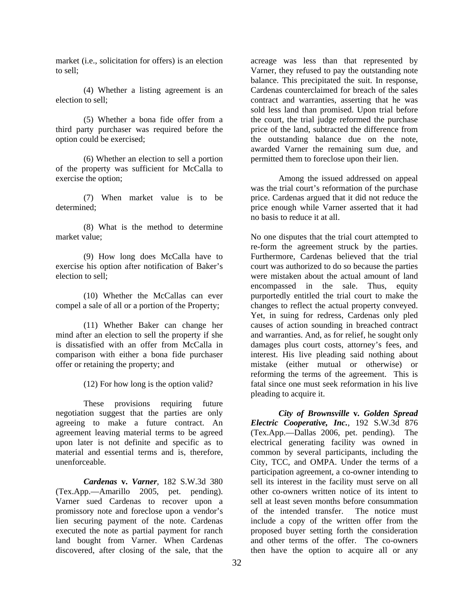market (i.e., solicitation for offers) is an election to sell;

(4) Whether a listing agreement is an election to sell;

(5) Whether a bona fide offer from a third party purchaser was required before the option could be exercised;

(6) Whether an election to sell a portion of the property was sufficient for McCalla to exercise the option;

(7) When market value is to be determined;

(8) What is the method to determine market value;

(9) How long does McCalla have to exercise his option after notification of Baker's election to sell;

(10) Whether the McCallas can ever compel a sale of all or a portion of the Property;

(11) Whether Baker can change her mind after an election to sell the property if she is dissatisfied with an offer from McCalla in comparison with either a bona fide purchaser offer or retaining the property; and

(12) For how long is the option valid?

These provisions requiring future negotiation suggest that the parties are only agreeing to make a future contract. An agreement leaving material terms to be agreed upon later is not definite and specific as to material and essential terms and is, therefore, unenforceable.

*Cardenas* **v.** *Varner*, 182 S.W.3d 380 (Tex.App.—Amarillo 2005, pet. pending). Varner sued Cardenas to recover upon a promissory note and foreclose upon a vendor's lien securing payment of the note. Cardenas executed the note as partial payment for ranch land bought from Varner. When Cardenas discovered, after closing of the sale, that the

acreage was less than that represented by Varner, they refused to pay the outstanding note balance. This precipitated the suit. In response, Cardenas counterclaimed for breach of the sales contract and warranties, asserting that he was sold less land than promised. Upon trial before the court, the trial judge reformed the purchase price of the land, subtracted the difference from the outstanding balance due on the note, awarded Varner the remaining sum due, and permitted them to foreclose upon their lien.

Among the issued addressed on appeal was the trial court's reformation of the purchase price. Cardenas argued that it did not reduce the price enough while Varner asserted that it had no basis to reduce it at all.

No one disputes that the trial court attempted to re-form the agreement struck by the parties. Furthermore, Cardenas believed that the trial court was authorized to do so because the parties were mistaken about the actual amount of land encompassed in the sale. Thus, equity purportedly entitled the trial court to make the changes to reflect the actual property conveyed. Yet, in suing for redress, Cardenas only pled causes of action sounding in breached contract and warranties. And, as for relief, he sought only damages plus court costs, attorney's fees, and interest. His live pleading said nothing about mistake (either mutual or otherwise) or reforming the terms of the agreement. This is fatal since one must seek reformation in his live pleading to acquire it.

 *City of Brownsville* **v***. Golden Spread Electric Cooperative, Inc.*, 192 S.W.3d 876 (Tex.App.—Dallas 2006, pet. pending). The electrical generating facility was owned in common by several participants, including the City, TCC, and OMPA. Under the terms of a participation agreement, a co-owner intending to sell its interest in the facility must serve on all other co-owners written notice of its intent to sell at least seven months before consummation of the intended transfer. The notice must include a copy of the written offer from the proposed buyer setting forth the consideration and other terms of the offer. The co-owners then have the option to acquire all or any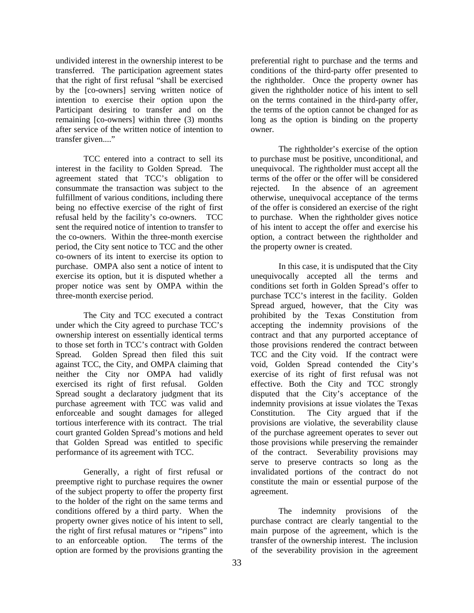undivided interest in the ownership interest to be transferred. The participation agreement states that the right of first refusal "shall be exercised by the [co-owners] serving written notice of intention to exercise their option upon the Participant desiring to transfer and on the remaining [co-owners] within three (3) months after service of the written notice of intention to transfer given...."

 TCC entered into a contract to sell its interest in the facility to Golden Spread. The agreement stated that TCC's obligation to consummate the transaction was subject to the fulfillment of various conditions, including there being no effective exercise of the right of first refusal held by the facility's co-owners. TCC sent the required notice of intention to transfer to the co-owners. Within the three-month exercise period, the City sent notice to TCC and the other co-owners of its intent to exercise its option to purchase. OMPA also sent a notice of intent to exercise its option, but it is disputed whether a proper notice was sent by OMPA within the three-month exercise period.

 The City and TCC executed a contract under which the City agreed to purchase TCC's ownership interest on essentially identical terms to those set forth in TCC's contract with Golden Spread. Golden Spread then filed this suit against TCC, the City, and OMPA claiming that neither the City nor OMPA had validly exercised its right of first refusal. Golden Spread sought a declaratory judgment that its purchase agreement with TCC was valid and enforceable and sought damages for alleged tortious interference with its contract. The trial court granted Golden Spread's motions and held that Golden Spread was entitled to specific performance of its agreement with TCC.

 Generally, a right of first refusal or preemptive right to purchase requires the owner of the subject property to offer the property first to the holder of the right on the same terms and conditions offered by a third party. When the property owner gives notice of his intent to sell, the right of first refusal matures or "ripens" into to an enforceable option. The terms of the option are formed by the provisions granting the

preferential right to purchase and the terms and conditions of the third-party offer presented to the rightholder. Once the property owner has given the rightholder notice of his intent to sell on the terms contained in the third-party offer, the terms of the option cannot be changed for as long as the option is binding on the property owner.

 The rightholder's exercise of the option to purchase must be positive, unconditional, and unequivocal. The rightholder must accept all the terms of the offer or the offer will be considered rejected. In the absence of an agreement otherwise, unequivocal acceptance of the terms of the offer is considered an exercise of the right to purchase. When the rightholder gives notice of his intent to accept the offer and exercise his option, a contract between the rightholder and the property owner is created.

 In this case, it is undisputed that the City unequivocally accepted all the terms and conditions set forth in Golden Spread's offer to purchase TCC's interest in the facility. Golden Spread argued, however, that the City was prohibited by the Texas Constitution from accepting the indemnity provisions of the contract and that any purported acceptance of those provisions rendered the contract between TCC and the City void. If the contract were void, Golden Spread contended the City's exercise of its right of first refusal was not effective. Both the City and TCC strongly disputed that the City's acceptance of the indemnity provisions at issue violates the Texas Constitution. The City argued that if the provisions are violative, the severability clause of the purchase agreement operates to sever out those provisions while preserving the remainder of the contract. Severability provisions may serve to preserve contracts so long as the invalidated portions of the contract do not constitute the main or essential purpose of the agreement.

 The indemnity provisions of the purchase contract are clearly tangential to the main purpose of the agreement, which is the transfer of the ownership interest. The inclusion of the severability provision in the agreement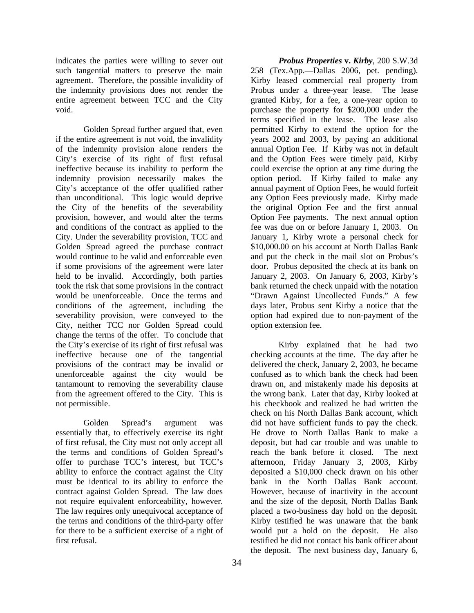indicates the parties were willing to sever out such tangential matters to preserve the main agreement. Therefore, the possible invalidity of the indemnity provisions does not render the entire agreement between TCC and the City void.

 Golden Spread further argued that, even if the entire agreement is not void, the invalidity of the indemnity provision alone renders the City's exercise of its right of first refusal ineffective because its inability to perform the indemnity provision necessarily makes the City's acceptance of the offer qualified rather than unconditional. This logic would deprive the City of the benefits of the severability provision, however, and would alter the terms and conditions of the contract as applied to the City. Under the severability provision, TCC and Golden Spread agreed the purchase contract would continue to be valid and enforceable even if some provisions of the agreement were later held to be invalid. Accordingly, both parties took the risk that some provisions in the contract would be unenforceable. Once the terms and conditions of the agreement, including the severability provision, were conveyed to the City, neither TCC nor Golden Spread could change the terms of the offer. To conclude that the City's exercise of its right of first refusal was ineffective because one of the tangential provisions of the contract may be invalid or unenforceable against the city would be tantamount to removing the severability clause from the agreement offered to the City. This is not permissible.

 Golden Spread's argument was essentially that, to effectively exercise its right of first refusal, the City must not only accept all the terms and conditions of Golden Spread's offer to purchase TCC's interest, but TCC's ability to enforce the contract against the City must be identical to its ability to enforce the contract against Golden Spread. The law does not require equivalent enforceability, however. The law requires only unequivocal acceptance of the terms and conditions of the third-party offer for there to be a sufficient exercise of a right of first refusal.

*Probus Properties* **v.** *Kirby*, 200 S.W.3d 258 (Tex.App.—Dallas 2006, pet. pending). Kirby leased commercial real property from Probus under a three-year lease. The lease granted Kirby, for a fee, a one-year option to purchase the property for \$200,000 under the terms specified in the lease. The lease also permitted Kirby to extend the option for the years 2002 and 2003, by paying an additional annual Option Fee. If Kirby was not in default and the Option Fees were timely paid, Kirby could exercise the option at any time during the option period. If Kirby failed to make any annual payment of Option Fees, he would forfeit any Option Fees previously made. Kirby made the original Option Fee and the first annual Option Fee payments. The next annual option fee was due on or before January 1, 2003. On January 1, Kirby wrote a personal check for \$10,000.00 on his account at North Dallas Bank and put the check in the mail slot on Probus's door. Probus deposited the check at its bank on January 2, 2003. On January 6, 2003, Kirby's bank returned the check unpaid with the notation "Drawn Against Uncollected Funds." A few days later, Probus sent Kirby a notice that the option had expired due to non-payment of the option extension fee.

 Kirby explained that he had two checking accounts at the time. The day after he delivered the check, January 2, 2003, he became confused as to which bank the check had been drawn on, and mistakenly made his deposits at the wrong bank. Later that day, Kirby looked at his checkbook and realized he had written the check on his North Dallas Bank account, which did not have sufficient funds to pay the check. He drove to North Dallas Bank to make a deposit, but had car trouble and was unable to reach the bank before it closed. The next afternoon, Friday January 3, 2003, Kirby deposited a \$10,000 check drawn on his other bank in the North Dallas Bank account. However, because of inactivity in the account and the size of the deposit, North Dallas Bank placed a two-business day hold on the deposit. Kirby testified he was unaware that the bank would put a hold on the deposit. He also testified he did not contact his bank officer about the deposit. The next business day, January 6,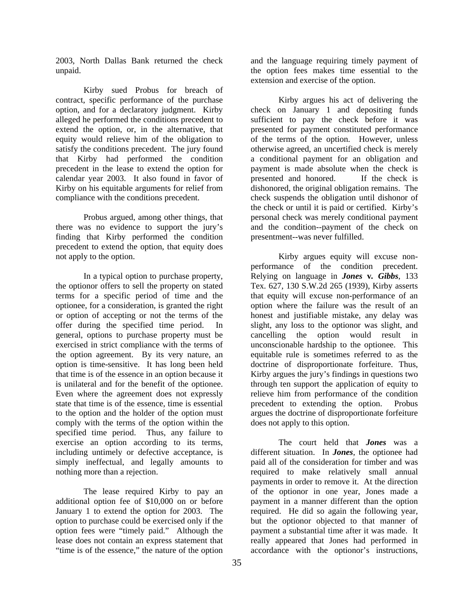2003, North Dallas Bank returned the check unpaid.

 Kirby sued Probus for breach of contract, specific performance of the purchase option, and for a declaratory judgment. Kirby alleged he performed the conditions precedent to extend the option, or, in the alternative, that equity would relieve him of the obligation to satisfy the conditions precedent. The jury found that Kirby had performed the condition precedent in the lease to extend the option for calendar year 2003. It also found in favor of Kirby on his equitable arguments for relief from compliance with the conditions precedent.

 Probus argued, among other things, that there was no evidence to support the jury's finding that Kirby performed the condition precedent to extend the option, that equity does not apply to the option.

 In a typical option to purchase property, the optionor offers to sell the property on stated terms for a specific period of time and the optionee, for a consideration, is granted the right or option of accepting or not the terms of the offer during the specified time period. In general, options to purchase property must be exercised in strict compliance with the terms of the option agreement. By its very nature, an option is time-sensitive. It has long been held that time is of the essence in an option because it is unilateral and for the benefit of the optionee. Even where the agreement does not expressly state that time is of the essence, time is essential to the option and the holder of the option must comply with the terms of the option within the specified time period. Thus, any failure to exercise an option according to its terms, including untimely or defective acceptance, is simply ineffectual, and legally amounts to nothing more than a rejection.

 The lease required Kirby to pay an additional option fee of \$10,000 on or before January 1 to extend the option for 2003. The option to purchase could be exercised only if the option fees were "timely paid." Although the lease does not contain an express statement that "time is of the essence," the nature of the option

and the language requiring timely payment of the option fees makes time essential to the extension and exercise of the option.

 Kirby argues his act of delivering the check on January 1 and depositing funds sufficient to pay the check before it was presented for payment constituted performance of the terms of the option. However, unless otherwise agreed, an uncertified check is merely a conditional payment for an obligation and payment is made absolute when the check is presented and honored. If the check is dishonored, the original obligation remains. The check suspends the obligation until dishonor of the check or until it is paid or certified. Kirby's personal check was merely conditional payment and the condition--payment of the check on presentment--was never fulfilled.

 Kirby argues equity will excuse nonperformance of the condition precedent. Relying on language in *Jones* **v***. Gibbs*, 133 Tex. 627, 130 S.W.2d 265 (1939), Kirby asserts that equity will excuse non-performance of an option where the failure was the result of an honest and justifiable mistake, any delay was slight, any loss to the optionor was slight, and cancelling the option would result in unconscionable hardship to the optionee. This equitable rule is sometimes referred to as the doctrine of disproportionate forfeiture. Thus, Kirby argues the jury's findings in questions two through ten support the application of equity to relieve him from performance of the condition precedent to extending the option. Probus argues the doctrine of disproportionate forfeiture does not apply to this option.

 The court held that *Jones* was a different situation. In *Jones*, the optionee had paid all of the consideration for timber and was required to make relatively small annual payments in order to remove it. At the direction of the optionor in one year, Jones made a payment in a manner different than the option required. He did so again the following year, but the optionor objected to that manner of payment a substantial time after it was made. It really appeared that Jones had performed in accordance with the optionor's instructions,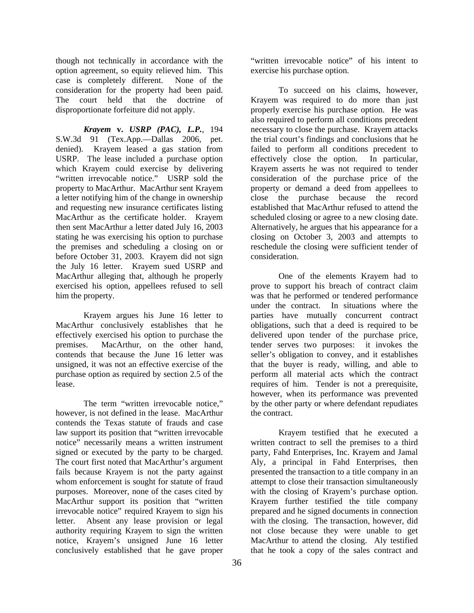though not technically in accordance with the option agreement, so equity relieved him. This case is completely different. None of the consideration for the property had been paid. The court held that the doctrine of disproportionate forfeiture did not apply.

*Krayem* **v.** *USRP (PAC), L.P.*, 194 S.W.3d 91 (Tex.App.—Dallas 2006, pet. denied). Krayem leased a gas station from USRP. The lease included a purchase option which Krayem could exercise by delivering "written irrevocable notice." USRP sold the property to MacArthur. MacArthur sent Krayem a letter notifying him of the change in ownership and requesting new insurance certificates listing MacArthur as the certificate holder. Krayem then sent MacArthur a letter dated July 16, 2003 stating he was exercising his option to purchase the premises and scheduling a closing on or before October 31, 2003. Krayem did not sign the July 16 letter. Krayem sued USRP and MacArthur alleging that, although he properly exercised his option, appellees refused to sell him the property.

 Krayem argues his June 16 letter to MacArthur conclusively establishes that he effectively exercised his option to purchase the premises. MacArthur, on the other hand, contends that because the June 16 letter was unsigned, it was not an effective exercise of the purchase option as required by section 2.5 of the lease.

 The term "written irrevocable notice," however, is not defined in the lease. MacArthur contends the Texas statute of frauds and case law support its position that "written irrevocable notice" necessarily means a written instrument signed or executed by the party to be charged. The court first noted that MacArthur's argument fails because Krayem is not the party against whom enforcement is sought for statute of fraud purposes. Moreover, none of the cases cited by MacArthur support its position that "written irrevocable notice" required Krayem to sign his letter. Absent any lease provision or legal authority requiring Krayem to sign the written notice, Krayem's unsigned June 16 letter conclusively established that he gave proper

"written irrevocable notice" of his intent to exercise his purchase option.

 To succeed on his claims, however, Krayem was required to do more than just properly exercise his purchase option. He was also required to perform all conditions precedent necessary to close the purchase. Krayem attacks the trial court's findings and conclusions that he failed to perform all conditions precedent to effectively close the option. In particular, Krayem asserts he was not required to tender consideration of the purchase price of the property or demand a deed from appellees to close the purchase because the record established that MacArthur refused to attend the scheduled closing or agree to a new closing date. Alternatively, he argues that his appearance for a closing on October 3, 2003 and attempts to reschedule the closing were sufficient tender of consideration.

 One of the elements Krayem had to prove to support his breach of contract claim was that he performed or tendered performance under the contract. In situations where the parties have mutually concurrent contract obligations, such that a deed is required to be delivered upon tender of the purchase price, tender serves two purposes: it invokes the seller's obligation to convey, and it establishes that the buyer is ready, willing, and able to perform all material acts which the contract requires of him. Tender is not a prerequisite, however, when its performance was prevented by the other party or where defendant repudiates the contract.

 Krayem testified that he executed a written contract to sell the premises to a third party, Fahd Enterprises, Inc. Krayem and Jamal Aly, a principal in Fahd Enterprises, then presented the transaction to a title company in an attempt to close their transaction simultaneously with the closing of Krayem's purchase option. Krayem further testified the title company prepared and he signed documents in connection with the closing. The transaction, however, did not close because they were unable to get MacArthur to attend the closing. Aly testified that he took a copy of the sales contract and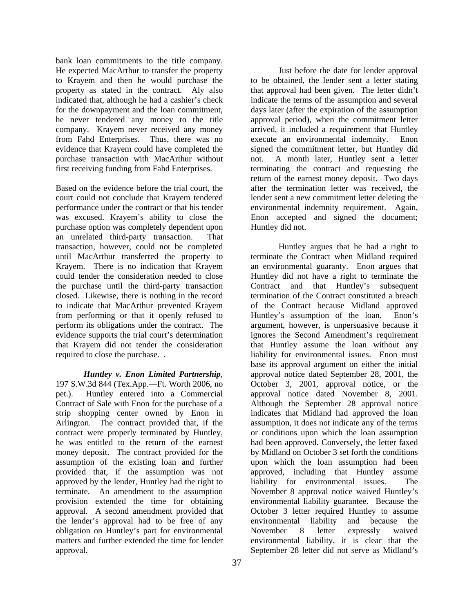bank loan commitments to the title company. He expected MacArthur to transfer the property to Krayem and then he would purchase the property as stated in the contract. Aly also indicated that, although he had a cashier's check for the downpayment and the loan commitment, he never tendered any money to the title company. Krayem never received any money from Fahd Enterprises. Thus, there was no evidence that Krayem could have completed the purchase transaction with MacArthur without first receiving funding from Fahd Enterprises.

Based on the evidence before the trial court, the court could not conclude that Krayem tendered performance under the contract or that his tender was excused. Krayem's ability to close the purchase option was completely dependent upon an unrelated third-party transaction. That transaction, however, could not be completed until MacArthur transferred the property to Krayem. There is no indication that Krayem could tender the consideration needed to close the purchase until the third-party transaction closed. Likewise, there is nothing in the record to indicate that MacArthur prevented Krayem from performing or that it openly refused to perform its obligations under the contract. The evidence supports the trial court's determination that Krayem did not tender the consideration required to close the purchase. .

*Huntley v. Enon Limited Partnership*, 197 S.W.3d 844 (Tex.App.—Ft. Worth 2006, no pet.). Huntley entered into a Commercial Contract of Sale with Enon for the purchase of a strip shopping center owned by Enon in Arlington. The contract provided that, if the contract were properly terminated by Huntley, he was entitled to the return of the earnest money deposit. The contract provided for the assumption of the existing loan and further provided that, if the assumption was not approved by the lender, Huntley had the right to terminate. An amendment to the assumption provision extended the time for obtaining approval. A second amendment provided that the lender's approval had to be free of any obligation on Huntley's part for environmental matters and further extended the time for lender approval.

 Just before the date for lender approval to be obtained, the lender sent a letter stating that approval had been given. The letter didn't indicate the terms of the assumption and several days later (after the expiration of the assumption approval period), when the commitment letter arrived, it included a requirement that Huntley execute an environmental indemnity. Enon signed the commitment letter, but Huntley did not. A month later, Huntley sent a letter terminating the contract and requesting the return of the earnest money deposit. Two days after the termination letter was received, the lender sent a new commitment letter deleting the environmental indemnity requirement. Again, Enon accepted and signed the document; Huntley did not.

 Huntley argues that he had a right to terminate the Contract when Midland required an environmental guaranty. Enon argues that Huntley did not have a right to terminate the Contract and that Huntley's subsequent termination of the Contract constituted a breach of the Contract because Midland approved Huntley's assumption of the loan. Enon's argument, however, is unpersuasive because it ignores the Second Amendment's requirement that Huntley assume the loan without any liability for environmental issues. Enon must base its approval argument on either the initial approval notice dated September 28, 2001, the October 3, 2001, approval notice, or the approval notice dated November 8, 2001. Although the September 28 approval notice indicates that Midland had approved the loan assumption, it does not indicate any of the terms or conditions upon which the loan assumption had been approved. Conversely, the letter faxed by Midland on October 3 set forth the conditions upon which the loan assumption had been approved, including that Huntley assume liability for environmental issues. The November 8 approval notice waived Huntley's environmental liability guarantee. Because the October 3 letter required Huntley to assume environmental liability and because the November 8 letter expressly waived environmental liability, it is clear that the September 28 letter did not serve as Midland's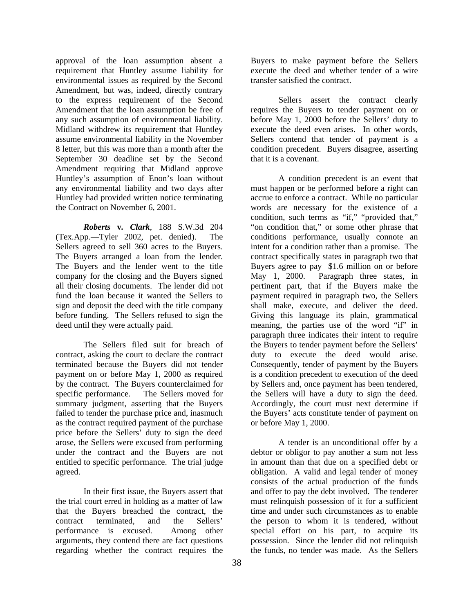approval of the loan assumption absent a requirement that Huntley assume liability for environmental issues as required by the Second Amendment, but was, indeed, directly contrary to the express requirement of the Second Amendment that the loan assumption be free of any such assumption of environmental liability. Midland withdrew its requirement that Huntley assume environmental liability in the November 8 letter, but this was more than a month after the September 30 deadline set by the Second Amendment requiring that Midland approve Huntley's assumption of Enon's loan without any environmental liability and two days after Huntley had provided written notice terminating the Contract on November 6, 2001.

*Roberts* **v***. Clark*, 188 S.W.3d 204 (Tex.App.—Tyler 2002, pet. denied). The Sellers agreed to sell 360 acres to the Buyers. The Buyers arranged a loan from the lender. The Buyers and the lender went to the title company for the closing and the Buyers signed all their closing documents. The lender did not fund the loan because it wanted the Sellers to sign and deposit the deed with the title company before funding. The Sellers refused to sign the deed until they were actually paid.

 The Sellers filed suit for breach of contract, asking the court to declare the contract terminated because the Buyers did not tender payment on or before May 1, 2000 as required by the contract. The Buyers counterclaimed for specific performance. The Sellers moved for summary judgment, asserting that the Buyers failed to tender the purchase price and, inasmuch as the contract required payment of the purchase price before the Sellers' duty to sign the deed arose, the Sellers were excused from performing under the contract and the Buyers are not entitled to specific performance. The trial judge agreed.

 In their first issue, the Buyers assert that the trial court erred in holding as a matter of law that the Buyers breached the contract, the contract terminated, and the Sellers' performance is excused. Among other arguments, they contend there are fact questions regarding whether the contract requires the

Buyers to make payment before the Sellers execute the deed and whether tender of a wire transfer satisfied the contract.

 Sellers assert the contract clearly requires the Buyers to tender payment on or before May 1, 2000 before the Sellers' duty to execute the deed even arises. In other words, Sellers contend that tender of payment is a condition precedent. Buyers disagree, asserting that it is a covenant.

 A condition precedent is an event that must happen or be performed before a right can accrue to enforce a contract. While no particular words are necessary for the existence of a condition, such terms as "if," "provided that," "on condition that," or some other phrase that conditions performance, usually connote an intent for a condition rather than a promise. The contract specifically states in paragraph two that Buyers agree to pay \$1.6 million on or before May 1, 2000. Paragraph three states, in pertinent part, that if the Buyers make the payment required in paragraph two, the Sellers shall make, execute, and deliver the deed. Giving this language its plain, grammatical meaning, the parties use of the word "if" in paragraph three indicates their intent to require the Buyers to tender payment before the Sellers' duty to execute the deed would arise. Consequently, tender of payment by the Buyers is a condition precedent to execution of the deed by Sellers and, once payment has been tendered, the Sellers will have a duty to sign the deed. Accordingly, the court must next determine if the Buyers' acts constitute tender of payment on or before May 1, 2000.

 A tender is an unconditional offer by a debtor or obligor to pay another a sum not less in amount than that due on a specified debt or obligation. A valid and legal tender of money consists of the actual production of the funds and offer to pay the debt involved. The tenderer must relinquish possession of it for a sufficient time and under such circumstances as to enable the person to whom it is tendered, without special effort on his part, to acquire its possession. Since the lender did not relinquish the funds, no tender was made. As the Sellers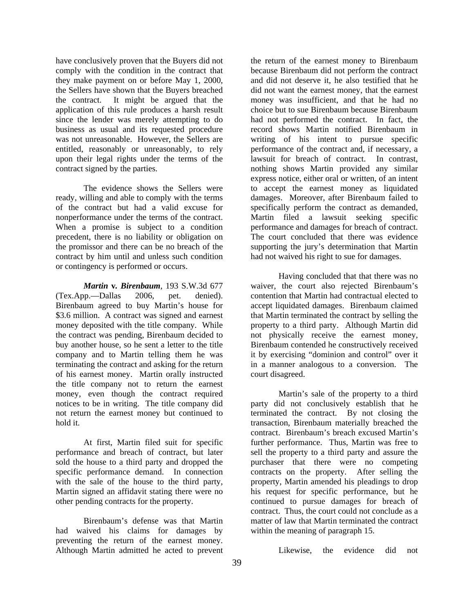have conclusively proven that the Buyers did not comply with the condition in the contract that they make payment on or before May 1, 2000, the Sellers have shown that the Buyers breached the contract. It might be argued that the application of this rule produces a harsh result since the lender was merely attempting to do business as usual and its requested procedure was not unreasonable. However, the Sellers are entitled, reasonably or unreasonably, to rely upon their legal rights under the terms of the contract signed by the parties.

 The evidence shows the Sellers were ready, willing and able to comply with the terms of the contract but had a valid excuse for nonperformance under the terms of the contract. When a promise is subject to a condition precedent, there is no liability or obligation on the promissor and there can be no breach of the contract by him until and unless such condition or contingency is performed or occurs.

*Martin* **v***. Birenbaum*, 193 S.W.3d 677 (Tex.App.—Dallas 2006, pet. denied). Birenbaum agreed to buy Martin's house for \$3.6 million. A contract was signed and earnest money deposited with the title company. While the contract was pending, Birenbaum decided to buy another house, so he sent a letter to the title company and to Martin telling them he was terminating the contract and asking for the return of his earnest money. Martin orally instructed the title company not to return the earnest money, even though the contract required notices to be in writing. The title company did not return the earnest money but continued to hold it.

 At first, Martin filed suit for specific performance and breach of contract, but later sold the house to a third party and dropped the specific performance demand. In connection with the sale of the house to the third party, Martin signed an affidavit stating there were no other pending contracts for the property.

 Birenbaum's defense was that Martin had waived his claims for damages by preventing the return of the earnest money. Although Martin admitted he acted to prevent

the return of the earnest money to Birenbaum because Birenbaum did not perform the contract and did not deserve it, he also testified that he did not want the earnest money, that the earnest money was insufficient, and that he had no choice but to sue Birenbaum because Birenbaum had not performed the contract. In fact, the record shows Martin notified Birenbaum in writing of his intent to pursue specific performance of the contract and, if necessary, a lawsuit for breach of contract. In contrast, nothing shows Martin provided any similar express notice, either oral or written, of an intent to accept the earnest money as liquidated damages. Moreover, after Birenbaum failed to specifically perform the contract as demanded, Martin filed a lawsuit seeking specific performance and damages for breach of contract. The court concluded that there was evidence supporting the jury's determination that Martin had not waived his right to sue for damages.

 Having concluded that that there was no waiver, the court also rejected Birenbaum's contention that Martin had contractual elected to accept liquidated damages. Birenbaum claimed that Martin terminated the contract by selling the property to a third party. Although Martin did not physically receive the earnest money, Birenbaum contended he constructively received it by exercising "dominion and control" over it in a manner analogous to a conversion. The court disagreed.

 Martin's sale of the property to a third party did not conclusively establish that he terminated the contract. By not closing the transaction, Birenbaum materially breached the contract. Birenbaum's breach excused Martin's further performance. Thus, Martin was free to sell the property to a third party and assure the purchaser that there were no competing contracts on the property. After selling the property, Martin amended his pleadings to drop his request for specific performance, but he continued to pursue damages for breach of contract. Thus, the court could not conclude as a matter of law that Martin terminated the contract within the meaning of paragraph 15.

Likewise, the evidence did not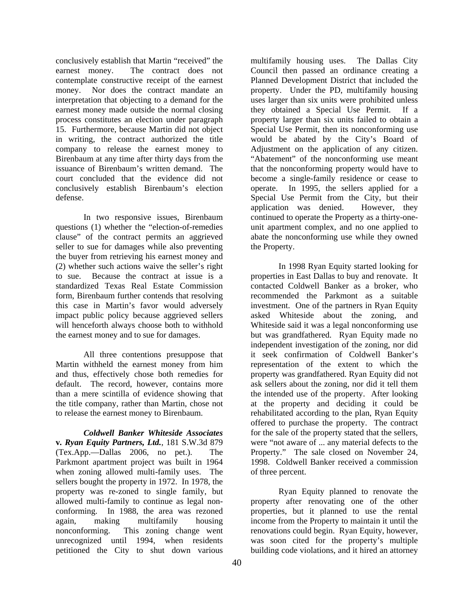conclusively establish that Martin "received" the earnest money. The contract does not contemplate constructive receipt of the earnest money. Nor does the contract mandate an interpretation that objecting to a demand for the earnest money made outside the normal closing process constitutes an election under paragraph 15. Furthermore, because Martin did not object in writing, the contract authorized the title company to release the earnest money to Birenbaum at any time after thirty days from the issuance of Birenbaum's written demand. The court concluded that the evidence did not conclusively establish Birenbaum's election defense.

 In two responsive issues, Birenbaum questions (1) whether the "election-of-remedies clause" of the contract permits an aggrieved seller to sue for damages while also preventing the buyer from retrieving his earnest money and (2) whether such actions waive the seller's right to sue. Because the contract at issue is a standardized Texas Real Estate Commission form, Birenbaum further contends that resolving this case in Martin's favor would adversely impact public policy because aggrieved sellers will henceforth always choose both to withhold the earnest money and to sue for damages.

 All three contentions presuppose that Martin withheld the earnest money from him and thus, effectively chose both remedies for default. The record, however, contains more than a mere scintilla of evidence showing that the title company, rather than Martin, chose not to release the earnest money to Birenbaum.

 *Coldwell Banker Whiteside Associates*  **v***. Ryan Equity Partners, Ltd.*, 181 S.W.3d 879 (Tex.App.—Dallas 2006, no pet.). The Parkmont apartment project was built in 1964 when zoning allowed multi-family uses. The sellers bought the property in 1972. In 1978, the property was re-zoned to single family, but allowed multi-family to continue as legal nonconforming. In 1988, the area was rezoned again, making multifamily housing nonconforming. This zoning change went unrecognized until 1994, when residents petitioned the City to shut down various

multifamily housing uses. The Dallas City Council then passed an ordinance creating a Planned Development District that included the property. Under the PD, multifamily housing uses larger than six units were prohibited unless they obtained a Special Use Permit. If a property larger than six units failed to obtain a Special Use Permit, then its nonconforming use would be abated by the City's Board of Adjustment on the application of any citizen. "Abatement" of the nonconforming use meant that the nonconforming property would have to become a single-family residence or cease to operate. In 1995, the sellers applied for a Special Use Permit from the City, but their application was denied. However, they continued to operate the Property as a thirty-oneunit apartment complex, and no one applied to abate the nonconforming use while they owned the Property.

 In 1998 Ryan Equity started looking for properties in East Dallas to buy and renovate. It contacted Coldwell Banker as a broker, who recommended the Parkmont as a suitable investment. One of the partners in Ryan Equity asked Whiteside about the zoning, and Whiteside said it was a legal nonconforming use but was grandfathered. Ryan Equity made no independent investigation of the zoning, nor did it seek confirmation of Coldwell Banker's representation of the extent to which the property was grandfathered. Ryan Equity did not ask sellers about the zoning, nor did it tell them the intended use of the property. After looking at the property and deciding it could be rehabilitated according to the plan, Ryan Equity offered to purchase the property. The contract for the sale of the property stated that the sellers, were "not aware of ... any material defects to the Property." The sale closed on November 24, 1998. Coldwell Banker received a commission of three percent.

 Ryan Equity planned to renovate the property after renovating one of the other properties, but it planned to use the rental income from the Property to maintain it until the renovations could begin. Ryan Equity, however, was soon cited for the property's multiple building code violations, and it hired an attorney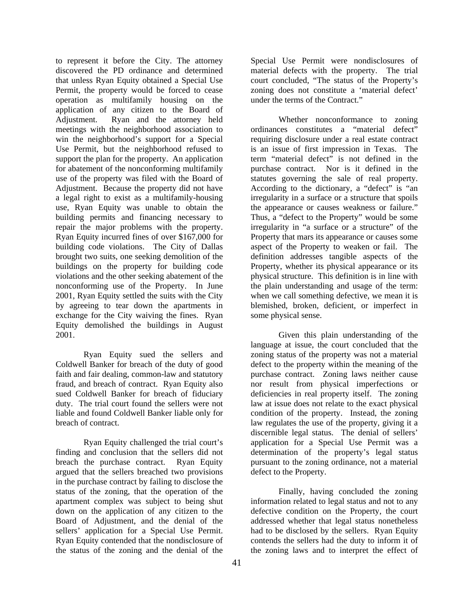to represent it before the City. The attorney discovered the PD ordinance and determined that unless Ryan Equity obtained a Special Use Permit, the property would be forced to cease operation as multifamily housing on the application of any citizen to the Board of Adjustment. Ryan and the attorney held meetings with the neighborhood association to win the neighborhood's support for a Special Use Permit, but the neighborhood refused to support the plan for the property. An application for abatement of the nonconforming multifamily use of the property was filed with the Board of Adjustment. Because the property did not have a legal right to exist as a multifamily-housing use, Ryan Equity was unable to obtain the building permits and financing necessary to repair the major problems with the property. Ryan Equity incurred fines of over \$167,000 for building code violations. The City of Dallas brought two suits, one seeking demolition of the buildings on the property for building code violations and the other seeking abatement of the nonconforming use of the Property. In June 2001, Ryan Equity settled the suits with the City by agreeing to tear down the apartments in exchange for the City waiving the fines. Ryan Equity demolished the buildings in August 2001.

 Ryan Equity sued the sellers and Coldwell Banker for breach of the duty of good faith and fair dealing, common-law and statutory fraud, and breach of contract. Ryan Equity also sued Coldwell Banker for breach of fiduciary duty. The trial court found the sellers were not liable and found Coldwell Banker liable only for breach of contract.

 Ryan Equity challenged the trial court's finding and conclusion that the sellers did not breach the purchase contract. Ryan Equity argued that the sellers breached two provisions in the purchase contract by failing to disclose the status of the zoning, that the operation of the apartment complex was subject to being shut down on the application of any citizen to the Board of Adjustment, and the denial of the sellers' application for a Special Use Permit. Ryan Equity contended that the nondisclosure of the status of the zoning and the denial of the

Special Use Permit were nondisclosures of material defects with the property. The trial court concluded, "The status of the Property's zoning does not constitute a 'material defect' under the terms of the Contract."

 Whether nonconformance to zoning ordinances constitutes a "material defect" requiring disclosure under a real estate contract is an issue of first impression in Texas. The term "material defect" is not defined in the purchase contract. Nor is it defined in the statutes governing the sale of real property. According to the dictionary, a "defect" is "an irregularity in a surface or a structure that spoils the appearance or causes weakness or failure." Thus, a "defect to the Property" would be some irregularity in "a surface or a structure" of the Property that mars its appearance or causes some aspect of the Property to weaken or fail. The definition addresses tangible aspects of the Property, whether its physical appearance or its physical structure. This definition is in line with the plain understanding and usage of the term: when we call something defective, we mean it is blemished, broken, deficient, or imperfect in some physical sense.

 Given this plain understanding of the language at issue, the court concluded that the zoning status of the property was not a material defect to the property within the meaning of the purchase contract. Zoning laws neither cause nor result from physical imperfections or deficiencies in real property itself. The zoning law at issue does not relate to the exact physical condition of the property. Instead, the zoning law regulates the use of the property, giving it a discernible legal status. The denial of sellers' application for a Special Use Permit was a determination of the property's legal status pursuant to the zoning ordinance, not a material defect to the Property.

 Finally, having concluded the zoning information related to legal status and not to any defective condition on the Property, the court addressed whether that legal status nonetheless had to be disclosed by the sellers. Ryan Equity contends the sellers had the duty to inform it of the zoning laws and to interpret the effect of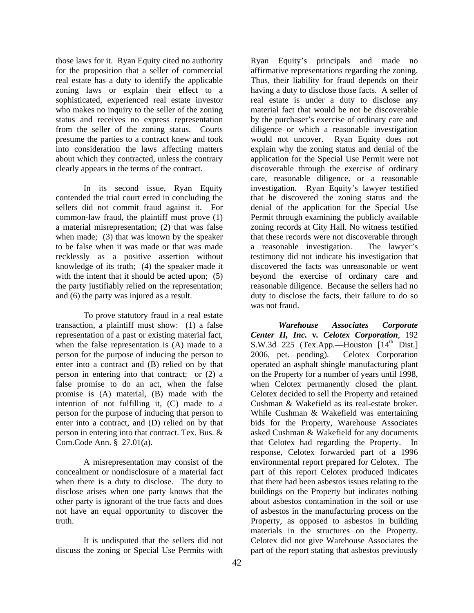those laws for it. Ryan Equity cited no authority for the proposition that a seller of commercial real estate has a duty to identify the applicable zoning laws or explain their effect to a sophisticated, experienced real estate investor who makes no inquiry to the seller of the zoning status and receives no express representation from the seller of the zoning status. Courts presume the parties to a contract knew and took into consideration the laws affecting matters about which they contracted, unless the contrary clearly appears in the terms of the contract.

 In its second issue, Ryan Equity contended the trial court erred in concluding the sellers did not commit fraud against it. For common-law fraud, the plaintiff must prove (1) a material misrepresentation; (2) that was false when made; (3) that was known by the speaker to be false when it was made or that was made recklessly as a positive assertion without knowledge of its truth; (4) the speaker made it with the intent that it should be acted upon; (5) the party justifiably relied on the representation; and (6) the party was injured as a result.

 To prove statutory fraud in a real estate transaction, a plaintiff must show: (1) a false representation of a past or existing material fact, when the false representation is (A) made to a person for the purpose of inducing the person to enter into a contract and (B) relied on by that person in entering into that contract; or (2) a false promise to do an act, when the false promise is (A) material, (B) made with the intention of not fulfilling it, (C) made to a person for the purpose of inducing that person to enter into a contract, and (D) relied on by that person in entering into that contract. Tex. Bus. & Com.Code Ann. § 27.01(a).

 A misrepresentation may consist of the concealment or nondisclosure of a material fact when there is a duty to disclose. The duty to disclose arises when one party knows that the other party is ignorant of the true facts and does not have an equal opportunity to discover the truth.

 It is undisputed that the sellers did not discuss the zoning or Special Use Permits with

Ryan Equity's principals and made no affirmative representations regarding the zoning. Thus, their liability for fraud depends on their having a duty to disclose those facts. A seller of real estate is under a duty to disclose any material fact that would be not be discoverable by the purchaser's exercise of ordinary care and diligence or which a reasonable investigation would not uncover. Ryan Equity does not explain why the zoning status and denial of the application for the Special Use Permit were not discoverable through the exercise of ordinary care, reasonable diligence, or a reasonable investigation. Ryan Equity's lawyer testified that he discovered the zoning status and the denial of the application for the Special Use Permit through examining the publicly available zoning records at City Hall. No witness testified that these records were not discoverable through a reasonable investigation. The lawyer's testimony did not indicate his investigation that discovered the facts was unreasonable or went beyond the exercise of ordinary care and reasonable diligence. Because the sellers had no duty to disclose the facts, their failure to do so was not fraud.

 *Warehouse Associates Corporate Center II, Inc.* **v***. Celotex Corporation*, 192 S.W.3d 225 (Tex.App.—Houston  $[14<sup>th</sup>]$  Dist.] 2006, pet. pending). Celotex Corporation operated an asphalt shingle manufacturing plant on the Property for a number of years until 1998, when Celotex permanently closed the plant. Celotex decided to sell the Property and retained Cushman & Wakefield as its real-estate broker. While Cushman & Wakefield was entertaining bids for the Property, Warehouse Associates asked Cushman & Wakefield for any documents that Celotex had regarding the Property. In response, Celotex forwarded part of a 1996 environmental report prepared for Celotex. The part of this report Celotex produced indicates that there had been asbestos issues relating to the buildings on the Property but indicates nothing about asbestos contamination in the soil or use of asbestos in the manufacturing process on the Property, as opposed to asbestos in building materials in the structures on the Property. Celotex did not give Warehouse Associates the part of the report stating that asbestos previously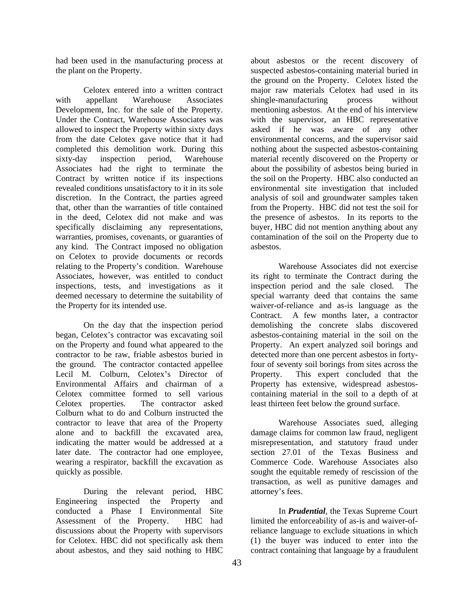had been used in the manufacturing process at the plant on the Property.

 Celotex entered into a written contract with appellant Warehouse Associates Development, Inc. for the sale of the Property. Under the Contract, Warehouse Associates was allowed to inspect the Property within sixty days from the date Celotex gave notice that it had completed this demolition work. During this sixty-day inspection period, Warehouse Associates had the right to terminate the Contract by written notice if its inspections revealed conditions unsatisfactory to it in its sole discretion. In the Contract, the parties agreed that, other than the warranties of title contained in the deed, Celotex did not make and was specifically disclaiming any representations, warranties, promises, covenants, or guaranties of any kind. The Contract imposed no obligation on Celotex to provide documents or records relating to the Property's condition. Warehouse Associates, however, was entitled to conduct inspections, tests, and investigations as it deemed necessary to determine the suitability of the Property for its intended use.

 On the day that the inspection period began, Celotex's contractor was excavating soil on the Property and found what appeared to the contractor to be raw, friable asbestos buried in the ground. The contractor contacted appellee Lecil M. Colburn, Celotex's Director of Environmental Affairs and chairman of a Celotex committee formed to sell various Celotex properties. The contractor asked Colburn what to do and Colburn instructed the contractor to leave that area of the Property alone and to backfill the excavated area, indicating the matter would be addressed at a later date. The contractor had one employee, wearing a respirator, backfill the excavation as quickly as possible.

 During the relevant period, HBC Engineering inspected the Property and conducted a Phase I Environmental Site Assessment of the Property. HBC had discussions about the Property with supervisors for Celotex. HBC did not specifically ask them about asbestos, and they said nothing to HBC

about asbestos or the recent discovery of suspected asbestos-containing material buried in the ground on the Property. Celotex listed the major raw materials Celotex had used in its shingle-manufacturing process without mentioning asbestos. At the end of his interview with the supervisor, an HBC representative asked if he was aware of any other environmental concerns, and the supervisor said nothing about the suspected asbestos-containing material recently discovered on the Property or about the possibility of asbestos being buried in the soil on the Property. HBC also conducted an environmental site investigation that included analysis of soil and groundwater samples taken from the Property. HBC did not test the soil for the presence of asbestos. In its reports to the buyer, HBC did not mention anything about any contamination of the soil on the Property due to asbestos.

 Warehouse Associates did not exercise its right to terminate the Contract during the inspection period and the sale closed. The special warranty deed that contains the same waiver-of-reliance and as-is language as the Contract. A few months later, a contractor demolishing the concrete slabs discovered asbestos-containing material in the soil on the Property. An expert analyzed soil borings and detected more than one percent asbestos in fortyfour of seventy soil borings from sites across the Property. This expert concluded that the Property has extensive, widespread asbestoscontaining material in the soil to a depth of at least thirteen feet below the ground surface.

 Warehouse Associates sued, alleging damage claims for common law fraud, negligent misrepresentation, and statutory fraud under section 27.01 of the Texas Business and Commerce Code. Warehouse Associates also sought the equitable remedy of rescission of the transaction, as well as punitive damages and attorney's fees.

 In *Prudential*, the Texas Supreme Court limited the enforceability of as-is and waiver-ofreliance language to exclude situations in which (1) the buyer was induced to enter into the contract containing that language by a fraudulent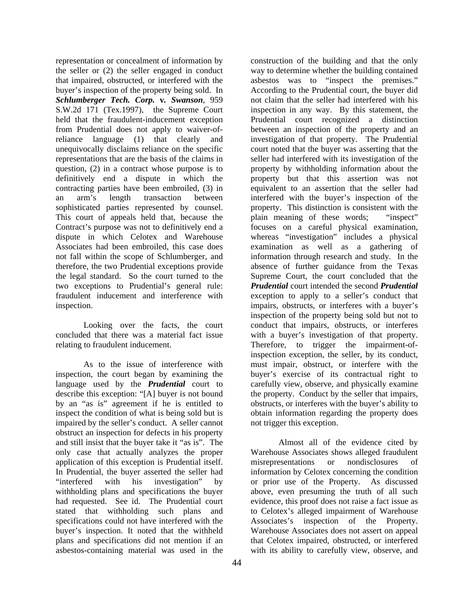representation or concealment of information by the seller or (2) the seller engaged in conduct that impaired, obstructed, or interfered with the buyer's inspection of the property being sold. In *Schlumberger Tech. Corp.* **v***. Swanson*, 959 S.W.2d 171 (Tex.1997), the Supreme Court held that the fraudulent-inducement exception from Prudential does not apply to waiver-ofreliance language (1) that clearly and unequivocally disclaims reliance on the specific representations that are the basis of the claims in question, (2) in a contract whose purpose is to definitively end a dispute in which the contracting parties have been embroiled, (3) in an arm's length transaction between sophisticated parties represented by counsel. This court of appeals held that, because the Contract's purpose was not to definitively end a dispute in which Celotex and Warehouse Associates had been embroiled, this case does not fall within the scope of Schlumberger, and therefore, the two Prudential exceptions provide the legal standard. So the court turned to the two exceptions to Prudential's general rule: fraudulent inducement and interference with inspection.

 Looking over the facts, the court concluded that there was a material fact issue relating to fraudulent inducement.

 As to the issue of interference with inspection, the court began by examining the language used by the *Prudential* court to describe this exception: "[A] buyer is not bound by an "as is" agreement if he is entitled to inspect the condition of what is being sold but is impaired by the seller's conduct. A seller cannot obstruct an inspection for defects in his property and still insist that the buyer take it "as is". The only case that actually analyzes the proper application of this exception is Prudential itself. In Prudential, the buyer asserted the seller had "interfered with his investigation" by withholding plans and specifications the buyer had requested. See id. The Prudential court stated that withholding such plans and specifications could not have interfered with the buyer's inspection. It noted that the withheld plans and specifications did not mention if an asbestos-containing material was used in the

construction of the building and that the only way to determine whether the building contained asbestos was to "inspect the premises." According to the Prudential court, the buyer did not claim that the seller had interfered with his inspection in any way. By this statement, the Prudential court recognized a distinction between an inspection of the property and an investigation of that property. The Prudential court noted that the buyer was asserting that the seller had interfered with its investigation of the property by withholding information about the property but that this assertion was not equivalent to an assertion that the seller had interfered with the buyer's inspection of the property. This distinction is consistent with the plain meaning of these words; "inspect" focuses on a careful physical examination, whereas "investigation" includes a physical examination as well as a gathering of information through research and study. In the absence of further guidance from the Texas Supreme Court, the court concluded that the *Prudential* court intended the second *Prudential* exception to apply to a seller's conduct that impairs, obstructs, or interferes with a buyer's inspection of the property being sold but not to conduct that impairs, obstructs, or interferes with a buyer's investigation of that property. Therefore, to trigger the impairment-ofinspection exception, the seller, by its conduct, must impair, obstruct, or interfere with the buyer's exercise of its contractual right to carefully view, observe, and physically examine the property. Conduct by the seller that impairs, obstructs, or interferes with the buyer's ability to obtain information regarding the property does not trigger this exception.

 Almost all of the evidence cited by Warehouse Associates shows alleged fraudulent misrepresentations or nondisclosures of information by Celotex concerning the condition or prior use of the Property. As discussed above, even presuming the truth of all such evidence, this proof does not raise a fact issue as to Celotex's alleged impairment of Warehouse Associates's inspection of the Property. Warehouse Associates does not assert on appeal that Celotex impaired, obstructed, or interfered with its ability to carefully view, observe, and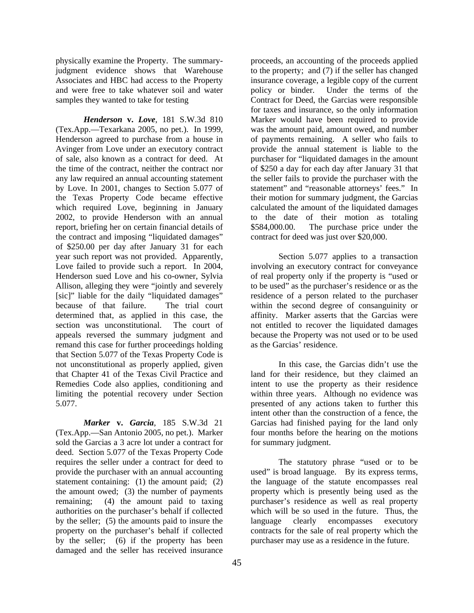physically examine the Property. The summaryjudgment evidence shows that Warehouse Associates and HBC had access to the Property and were free to take whatever soil and water samples they wanted to take for testing

*Henderson* **v.** *Love*, 181 S.W.3d 810 (Tex.App.—Texarkana 2005, no pet.). In 1999, Henderson agreed to purchase from a house in Avinger from Love under an executory contract of sale, also known as a contract for deed. At the time of the contract, neither the contract nor any law required an annual accounting statement by Love. In 2001, changes to Section 5.077 of the Texas Property Code became effective which required Love, beginning in January 2002, to provide Henderson with an annual report, briefing her on certain financial details of the contract and imposing "liquidated damages" of \$250.00 per day after January 31 for each year such report was not provided. Apparently, Love failed to provide such a report. In 2004, Henderson sued Love and his co-owner, Sylvia Allison, alleging they were "jointly and severely [sic]" liable for the daily "liquidated damages" because of that failure. The trial court determined that, as applied in this case, the section was unconstitutional. The court of appeals reversed the summary judgment and remand this case for further proceedings holding that Section 5.077 of the Texas Property Code is not unconstitutional as properly applied, given that Chapter 41 of the Texas Civil Practice and Remedies Code also applies, conditioning and limiting the potential recovery under Section 5.077.

*Marker* **v.** *Garcia*, 185 S.W.3d 21 (Tex.App.—San Antonio 2005, no pet.). Marker sold the Garcias a 3 acre lot under a contract for deed. Section 5.077 of the Texas Property Code requires the seller under a contract for deed to provide the purchaser with an annual accounting statement containing: (1) the amount paid; (2) the amount owed; (3) the number of payments remaining; (4) the amount paid to taxing authorities on the purchaser's behalf if collected by the seller; (5) the amounts paid to insure the property on the purchaser's behalf if collected by the seller; (6) if the property has been damaged and the seller has received insurance

proceeds, an accounting of the proceeds applied to the property; and (7) if the seller has changed insurance coverage, a legible copy of the current policy or binder. Under the terms of the Contract for Deed, the Garcias were responsible for taxes and insurance, so the only information Marker would have been required to provide was the amount paid, amount owed, and number of payments remaining. A seller who fails to provide the annual statement is liable to the purchaser for "liquidated damages in the amount of \$250 a day for each day after January 31 that the seller fails to provide the purchaser with the statement" and "reasonable attorneys' fees." In their motion for summary judgment, the Garcias calculated the amount of the liquidated damages to the date of their motion as totaling \$584,000.00. The purchase price under the contract for deed was just over \$20,000.

 Section 5.077 applies to a transaction involving an executory contract for conveyance of real property only if the property is "used or to be used" as the purchaser's residence or as the residence of a person related to the purchaser within the second degree of consanguinity or affinity. Marker asserts that the Garcias were not entitled to recover the liquidated damages because the Property was not used or to be used as the Garcias' residence.

 In this case, the Garcias didn't use the land for their residence, but they claimed an intent to use the property as their residence within three years. Although no evidence was presented of any actions taken to further this intent other than the construction of a fence, the Garcias had finished paying for the land only four months before the hearing on the motions for summary judgment.

 The statutory phrase "used or to be used" is broad language. By its express terms, the language of the statute encompasses real property which is presently being used as the purchaser's residence as well as real property which will be so used in the future. Thus, the language clearly encompasses executory contracts for the sale of real property which the purchaser may use as a residence in the future.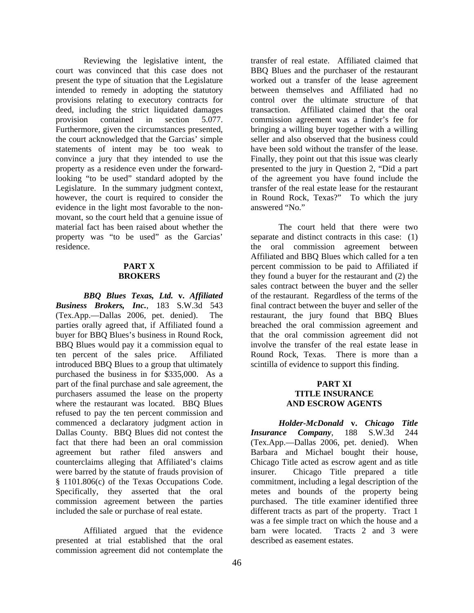Reviewing the legislative intent, the court was convinced that this case does not present the type of situation that the Legislature intended to remedy in adopting the statutory provisions relating to executory contracts for deed, including the strict liquidated damages provision contained in section 5.077. Furthermore, given the circumstances presented, the court acknowledged that the Garcias' simple statements of intent may be too weak to convince a jury that they intended to use the property as a residence even under the forwardlooking "to be used" standard adopted by the Legislature. In the summary judgment context, however, the court is required to consider the evidence in the light most favorable to the nonmovant, so the court held that a genuine issue of material fact has been raised about whether the property was "to be used" as the Garcias' residence.

### **PART X BROKERS**

*BBQ Blues Texas, Ltd.* **v.** *Affiliated Business Brokers, Inc.*, 183 S.W.3d 543 (Tex.App.—Dallas 2006, pet. denied). The parties orally agreed that, if Affiliated found a buyer for BBQ Blues's business in Round Rock, BBQ Blues would pay it a commission equal to ten percent of the sales price. Affiliated introduced BBQ Blues to a group that ultimately purchased the business in for \$335,000. As a part of the final purchase and sale agreement, the purchasers assumed the lease on the property where the restaurant was located. BBQ Blues refused to pay the ten percent commission and commenced a declaratory judgment action in Dallas County. BBQ Blues did not contest the fact that there had been an oral commission agreement but rather filed answers and counterclaims alleging that Affiliated's claims were barred by the statute of frauds provision of § 1101.806(c) of the Texas Occupations Code. Specifically, they asserted that the oral commission agreement between the parties included the sale or purchase of real estate.

 Affiliated argued that the evidence presented at trial established that the oral commission agreement did not contemplate the

transfer of real estate. Affiliated claimed that BBQ Blues and the purchaser of the restaurant worked out a transfer of the lease agreement between themselves and Affiliated had no control over the ultimate structure of that transaction. Affiliated claimed that the oral commission agreement was a finder's fee for bringing a willing buyer together with a willing seller and also observed that the business could have been sold without the transfer of the lease. Finally, they point out that this issue was clearly presented to the jury in Question 2, "Did a part of the agreement you have found include the transfer of the real estate lease for the restaurant in Round Rock, Texas?" To which the jury answered "No."

 The court held that there were two separate and distinct contracts in this case: (1) the oral commission agreement between Affiliated and BBQ Blues which called for a ten percent commission to be paid to Affiliated if they found a buyer for the restaurant and (2) the sales contract between the buyer and the seller of the restaurant. Regardless of the terms of the final contract between the buyer and seller of the restaurant, the jury found that BBQ Blues breached the oral commission agreement and that the oral commission agreement did not involve the transfer of the real estate lease in Round Rock, Texas. There is more than a scintilla of evidence to support this finding.

# **PART XI TITLE INSURANCE AND ESCROW AGENTS**

*Holder-McDonald* **v.** *Chicago Title Insurance Company*, 188 S.W.3d 244 (Tex.App.—Dallas 2006, pet. denied). When Barbara and Michael bought their house, Chicago Title acted as escrow agent and as title insurer. Chicago Title prepared a title commitment, including a legal description of the metes and bounds of the property being purchased. The title examiner identified three different tracts as part of the property. Tract 1 was a fee simple tract on which the house and a barn were located. Tracts 2 and 3 were described as easement estates.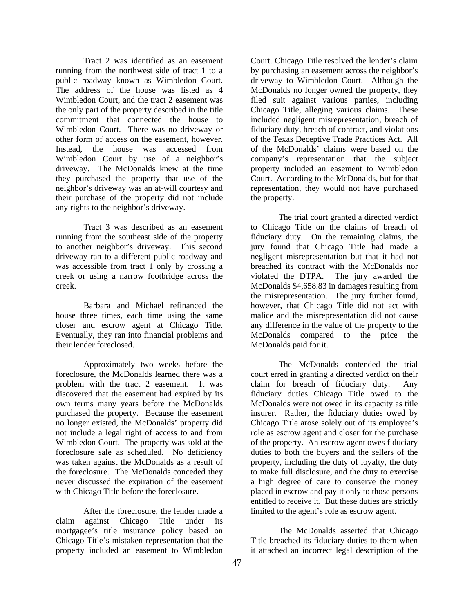Tract 2 was identified as an easement running from the northwest side of tract 1 to a public roadway known as Wimbledon Court. The address of the house was listed as 4 Wimbledon Court, and the tract 2 easement was the only part of the property described in the title commitment that connected the house to Wimbledon Court. There was no driveway or other form of access on the easement, however. Instead, the house was accessed from Wimbledon Court by use of a neighbor's driveway. The McDonalds knew at the time they purchased the property that use of the neighbor's driveway was an at-will courtesy and their purchase of the property did not include any rights to the neighbor's driveway.

 Tract 3 was described as an easement running from the southeast side of the property to another neighbor's driveway. This second driveway ran to a different public roadway and was accessible from tract 1 only by crossing a creek or using a narrow footbridge across the creek.

 Barbara and Michael refinanced the house three times, each time using the same closer and escrow agent at Chicago Title. Eventually, they ran into financial problems and their lender foreclosed.

 Approximately two weeks before the foreclosure, the McDonalds learned there was a problem with the tract 2 easement. It was discovered that the easement had expired by its own terms many years before the McDonalds purchased the property. Because the easement no longer existed, the McDonalds' property did not include a legal right of access to and from Wimbledon Court. The property was sold at the foreclosure sale as scheduled. No deficiency was taken against the McDonalds as a result of the foreclosure. The McDonalds conceded they never discussed the expiration of the easement with Chicago Title before the foreclosure.

 After the foreclosure, the lender made a claim against Chicago Title under its mortgagee's title insurance policy based on Chicago Title's mistaken representation that the property included an easement to Wimbledon

Court. Chicago Title resolved the lender's claim by purchasing an easement across the neighbor's driveway to Wimbledon Court. Although the McDonalds no longer owned the property, they filed suit against various parties, including Chicago Title, alleging various claims. These included negligent misrepresentation, breach of fiduciary duty, breach of contract, and violations of the Texas Deceptive Trade Practices Act. All of the McDonalds' claims were based on the company's representation that the subject property included an easement to Wimbledon Court. According to the McDonalds, but for that representation, they would not have purchased the property.

 The trial court granted a directed verdict to Chicago Title on the claims of breach of fiduciary duty. On the remaining claims, the jury found that Chicago Title had made a negligent misrepresentation but that it had not breached its contract with the McDonalds nor violated the DTPA. The jury awarded the McDonalds \$4,658.83 in damages resulting from the misrepresentation. The jury further found, however, that Chicago Title did not act with malice and the misrepresentation did not cause any difference in the value of the property to the McDonalds compared to the price the McDonalds paid for it.

 The McDonalds contended the trial court erred in granting a directed verdict on their claim for breach of fiduciary duty. Any fiduciary duties Chicago Title owed to the McDonalds were not owed in its capacity as title insurer. Rather, the fiduciary duties owed by Chicago Title arose solely out of its employee's role as escrow agent and closer for the purchase of the property. An escrow agent owes fiduciary duties to both the buyers and the sellers of the property, including the duty of loyalty, the duty to make full disclosure, and the duty to exercise a high degree of care to conserve the money placed in escrow and pay it only to those persons entitled to receive it. But these duties are strictly limited to the agent's role as escrow agent.

 The McDonalds asserted that Chicago Title breached its fiduciary duties to them when it attached an incorrect legal description of the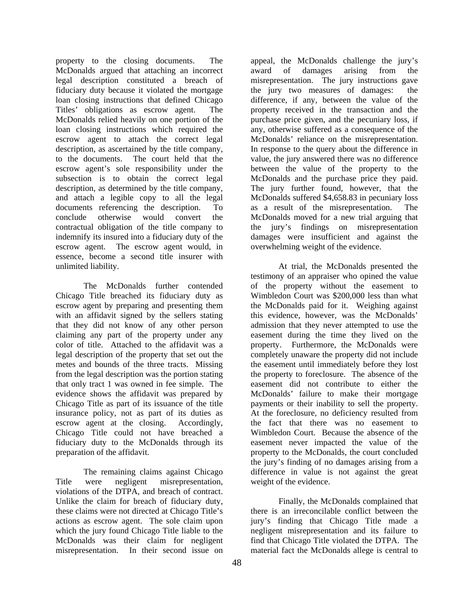property to the closing documents. The McDonalds argued that attaching an incorrect legal description constituted a breach of fiduciary duty because it violated the mortgage loan closing instructions that defined Chicago Titles' obligations as escrow agent. The McDonalds relied heavily on one portion of the loan closing instructions which required the escrow agent to attach the correct legal description, as ascertained by the title company, to the documents. The court held that the escrow agent's sole responsibility under the subsection is to obtain the correct legal description, as determined by the title company, and attach a legible copy to all the legal documents referencing the description. To conclude otherwise would convert the contractual obligation of the title company to indemnify its insured into a fiduciary duty of the escrow agent. The escrow agent would, in essence, become a second title insurer with unlimited liability.

 The McDonalds further contended Chicago Title breached its fiduciary duty as escrow agent by preparing and presenting them with an affidavit signed by the sellers stating that they did not know of any other person claiming any part of the property under any color of title. Attached to the affidavit was a legal description of the property that set out the metes and bounds of the three tracts. Missing from the legal description was the portion stating that only tract 1 was owned in fee simple. The evidence shows the affidavit was prepared by Chicago Title as part of its issuance of the title insurance policy, not as part of its duties as escrow agent at the closing. Accordingly, Chicago Title could not have breached a fiduciary duty to the McDonalds through its preparation of the affidavit.

 The remaining claims against Chicago Title were negligent misrepresentation, violations of the DTPA, and breach of contract. Unlike the claim for breach of fiduciary duty, these claims were not directed at Chicago Title's actions as escrow agent. The sole claim upon which the jury found Chicago Title liable to the McDonalds was their claim for negligent misrepresentation. In their second issue on

appeal, the McDonalds challenge the jury's award of damages arising from the misrepresentation. The jury instructions gave the jury two measures of damages: the difference, if any, between the value of the property received in the transaction and the purchase price given, and the pecuniary loss, if any, otherwise suffered as a consequence of the McDonalds' reliance on the misrepresentation. In response to the query about the difference in value, the jury answered there was no difference between the value of the property to the McDonalds and the purchase price they paid. The jury further found, however, that the McDonalds suffered \$4,658.83 in pecuniary loss as a result of the misrepresentation. The McDonalds moved for a new trial arguing that the jury's findings on misrepresentation damages were insufficient and against the overwhelming weight of the evidence.

 At trial, the McDonalds presented the testimony of an appraiser who opined the value of the property without the easement to Wimbledon Court was \$200,000 less than what the McDonalds paid for it. Weighing against this evidence, however, was the McDonalds' admission that they never attempted to use the easement during the time they lived on the property. Furthermore, the McDonalds were completely unaware the property did not include the easement until immediately before they lost the property to foreclosure. The absence of the easement did not contribute to either the McDonalds' failure to make their mortgage payments or their inability to sell the property. At the foreclosure, no deficiency resulted from the fact that there was no easement to Wimbledon Court. Because the absence of the easement never impacted the value of the property to the McDonalds, the court concluded the jury's finding of no damages arising from a difference in value is not against the great weight of the evidence.

 Finally, the McDonalds complained that there is an irreconcilable conflict between the jury's finding that Chicago Title made a negligent misrepresentation and its failure to find that Chicago Title violated the DTPA. The material fact the McDonalds allege is central to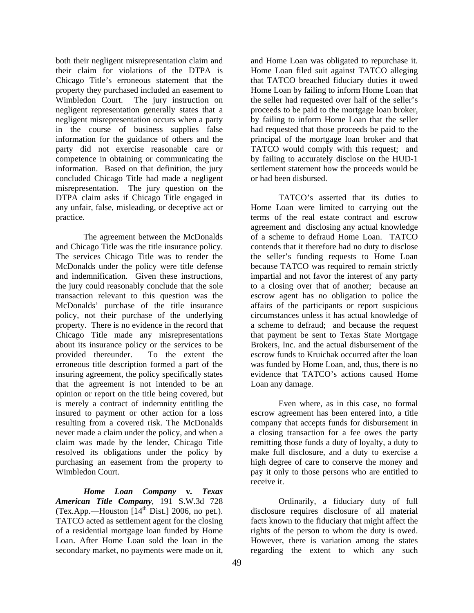both their negligent misrepresentation claim and their claim for violations of the DTPA is Chicago Title's erroneous statement that the property they purchased included an easement to Wimbledon Court. The jury instruction on negligent representation generally states that a negligent misrepresentation occurs when a party in the course of business supplies false information for the guidance of others and the party did not exercise reasonable care or competence in obtaining or communicating the information. Based on that definition, the jury concluded Chicago Title had made a negligent misrepresentation. The jury question on the DTPA claim asks if Chicago Title engaged in any unfair, false, misleading, or deceptive act or practice.

 The agreement between the McDonalds and Chicago Title was the title insurance policy. The services Chicago Title was to render the McDonalds under the policy were title defense and indemnification. Given these instructions, the jury could reasonably conclude that the sole transaction relevant to this question was the McDonalds' purchase of the title insurance policy, not their purchase of the underlying property. There is no evidence in the record that Chicago Title made any misrepresentations about its insurance policy or the services to be provided thereunder. To the extent the erroneous title description formed a part of the insuring agreement, the policy specifically states that the agreement is not intended to be an opinion or report on the title being covered, but is merely a contract of indemnity entitling the insured to payment or other action for a loss resulting from a covered risk. The McDonalds never made a claim under the policy, and when a claim was made by the lender, Chicago Title resolved its obligations under the policy by purchasing an easement from the property to Wimbledon Court.

*Home Loan Company* **v***. Texas American Title Company*, 191 S.W.3d 728  $(Tex. App. - Houston [14<sup>th</sup> Dist.] 2006, no pet.).$ TATCO acted as settlement agent for the closing of a residential mortgage loan funded by Home Loan. After Home Loan sold the loan in the secondary market, no payments were made on it,

49

and Home Loan was obligated to repurchase it. Home Loan filed suit against TATCO alleging that TATCO breached fiduciary duties it owed Home Loan by failing to inform Home Loan that the seller had requested over half of the seller's proceeds to be paid to the mortgage loan broker, by failing to inform Home Loan that the seller had requested that those proceeds be paid to the principal of the mortgage loan broker and that TATCO would comply with this request; and by failing to accurately disclose on the HUD-1 settlement statement how the proceeds would be or had been disbursed.

 TATCO's asserted that its duties to Home Loan were limited to carrying out the terms of the real estate contract and escrow agreement and disclosing any actual knowledge of a scheme to defraud Home Loan. TATCO contends that it therefore had no duty to disclose the seller's funding requests to Home Loan because TATCO was required to remain strictly impartial and not favor the interest of any party to a closing over that of another; because an escrow agent has no obligation to police the affairs of the participants or report suspicious circumstances unless it has actual knowledge of a scheme to defraud; and because the request that payment be sent to Texas State Mortgage Brokers, Inc. and the actual disbursement of the escrow funds to Kruichak occurred after the loan was funded by Home Loan, and, thus, there is no evidence that TATCO's actions caused Home Loan any damage.

 Even where, as in this case, no formal escrow agreement has been entered into, a title company that accepts funds for disbursement in a closing transaction for a fee owes the party remitting those funds a duty of loyalty, a duty to make full disclosure, and a duty to exercise a high degree of care to conserve the money and pay it only to those persons who are entitled to receive it.

 Ordinarily, a fiduciary duty of full disclosure requires disclosure of all material facts known to the fiduciary that might affect the rights of the person to whom the duty is owed. However, there is variation among the states regarding the extent to which any such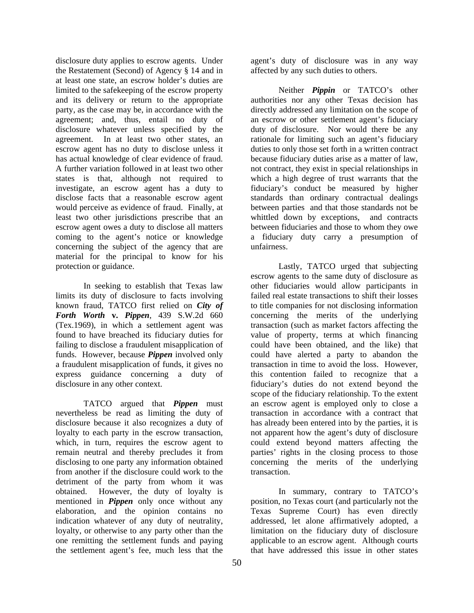disclosure duty applies to escrow agents. Under the Restatement (Second) of Agency § 14 and in at least one state, an escrow holder's duties are limited to the safekeeping of the escrow property and its delivery or return to the appropriate party, as the case may be, in accordance with the agreement; and, thus, entail no duty of disclosure whatever unless specified by the agreement. In at least two other states, an escrow agent has no duty to disclose unless it has actual knowledge of clear evidence of fraud. A further variation followed in at least two other states is that, although not required to investigate, an escrow agent has a duty to disclose facts that a reasonable escrow agent would perceive as evidence of fraud. Finally, at least two other jurisdictions prescribe that an escrow agent owes a duty to disclose all matters coming to the agent's notice or knowledge concerning the subject of the agency that are material for the principal to know for his protection or guidance.

 In seeking to establish that Texas law limits its duty of disclosure to facts involving known fraud, TATCO first relied on *City of Forth Worth* **v.** *Pippen*, 439 S.W.2d 660 (Tex.1969), in which a settlement agent was found to have breached its fiduciary duties for failing to disclose a fraudulent misapplication of funds. However, because *Pippen* involved only a fraudulent misapplication of funds, it gives no express guidance concerning a duty of disclosure in any other context.

 TATCO argued that *Pippen* must nevertheless be read as limiting the duty of disclosure because it also recognizes a duty of loyalty to each party in the escrow transaction, which, in turn, requires the escrow agent to remain neutral and thereby precludes it from disclosing to one party any information obtained from another if the disclosure could work to the detriment of the party from whom it was obtained. However, the duty of loyalty is mentioned in *Pippen* only once without any elaboration, and the opinion contains no indication whatever of any duty of neutrality, loyalty, or otherwise to any party other than the one remitting the settlement funds and paying the settlement agent's fee, much less that the

agent's duty of disclosure was in any way affected by any such duties to others.

 Neither *Pippin* or TATCO's other authorities nor any other Texas decision has directly addressed any limitation on the scope of an escrow or other settlement agent's fiduciary duty of disclosure. Nor would there be any rationale for limiting such an agent's fiduciary duties to only those set forth in a written contract because fiduciary duties arise as a matter of law, not contract, they exist in special relationships in which a high degree of trust warrants that the fiduciary's conduct be measured by higher standards than ordinary contractual dealings between parties and that those standards not be whittled down by exceptions, and contracts between fiduciaries and those to whom they owe a fiduciary duty carry a presumption of unfairness.

 Lastly, TATCO urged that subjecting escrow agents to the same duty of disclosure as other fiduciaries would allow participants in failed real estate transactions to shift their losses to title companies for not disclosing information concerning the merits of the underlying transaction (such as market factors affecting the value of property, terms at which financing could have been obtained, and the like) that could have alerted a party to abandon the transaction in time to avoid the loss. However, this contention failed to recognize that a fiduciary's duties do not extend beyond the scope of the fiduciary relationship. To the extent an escrow agent is employed only to close a transaction in accordance with a contract that has already been entered into by the parties, it is not apparent how the agent's duty of disclosure could extend beyond matters affecting the parties' rights in the closing process to those concerning the merits of the underlying transaction.

 In summary, contrary to TATCO's position, no Texas court (and particularly not the Texas Supreme Court) has even directly addressed, let alone affirmatively adopted, a limitation on the fiduciary duty of disclosure applicable to an escrow agent. Although courts that have addressed this issue in other states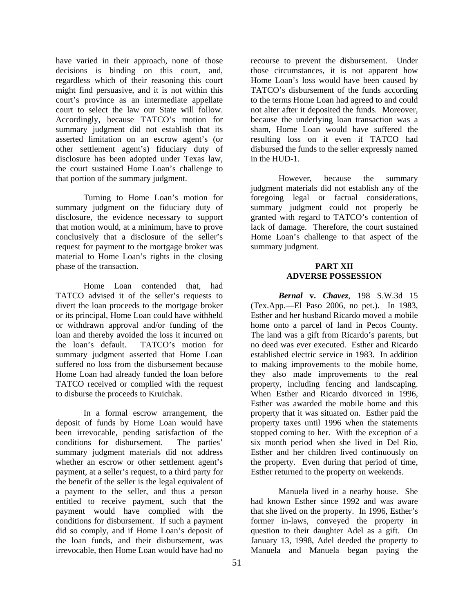have varied in their approach, none of those decisions is binding on this court, and, regardless which of their reasoning this court might find persuasive, and it is not within this court's province as an intermediate appellate court to select the law our State will follow. Accordingly, because TATCO's motion for summary judgment did not establish that its asserted limitation on an escrow agent's (or other settlement agent's) fiduciary duty of disclosure has been adopted under Texas law, the court sustained Home Loan's challenge to that portion of the summary judgment.

 Turning to Home Loan's motion for summary judgment on the fiduciary duty of disclosure, the evidence necessary to support that motion would, at a minimum, have to prove conclusively that a disclosure of the seller's request for payment to the mortgage broker was material to Home Loan's rights in the closing phase of the transaction.

 Home Loan contended that, had TATCO advised it of the seller's requests to divert the loan proceeds to the mortgage broker or its principal, Home Loan could have withheld or withdrawn approval and/or funding of the loan and thereby avoided the loss it incurred on the loan's default. TATCO's motion for summary judgment asserted that Home Loan suffered no loss from the disbursement because Home Loan had already funded the loan before TATCO received or complied with the request to disburse the proceeds to Kruichak.

 In a formal escrow arrangement, the deposit of funds by Home Loan would have been irrevocable, pending satisfaction of the conditions for disbursement. The parties' summary judgment materials did not address whether an escrow or other settlement agent's payment, at a seller's request, to a third party for the benefit of the seller is the legal equivalent of a payment to the seller, and thus a person entitled to receive payment, such that the payment would have complied with the conditions for disbursement. If such a payment did so comply, and if Home Loan's deposit of the loan funds, and their disbursement, was irrevocable, then Home Loan would have had no

recourse to prevent the disbursement. Under those circumstances, it is not apparent how Home Loan's loss would have been caused by TATCO's disbursement of the funds according to the terms Home Loan had agreed to and could not alter after it deposited the funds. Moreover, because the underlying loan transaction was a sham, Home Loan would have suffered the resulting loss on it even if TATCO had disbursed the funds to the seller expressly named in the HUD-1.

 However, because the summary judgment materials did not establish any of the foregoing legal or factual considerations, summary judgment could not properly be granted with regard to TATCO's contention of lack of damage. Therefore, the court sustained Home Loan's challenge to that aspect of the summary judgment.

### **PART XII ADVERSE POSSESSION**

*Bernal* **v.** *Chavez*, 198 S.W.3d 15 (Tex.App.—El Paso 2006, no pet.). In 1983, Esther and her husband Ricardo moved a mobile home onto a parcel of land in Pecos County. The land was a gift from Ricardo's parents, but no deed was ever executed. Esther and Ricardo established electric service in 1983. In addition to making improvements to the mobile home, they also made improvements to the real property, including fencing and landscaping. When Esther and Ricardo divorced in 1996, Esther was awarded the mobile home and this property that it was situated on. Esther paid the property taxes until 1996 when the statements stopped coming to her. With the exception of a six month period when she lived in Del Rio, Esther and her children lived continuously on the property. Even during that period of time, Esther returned to the property on weekends.

 Manuela lived in a nearby house. She had known Esther since 1992 and was aware that she lived on the property. In 1996, Esther's former in-laws, conveyed the property in question to their daughter Adel as a gift. On January 13, 1998, Adel deeded the property to Manuela and Manuela began paying the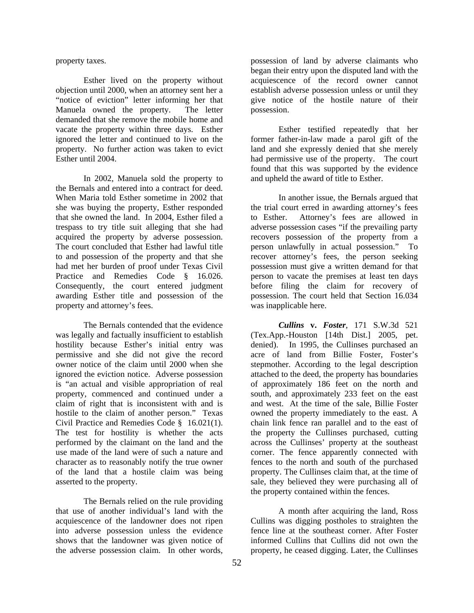property taxes.

 Esther lived on the property without objection until 2000, when an attorney sent her a "notice of eviction" letter informing her that Manuela owned the property. The letter demanded that she remove the mobile home and vacate the property within three days. Esther ignored the letter and continued to live on the property. No further action was taken to evict Esther until 2004.

 In 2002, Manuela sold the property to the Bernals and entered into a contract for deed. When Maria told Esther sometime in 2002 that she was buying the property, Esther responded that she owned the land. In 2004, Esther filed a trespass to try title suit alleging that she had acquired the property by adverse possession. The court concluded that Esther had lawful title to and possession of the property and that she had met her burden of proof under Texas Civil Practice and Remedies Code § 16.026. Consequently, the court entered judgment awarding Esther title and possession of the property and attorney's fees.

 The Bernals contended that the evidence was legally and factually insufficient to establish hostility because Esther's initial entry was permissive and she did not give the record owner notice of the claim until 2000 when she ignored the eviction notice. Adverse possession is "an actual and visible appropriation of real property, commenced and continued under a claim of right that is inconsistent with and is hostile to the claim of another person." Texas Civil Practice and Remedies Code § 16.021(1). The test for hostility is whether the acts performed by the claimant on the land and the use made of the land were of such a nature and character as to reasonably notify the true owner of the land that a hostile claim was being asserted to the property.

 The Bernals relied on the rule providing that use of another individual's land with the acquiescence of the landowner does not ripen into adverse possession unless the evidence shows that the landowner was given notice of the adverse possession claim. In other words,

possession of land by adverse claimants who began their entry upon the disputed land with the acquiescence of the record owner cannot establish adverse possession unless or until they give notice of the hostile nature of their possession.

 Esther testified repeatedly that her former father-in-law made a parol gift of the land and she expressly denied that she merely had permissive use of the property. The court found that this was supported by the evidence and upheld the award of title to Esther.

 In another issue, the Bernals argued that the trial court erred in awarding attorney's fees to Esther. Attorney's fees are allowed in adverse possession cases "if the prevailing party recovers possession of the property from a person unlawfully in actual possession." To recover attorney's fees, the person seeking possession must give a written demand for that person to vacate the premises at least ten days before filing the claim for recovery of possession. The court held that Section 16.034 was inapplicable here.

*Cullins* **v.** *Foster*, 171 S.W.3d 521 (Tex.App.-Houston [14th Dist.] 2005, pet. denied). In 1995, the Cullinses purchased an acre of land from Billie Foster, Foster's stepmother. According to the legal description attached to the deed, the property has boundaries of approximately 186 feet on the north and south, and approximately 233 feet on the east and west. At the time of the sale, Billie Foster owned the property immediately to the east. A chain link fence ran parallel and to the east of the property the Cullinses purchased, cutting across the Cullinses' property at the southeast corner. The fence apparently connected with fences to the north and south of the purchased property. The Cullinses claim that, at the time of sale, they believed they were purchasing all of the property contained within the fences.

A month after acquiring the land, Ross Cullins was digging postholes to straighten the fence line at the southeast corner. After Foster informed Cullins that Cullins did not own the property, he ceased digging. Later, the Cullinses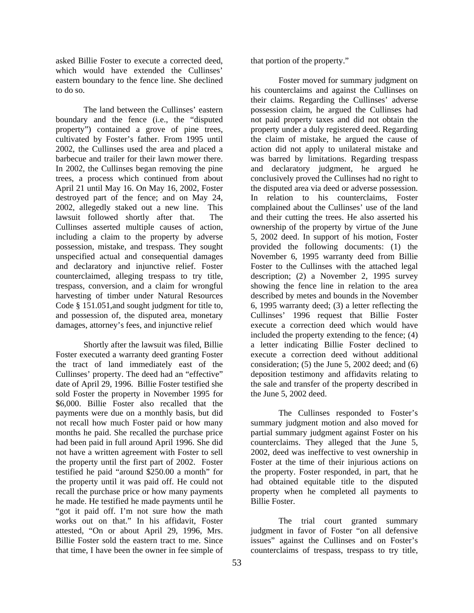asked Billie Foster to execute a corrected deed, which would have extended the Cullinses' eastern boundary to the fence line. She declined to do so.

The land between the Cullinses' eastern boundary and the fence (i.e., the "disputed property") contained a grove of pine trees, cultivated by Foster's father. From 1995 until 2002, the Cullinses used the area and placed a barbecue and trailer for their lawn mower there. In 2002, the Cullinses began removing the pine trees, a process which continued from about April 21 until May 16. On May 16, 2002, Foster destroyed part of the fence; and on May 24, 2002, allegedly staked out a new line. This lawsuit followed shortly after that. The Cullinses asserted multiple causes of action, including a claim to the property by adverse possession, mistake, and trespass. They sought unspecified actual and consequential damages and declaratory and injunctive relief. Foster counterclaimed, alleging trespass to try title, trespass, conversion, and a claim for wrongful harvesting of timber under Natural Resources Code § 151.051,and sought judgment for title to, and possession of, the disputed area, monetary damages, attorney's fees, and injunctive relief

Shortly after the lawsuit was filed, Billie Foster executed a warranty deed granting Foster the tract of land immediately east of the Cullinses' property. The deed had an "effective" date of April 29, 1996. Billie Foster testified she sold Foster the property in November 1995 for \$6,000. Billie Foster also recalled that the payments were due on a monthly basis, but did not recall how much Foster paid or how many months he paid. She recalled the purchase price had been paid in full around April 1996. She did not have a written agreement with Foster to sell the property until the first part of 2002. Foster testified he paid "around \$250.00 a month" for the property until it was paid off. He could not recall the purchase price or how many payments he made. He testified he made payments until he "got it paid off. I'm not sure how the math works out on that." In his affidavit, Foster attested, "On or about April 29, 1996, Mrs. Billie Foster sold the eastern tract to me. Since that time, I have been the owner in fee simple of

that portion of the property."

Foster moved for summary judgment on his counterclaims and against the Cullinses on their claims. Regarding the Cullinses' adverse possession claim, he argued the Cullinses had not paid property taxes and did not obtain the property under a duly registered deed. Regarding the claim of mistake, he argued the cause of action did not apply to unilateral mistake and was barred by limitations. Regarding trespass and declaratory judgment, he argued he conclusively proved the Cullinses had no right to the disputed area via deed or adverse possession. In relation to his counterclaims, Foster complained about the Cullinses' use of the land and their cutting the trees. He also asserted his ownership of the property by virtue of the June 5, 2002 deed. In support of his motion, Foster provided the following documents: (1) the November 6, 1995 warranty deed from Billie Foster to the Cullinses with the attached legal description; (2) a November 2, 1995 survey showing the fence line in relation to the area described by metes and bounds in the November 6, 1995 warranty deed; (3) a letter reflecting the Cullinses' 1996 request that Billie Foster execute a correction deed which would have included the property extending to the fence; (4) a letter indicating Billie Foster declined to execute a correction deed without additional consideration;  $(5)$  the June 5, 2002 deed; and  $(6)$ deposition testimony and affidavits relating to the sale and transfer of the property described in the June 5, 2002 deed.

The Cullinses responded to Foster's summary judgment motion and also moved for partial summary judgment against Foster on his counterclaims. They alleged that the June 5, 2002, deed was ineffective to vest ownership in Foster at the time of their injurious actions on the property. Foster responded, in part, that he had obtained equitable title to the disputed property when he completed all payments to Billie Foster.

The trial court granted summary judgment in favor of Foster "on all defensive issues" against the Cullinses and on Foster's counterclaims of trespass, trespass to try title,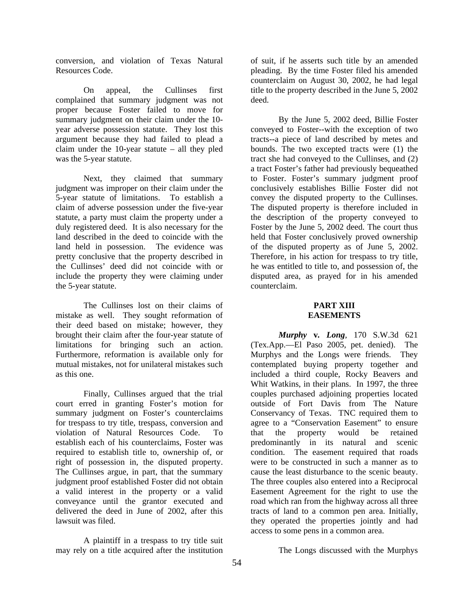conversion, and violation of Texas Natural Resources Code.

On appeal, the Cullinses first complained that summary judgment was not proper because Foster failed to move for summary judgment on their claim under the 10year adverse possession statute. They lost this argument because they had failed to plead a claim under the 10-year statute – all they pled was the 5-year statute.

Next, they claimed that summary judgment was improper on their claim under the 5-year statute of limitations. To establish a claim of adverse possession under the five-year statute, a party must claim the property under a duly registered deed. It is also necessary for the land described in the deed to coincide with the land held in possession. The evidence was pretty conclusive that the property described in the Cullinses' deed did not coincide with or include the property they were claiming under the 5-year statute.

The Cullinses lost on their claims of mistake as well. They sought reformation of their deed based on mistake; however, they brought their claim after the four-year statute of limitations for bringing such an action. Furthermore, reformation is available only for mutual mistakes, not for unilateral mistakes such as this one.

Finally, Cullinses argued that the trial court erred in granting Foster's motion for summary judgment on Foster's counterclaims for trespass to try title, trespass, conversion and violation of Natural Resources Code. To establish each of his counterclaims, Foster was required to establish title to, ownership of, or right of possession in, the disputed property. The Cullinses argue, in part, that the summary judgment proof established Foster did not obtain a valid interest in the property or a valid conveyance until the grantor executed and delivered the deed in June of 2002, after this lawsuit was filed.

A plaintiff in a trespass to try title suit may rely on a title acquired after the institution

of suit, if he asserts such title by an amended pleading. By the time Foster filed his amended counterclaim on August 30, 2002, he had legal title to the property described in the June 5, 2002 deed.

By the June 5, 2002 deed, Billie Foster conveyed to Foster--with the exception of two tracts--a piece of land described by metes and bounds. The two excepted tracts were (1) the tract she had conveyed to the Cullinses, and (2) a tract Foster's father had previously bequeathed to Foster. Foster's summary judgment proof conclusively establishes Billie Foster did not convey the disputed property to the Cullinses. The disputed property is therefore included in the description of the property conveyed to Foster by the June 5, 2002 deed. The court thus held that Foster conclusively proved ownership of the disputed property as of June 5, 2002. Therefore, in his action for trespass to try title, he was entitled to title to, and possession of, the disputed area, as prayed for in his amended counterclaim.

### **PART XIII EASEMENTS**

*Murphy* **v***. Long*, 170 S.W.3d 621 (Tex.App.—El Paso 2005, pet. denied). The Murphys and the Longs were friends. They contemplated buying property together and included a third couple, Rocky Beavers and Whit Watkins, in their plans. In 1997, the three couples purchased adjoining properties located outside of Fort Davis from The Nature Conservancy of Texas. TNC required them to agree to a "Conservation Easement" to ensure that the property would be retained predominantly in its natural and scenic condition. The easement required that roads were to be constructed in such a manner as to cause the least disturbance to the scenic beauty. The three couples also entered into a Reciprocal Easement Agreement for the right to use the road which ran from the highway across all three tracts of land to a common pen area. Initially, they operated the properties jointly and had access to some pens in a common area.

The Longs discussed with the Murphys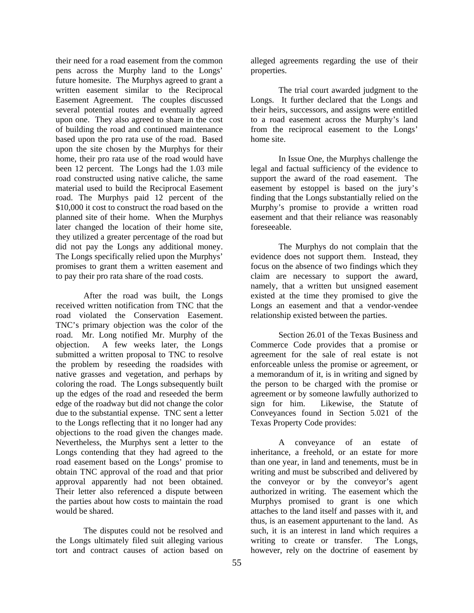their need for a road easement from the common pens across the Murphy land to the Longs' future homesite. The Murphys agreed to grant a written easement similar to the Reciprocal Easement Agreement. The couples discussed several potential routes and eventually agreed upon one. They also agreed to share in the cost of building the road and continued maintenance based upon the pro rata use of the road. Based upon the site chosen by the Murphys for their home, their pro rata use of the road would have been 12 percent. The Longs had the 1.03 mile road constructed using native caliche, the same material used to build the Reciprocal Easement road. The Murphys paid 12 percent of the \$10,000 it cost to construct the road based on the planned site of their home. When the Murphys later changed the location of their home site, they utilized a greater percentage of the road but did not pay the Longs any additional money. The Longs specifically relied upon the Murphys' promises to grant them a written easement and to pay their pro rata share of the road costs.

 After the road was built, the Longs received written notification from TNC that the road violated the Conservation Easement. TNC's primary objection was the color of the road. Mr. Long notified Mr. Murphy of the objection. A few weeks later, the Longs submitted a written proposal to TNC to resolve the problem by reseeding the roadsides with native grasses and vegetation, and perhaps by coloring the road. The Longs subsequently built up the edges of the road and reseeded the berm edge of the roadway but did not change the color due to the substantial expense. TNC sent a letter to the Longs reflecting that it no longer had any objections to the road given the changes made. Nevertheless, the Murphys sent a letter to the Longs contending that they had agreed to the road easement based on the Longs' promise to obtain TNC approval of the road and that prior approval apparently had not been obtained. Their letter also referenced a dispute between the parties about how costs to maintain the road would be shared.

 The disputes could not be resolved and the Longs ultimately filed suit alleging various tort and contract causes of action based on

alleged agreements regarding the use of their properties.

 The trial court awarded judgment to the Longs. It further declared that the Longs and their heirs, successors, and assigns were entitled to a road easement across the Murphy's land from the reciprocal easement to the Longs' home site.

 In Issue One, the Murphys challenge the legal and factual sufficiency of the evidence to support the award of the road easement. The easement by estoppel is based on the jury's finding that the Longs substantially relied on the Murphy's promise to provide a written road easement and that their reliance was reasonably foreseeable.

 The Murphys do not complain that the evidence does not support them. Instead, they focus on the absence of two findings which they claim are necessary to support the award, namely, that a written but unsigned easement existed at the time they promised to give the Longs an easement and that a vendor-vendee relationship existed between the parties.

 Section 26.01 of the Texas Business and Commerce Code provides that a promise or agreement for the sale of real estate is not enforceable unless the promise or agreement, or a memorandum of it, is in writing and signed by the person to be charged with the promise or agreement or by someone lawfully authorized to sign for him. Likewise, the Statute of Conveyances found in Section 5.021 of the Texas Property Code provides:

 A conveyance of an estate of inheritance, a freehold, or an estate for more than one year, in land and tenements, must be in writing and must be subscribed and delivered by the conveyor or by the conveyor's agent authorized in writing. The easement which the Murphys promised to grant is one which attaches to the land itself and passes with it, and thus, is an easement appurtenant to the land. As such, it is an interest in land which requires a writing to create or transfer. The Longs, however, rely on the doctrine of easement by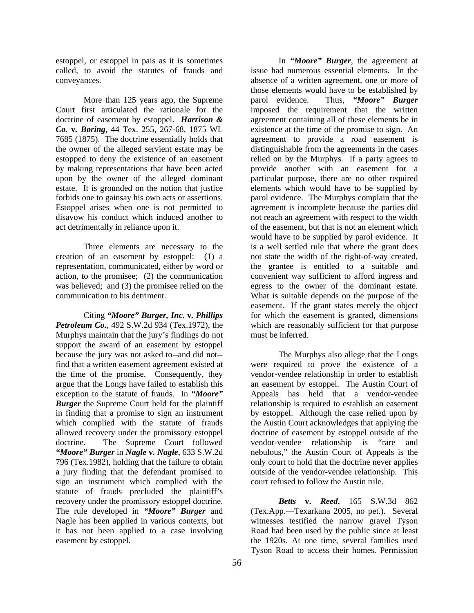estoppel, or estoppel in pais as it is sometimes called, to avoid the statutes of frauds and conveyances.

 More than 125 years ago, the Supreme Court first articulated the rationale for the doctrine of easement by estoppel. *Harrison & Co.* **v***. Boring*, 44 Tex. 255, 267-68, 1875 WL 7685 (1875). The doctrine essentially holds that the owner of the alleged servient estate may be estopped to deny the existence of an easement by making representations that have been acted upon by the owner of the alleged dominant estate. It is grounded on the notion that justice forbids one to gainsay his own acts or assertions. Estoppel arises when one is not permitted to disavow his conduct which induced another to act detrimentally in reliance upon it.

 Three elements are necessary to the creation of an easement by estoppel: (1) a representation, communicated, either by word or action, to the promisee; (2) the communication was believed; and (3) the promisee relied on the communication to his detriment.

 Citing *"Moore" Burger, Inc.* **v***. Phillips Petroleum Co.*, 492 S.W.2d 934 (Tex.1972), the Murphys maintain that the jury's findings do not support the award of an easement by estoppel because the jury was not asked to--and did not- find that a written easement agreement existed at the time of the promise. Consequently, they argue that the Longs have failed to establish this exception to the statute of frauds. In *"Moore" Burger* the Supreme Court held for the plaintiff in finding that a promise to sign an instrument which complied with the statute of frauds allowed recovery under the promissory estoppel doctrine. The Supreme Court followed *"Moore" Burger* in *Nagle* **v***. Nagle*, 633 S.W.2d 796 (Tex.1982), holding that the failure to obtain a jury finding that the defendant promised to sign an instrument which complied with the statute of frauds precluded the plaintiff's recovery under the promissory estoppel doctrine. The rule developed in *"Moore" Burger* and Nagle has been applied in various contexts, but it has not been applied to a case involving easement by estoppel.

 In *"Moore" Burger*, the agreement at issue had numerous essential elements. In the absence of a written agreement, one or more of those elements would have to be established by parol evidence. Thus, *"Moore" Burger* imposed the requirement that the written agreement containing all of these elements be in existence at the time of the promise to sign. An agreement to provide a road easement is distinguishable from the agreements in the cases relied on by the Murphys. If a party agrees to provide another with an easement for a particular purpose, there are no other required elements which would have to be supplied by parol evidence. The Murphys complain that the agreement is incomplete because the parties did not reach an agreement with respect to the width of the easement, but that is not an element which would have to be supplied by parol evidence. It is a well settled rule that where the grant does not state the width of the right-of-way created, the grantee is entitled to a suitable and convenient way sufficient to afford ingress and egress to the owner of the dominant estate. What is suitable depends on the purpose of the easement. If the grant states merely the object for which the easement is granted, dimensions which are reasonably sufficient for that purpose must be inferred.

 The Murphys also allege that the Longs were required to prove the existence of a vendor-vendee relationship in order to establish an easement by estoppel. The Austin Court of Appeals has held that a vendor-vendee relationship is required to establish an easement by estoppel. Although the case relied upon by the Austin Court acknowledges that applying the doctrine of easement by estoppel outside of the vendor-vendee relationship is "rare and nebulous," the Austin Court of Appeals is the only court to hold that the doctrine never applies outside of the vendor-vendee relationship. This court refused to follow the Austin rule.

*Betts* **v.** *Reed*, 165 S.W.3d 862 (Tex.App.—Texarkana 2005, no pet.). Several witnesses testified the narrow gravel Tyson Road had been used by the public since at least the 1920s. At one time, several families used Tyson Road to access their homes. Permission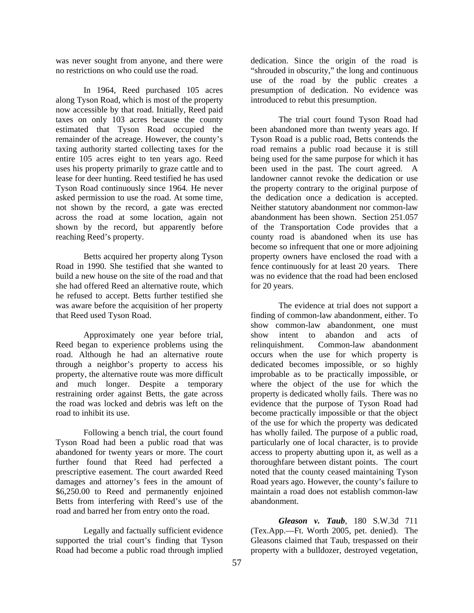was never sought from anyone, and there were no restrictions on who could use the road.

In 1964, Reed purchased 105 acres along Tyson Road, which is most of the property now accessible by that road. Initially, Reed paid taxes on only 103 acres because the county estimated that Tyson Road occupied the remainder of the acreage. However, the county's taxing authority started collecting taxes for the entire 105 acres eight to ten years ago. Reed uses his property primarily to graze cattle and to lease for deer hunting. Reed testified he has used Tyson Road continuously since 1964. He never asked permission to use the road. At some time, not shown by the record, a gate was erected across the road at some location, again not shown by the record, but apparently before reaching Reed's property.

Betts acquired her property along Tyson Road in 1990. She testified that she wanted to build a new house on the site of the road and that she had offered Reed an alternative route, which he refused to accept. Betts further testified she was aware before the acquisition of her property that Reed used Tyson Road.

Approximately one year before trial, Reed began to experience problems using the road. Although he had an alternative route through a neighbor's property to access his property, the alternative route was more difficult and much longer. Despite a temporary restraining order against Betts, the gate across the road was locked and debris was left on the road to inhibit its use.

Following a bench trial, the court found Tyson Road had been a public road that was abandoned for twenty years or more. The court further found that Reed had perfected a prescriptive easement. The court awarded Reed damages and attorney's fees in the amount of \$6,250.00 to Reed and permanently enjoined Betts from interfering with Reed's use of the road and barred her from entry onto the road.

Legally and factually sufficient evidence supported the trial court's finding that Tyson Road had become a public road through implied

dedication. Since the origin of the road is "shrouded in obscurity," the long and continuous use of the road by the public creates a presumption of dedication. No evidence was introduced to rebut this presumption.

The trial court found Tyson Road had been abandoned more than twenty years ago. If Tyson Road is a public road, Betts contends the road remains a public road because it is still being used for the same purpose for which it has been used in the past. The court agreed. A landowner cannot revoke the dedication or use the property contrary to the original purpose of the dedication once a dedication is accepted. Neither statutory abandonment nor common-law abandonment has been shown. Section 251.057 of the Transportation Code provides that a county road is abandoned when its use has become so infrequent that one or more adjoining property owners have enclosed the road with a fence continuously for at least 20 years. There was no evidence that the road had been enclosed for 20 years.

The evidence at trial does not support a finding of common-law abandonment, either. To show common-law abandonment, one must show intent to abandon and acts of relinquishment. Common-law abandonment occurs when the use for which property is dedicated becomes impossible, or so highly improbable as to be practically impossible, or where the object of the use for which the property is dedicated wholly fails. There was no evidence that the purpose of Tyson Road had become practically impossible or that the object of the use for which the property was dedicated has wholly failed. The purpose of a public road, particularly one of local character, is to provide access to property abutting upon it, as well as a thoroughfare between distant points. The court noted that the county ceased maintaining Tyson Road years ago. However, the county's failure to maintain a road does not establish common-law abandonment.

*Gleason v. Taub*, 180 S.W.3d 711 (Tex.App.—Ft. Worth 2005, pet. denied). The Gleasons claimed that Taub, trespassed on their property with a bulldozer, destroyed vegetation,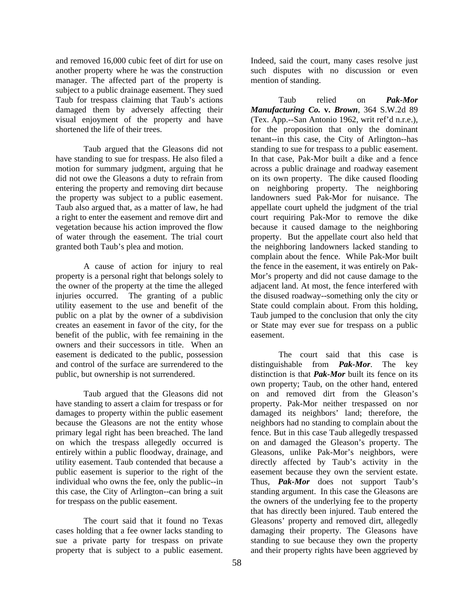and removed 16,000 cubic feet of dirt for use on another property where he was the construction manager. The affected part of the property is subject to a public drainage easement. They sued Taub for trespass claiming that Taub's actions damaged them by adversely affecting their visual enjoyment of the property and have shortened the life of their trees.

Taub argued that the Gleasons did not have standing to sue for trespass. He also filed a motion for summary judgment, arguing that he did not owe the Gleasons a duty to refrain from entering the property and removing dirt because the property was subject to a public easement. Taub also argued that, as a matter of law, he had a right to enter the easement and remove dirt and vegetation because his action improved the flow of water through the easement. The trial court granted both Taub's plea and motion.

A cause of action for injury to real property is a personal right that belongs solely to the owner of the property at the time the alleged injuries occurred. The granting of a public utility easement to the use and benefit of the public on a plat by the owner of a subdivision creates an easement in favor of the city, for the benefit of the public, with fee remaining in the owners and their successors in title. When an easement is dedicated to the public, possession and control of the surface are surrendered to the public, but ownership is not surrendered.

Taub argued that the Gleasons did not have standing to assert a claim for trespass or for damages to property within the public easement because the Gleasons are not the entity whose primary legal right has been breached. The land on which the trespass allegedly occurred is entirely within a public floodway, drainage, and utility easement. Taub contended that because a public easement is superior to the right of the individual who owns the fee, only the public--in this case, the City of Arlington--can bring a suit for trespass on the public easement.

The court said that it found no Texas cases holding that a fee owner lacks standing to sue a private party for trespass on private property that is subject to a public easement.

Indeed, said the court, many cases resolve just such disputes with no discussion or even mention of standing.

Taub relied on *Pak-Mor Manufacturing Co.* **v.** *Brown*, 364 S.W.2d 89 (Tex. App.--San Antonio 1962, writ ref'd n.r.e.), for the proposition that only the dominant tenant--in this case, the City of Arlington--has standing to sue for trespass to a public easement. In that case, Pak-Mor built a dike and a fence across a public drainage and roadway easement on its own property. The dike caused flooding on neighboring property. The neighboring landowners sued Pak-Mor for nuisance. The appellate court upheld the judgment of the trial court requiring Pak-Mor to remove the dike because it caused damage to the neighboring property. But the appellate court also held that the neighboring landowners lacked standing to complain about the fence. While Pak-Mor built the fence in the easement, it was entirely on Pak-Mor's property and did not cause damage to the adjacent land. At most, the fence interfered with the disused roadway--something only the city or State could complain about. From this holding, Taub jumped to the conclusion that only the city or State may ever sue for trespass on a public easement.

The court said that this case is distinguishable from *Pak-Mor*. The key distinction is that *Pak-Mor* built its fence on its own property; Taub, on the other hand, entered on and removed dirt from the Gleason's property. Pak-Mor neither trespassed on nor damaged its neighbors' land; therefore, the neighbors had no standing to complain about the fence. But in this case Taub allegedly trespassed on and damaged the Gleason's property. The Gleasons, unlike Pak-Mor's neighbors, were directly affected by Taub's activity in the easement because they own the servient estate. Thus, *Pak-Mor* does not support Taub's standing argument. In this case the Gleasons are the owners of the underlying fee to the property that has directly been injured. Taub entered the Gleasons' property and removed dirt, allegedly damaging their property. The Gleasons have standing to sue because they own the property and their property rights have been aggrieved by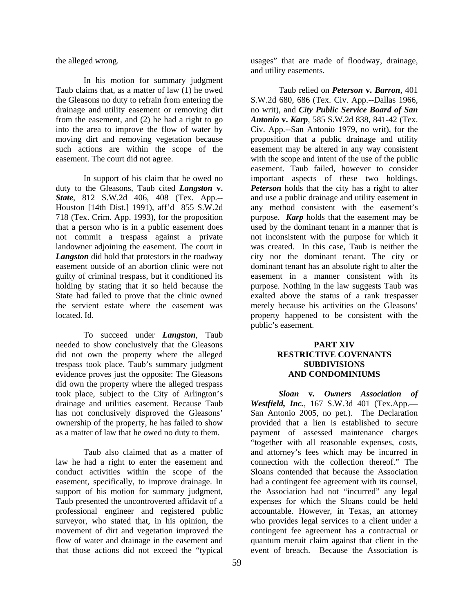the alleged wrong.

In his motion for summary judgment Taub claims that, as a matter of law (1) he owed the Gleasons no duty to refrain from entering the drainage and utility easement or removing dirt from the easement, and (2) he had a right to go into the area to improve the flow of water by moving dirt and removing vegetation because such actions are within the scope of the easement. The court did not agree.

In support of his claim that he owed no duty to the Gleasons, Taub cited *Langston* **v.** *State*, 812 S.W.2d 406, 408 (Tex. App.-- Houston [14th Dist.] 1991), aff'd 855 S.W.2d 718 (Tex. Crim. App. 1993), for the proposition that a person who is in a public easement does not commit a trespass against a private landowner adjoining the easement. The court in *Langston* did hold that protestors in the roadway easement outside of an abortion clinic were not guilty of criminal trespass, but it conditioned its holding by stating that it so held because the State had failed to prove that the clinic owned the servient estate where the easement was located. Id.

To succeed under *Langston*, Taub needed to show conclusively that the Gleasons did not own the property where the alleged trespass took place. Taub's summary judgment evidence proves just the opposite: The Gleasons did own the property where the alleged trespass took place, subject to the City of Arlington's drainage and utilities easement. Because Taub has not conclusively disproved the Gleasons' ownership of the property, he has failed to show as a matter of law that he owed no duty to them.

Taub also claimed that as a matter of law he had a right to enter the easement and conduct activities within the scope of the easement, specifically, to improve drainage. In support of his motion for summary judgment, Taub presented the uncontroverted affidavit of a professional engineer and registered public surveyor, who stated that, in his opinion, the movement of dirt and vegetation improved the flow of water and drainage in the easement and that those actions did not exceed the "typical

usages" that are made of floodway, drainage, and utility easements.

Taub relied on *Peterson* **v.** *Barron*, 401 S.W.2d 680, 686 (Tex. Civ. App.--Dallas 1966, no writ), and *City Public Service Board of San Antonio* **v.** *Karp*, 585 S.W.2d 838, 841-42 (Tex. Civ. App.--San Antonio 1979, no writ), for the proposition that a public drainage and utility easement may be altered in any way consistent with the scope and intent of the use of the public easement. Taub failed, however to consider important aspects of these two holdings. *Peterson* holds that the city has a right to alter and use a public drainage and utility easement in any method consistent with the easement's purpose. *Karp* holds that the easement may be used by the dominant tenant in a manner that is not inconsistent with the purpose for which it was created. In this case, Taub is neither the city nor the dominant tenant. The city or dominant tenant has an absolute right to alter the easement in a manner consistent with its purpose. Nothing in the law suggests Taub was exalted above the status of a rank trespasser merely because his activities on the Gleasons' property happened to be consistent with the public's easement.

# **PART XIV RESTRICTIVE COVENANTS SUBDIVISIONS AND CONDOMINIUMS**

*Sloan* **v***. Owners Association of Westfield, Inc.*, 167 S.W.3d 401 (Tex.App.— San Antonio 2005, no pet.). The Declaration provided that a lien is established to secure payment of assessed maintenance charges "together with all reasonable expenses, costs, and attorney's fees which may be incurred in connection with the collection thereof." The Sloans contended that because the Association had a contingent fee agreement with its counsel, the Association had not "incurred" any legal expenses for which the Sloans could be held accountable. However, in Texas, an attorney who provides legal services to a client under a contingent fee agreement has a contractual or quantum meruit claim against that client in the event of breach. Because the Association is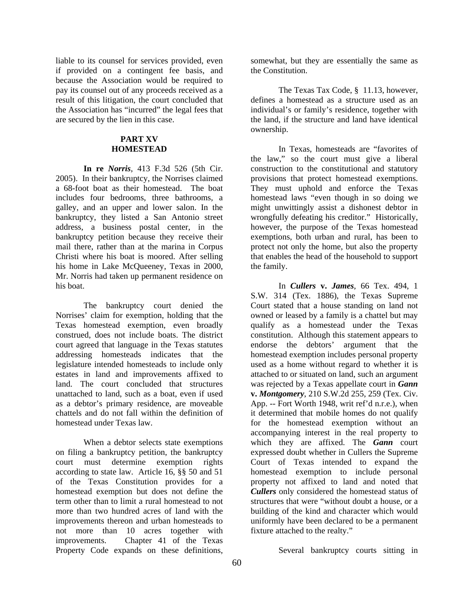liable to its counsel for services provided, even if provided on a contingent fee basis, and because the Association would be required to pay its counsel out of any proceeds received as a result of this litigation, the court concluded that the Association has "incurred" the legal fees that are secured by the lien in this case.

### **PART XV HOMESTEAD**

**In re** *Norris*, 413 F.3d 526 (5th Cir. 2005). In their bankruptcy, the Norrises claimed a 68-foot boat as their homestead. The boat includes four bedrooms, three bathrooms, a galley, and an upper and lower salon. In the bankruptcy, they listed a San Antonio street address, a business postal center, in the bankruptcy petition because they receive their mail there, rather than at the marina in Corpus Christi where his boat is moored. After selling his home in Lake McQueeney, Texas in 2000, Mr. Norris had taken up permanent residence on his boat.

The bankruptcy court denied the Norrises' claim for exemption, holding that the Texas homestead exemption, even broadly construed, does not include boats. The district court agreed that language in the Texas statutes addressing homesteads indicates that the legislature intended homesteads to include only estates in land and improvements affixed to land. The court concluded that structures unattached to land, such as a boat, even if used as a debtor's primary residence, are moveable chattels and do not fall within the definition of homestead under Texas law.

When a debtor selects state exemptions on filing a bankruptcy petition, the bankruptcy court must determine exemption rights according to state law. Article 16, §§ 50 and 51 of the Texas Constitution provides for a homestead exemption but does not define the term other than to limit a rural homestead to not more than two hundred acres of land with the improvements thereon and urban homesteads to not more than 10 acres together with improvements. Chapter 41 of the Texas Property Code expands on these definitions,

somewhat, but they are essentially the same as the Constitution.

The Texas Tax Code, § 11.13, however, defines a homestead as a structure used as an individual's or family's residence, together with the land, if the structure and land have identical ownership.

In Texas, homesteads are "favorites of the law," so the court must give a liberal construction to the constitutional and statutory provisions that protect homestead exemptions. They must uphold and enforce the Texas homestead laws "even though in so doing we might unwittingly assist a dishonest debtor in wrongfully defeating his creditor." Historically, however, the purpose of the Texas homestead exemptions, both urban and rural, has been to protect not only the home, but also the property that enables the head of the household to support the family.

In *Cullers* **v.** *James*, 66 Tex. 494, 1 S.W. 314 (Tex. 1886), the Texas Supreme Court stated that a house standing on land not owned or leased by a family is a chattel but may qualify as a homestead under the Texas constitution. Although this statement appears to endorse the debtors' argument that the homestead exemption includes personal property used as a home without regard to whether it is attached to or situated on land, such an argument was rejected by a Texas appellate court in *Gann*  **v.** *Montgomery*, 210 S.W.2d 255, 259 (Tex. Civ. App. -- Fort Worth 1948, writ ref'd n.r.e.), when it determined that mobile homes do not qualify for the homestead exemption without an accompanying interest in the real property to which they are affixed. The *Gann* court expressed doubt whether in Cullers the Supreme Court of Texas intended to expand the homestead exemption to include personal property not affixed to land and noted that *Cullers* only considered the homestead status of structures that were "without doubt a house, or a building of the kind and character which would uniformly have been declared to be a permanent fixture attached to the realty."

Several bankruptcy courts sitting in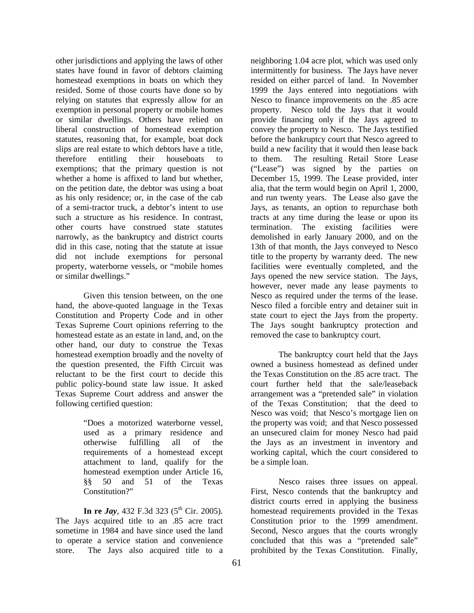other jurisdictions and applying the laws of other states have found in favor of debtors claiming homestead exemptions in boats on which they resided. Some of those courts have done so by relying on statutes that expressly allow for an exemption in personal property or mobile homes or similar dwellings. Others have relied on liberal construction of homestead exemption statutes, reasoning that, for example, boat dock slips are real estate to which debtors have a title, therefore entitling their houseboats to exemptions; that the primary question is not whether a home is affixed to land but whether, on the petition date, the debtor was using a boat as his only residence; or, in the case of the cab of a semi-tractor truck, a debtor's intent to use such a structure as his residence. In contrast, other courts have construed state statutes narrowly, as the bankruptcy and district courts did in this case, noting that the statute at issue did not include exemptions for personal property, waterborne vessels, or "mobile homes or similar dwellings."

Given this tension between, on the one hand, the above-quoted language in the Texas Constitution and Property Code and in other Texas Supreme Court opinions referring to the homestead estate as an estate in land, and, on the other hand, our duty to construe the Texas homestead exemption broadly and the novelty of the question presented, the Fifth Circuit was reluctant to be the first court to decide this public policy-bound state law issue. It asked Texas Supreme Court address and answer the following certified question:

> "Does a motorized waterborne vessel, used as a primary residence and otherwise fulfilling all of the requirements of a homestead except attachment to land, qualify for the homestead exemption under Article 16, §§ 50 and 51 of the Texas Constitution?"

**In re** *Jay*, 432 F.3d 323 ( $5^{\text{th}}$  Cir. 2005). The Jays acquired title to an .85 acre tract sometime in 1984 and have since used the land to operate a service station and convenience store. The Jays also acquired title to a

neighboring 1.04 acre plot, which was used only intermittently for business. The Jays have never resided on either parcel of land. In November 1999 the Jays entered into negotiations with Nesco to finance improvements on the .85 acre property. Nesco told the Jays that it would provide financing only if the Jays agreed to convey the property to Nesco. The Jays testified before the bankruptcy court that Nesco agreed to build a new facility that it would then lease back to them. The resulting Retail Store Lease ("Lease") was signed by the parties on December 15, 1999. The Lease provided, inter alia, that the term would begin on April 1, 2000, and run twenty years. The Lease also gave the Jays, as tenants, an option to repurchase both tracts at any time during the lease or upon its termination. The existing facilities were demolished in early January 2000, and on the 13th of that month, the Jays conveyed to Nesco title to the property by warranty deed. The new facilities were eventually completed, and the Jays opened the new service station. The Jays, however, never made any lease payments to Nesco as required under the terms of the lease. Nesco filed a forcible entry and detainer suit in state court to eject the Jays from the property. The Jays sought bankruptcy protection and removed the case to bankruptcy court.

 The bankruptcy court held that the Jays owned a business homestead as defined under the Texas Constitution on the .85 acre tract. The court further held that the sale/leaseback arrangement was a "pretended sale" in violation of the Texas Constitution; that the deed to Nesco was void; that Nesco's mortgage lien on the property was void; and that Nesco possessed an unsecured claim for money Nesco had paid the Jays as an investment in inventory and working capital, which the court considered to be a simple loan.

 Nesco raises three issues on appeal. First, Nesco contends that the bankruptcy and district courts erred in applying the business homestead requirements provided in the Texas Constitution prior to the 1999 amendment. Second, Nesco argues that the courts wrongly concluded that this was a "pretended sale" prohibited by the Texas Constitution. Finally,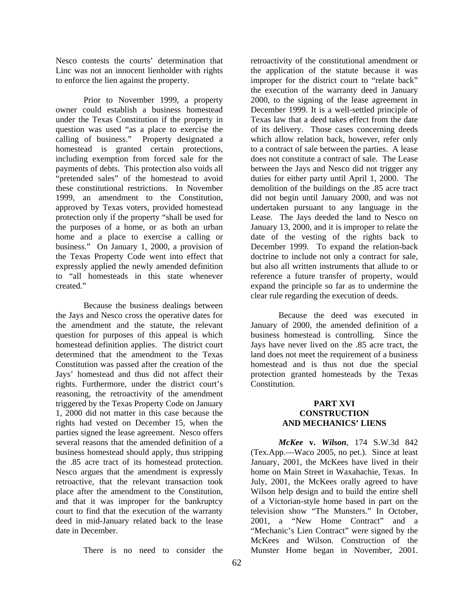Nesco contests the courts' determination that Linc was not an innocent lienholder with rights to enforce the lien against the property.

 Prior to November 1999, a property owner could establish a business homestead under the Texas Constitution if the property in question was used "as a place to exercise the calling of business." Property designated a homestead is granted certain protections, including exemption from forced sale for the payments of debts. This protection also voids all "pretended sales" of the homestead to avoid these constitutional restrictions. In November 1999, an amendment to the Constitution, approved by Texas voters, provided homestead protection only if the property "shall be used for the purposes of a home, or as both an urban home and a place to exercise a calling or business." On January 1, 2000, a provision of the Texas Property Code went into effect that expressly applied the newly amended definition to "all homesteads in this state whenever created."

 Because the business dealings between the Jays and Nesco cross the operative dates for the amendment and the statute, the relevant question for purposes of this appeal is which homestead definition applies. The district court determined that the amendment to the Texas Constitution was passed after the creation of the Jays' homestead and thus did not affect their rights. Furthermore, under the district court's reasoning, the retroactivity of the amendment triggered by the Texas Property Code on January 1, 2000 did not matter in this case because the rights had vested on December 15, when the parties signed the lease agreement. Nesco offers several reasons that the amended definition of a business homestead should apply, thus stripping the .85 acre tract of its homestead protection. Nesco argues that the amendment is expressly retroactive, that the relevant transaction took place after the amendment to the Constitution, and that it was improper for the bankruptcy court to find that the execution of the warranty deed in mid-January related back to the lease date in December.

There is no need to consider the

retroactivity of the constitutional amendment or the application of the statute because it was improper for the district court to "relate back" the execution of the warranty deed in January 2000, to the signing of the lease agreement in December 1999. It is a well-settled principle of Texas law that a deed takes effect from the date of its delivery. Those cases concerning deeds which allow relation back, however, refer only to a contract of sale between the parties. A lease does not constitute a contract of sale. The Lease between the Jays and Nesco did not trigger any duties for either party until April 1, 2000. The demolition of the buildings on the .85 acre tract did not begin until January 2000, and was not undertaken pursuant to any language in the Lease. The Jays deeded the land to Nesco on January 13, 2000, and it is improper to relate the date of the vesting of the rights back to December 1999. To expand the relation-back doctrine to include not only a contract for sale, but also all written instruments that allude to or reference a future transfer of property, would expand the principle so far as to undermine the clear rule regarding the execution of deeds.

 Because the deed was executed in January of 2000, the amended definition of a business homestead is controlling. Since the Jays have never lived on the .85 acre tract, the land does not meet the requirement of a business homestead and is thus not due the special protection granted homesteads by the Texas Constitution.

### **PART XVI CONSTRUCTION AND MECHANICS' LIENS**

*McKee* **v.** *Wilson*, 174 S.W.3d 842 (Tex.App.—Waco 2005, no pet.). Since at least January, 2001, the McKees have lived in their home on Main Street in Waxahachie, Texas. In July, 2001, the McKees orally agreed to have Wilson help design and to build the entire shell of a Victorian-style home based in part on the television show "The Munsters." In October, 2001, a "New Home Contract" and a "Mechanic's Lien Contract" were signed by the McKees and Wilson. Construction of the Munster Home began in November, 2001.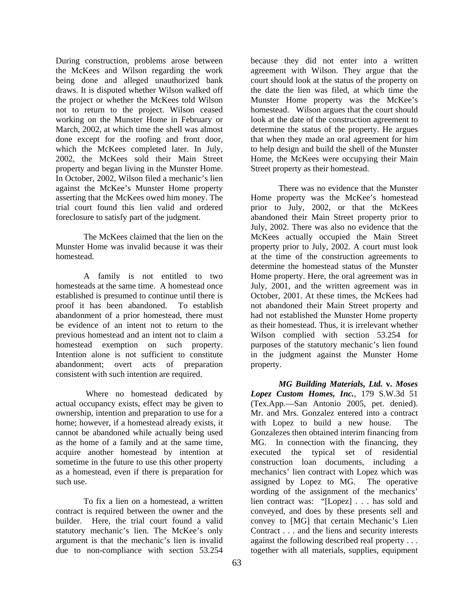During construction, problems arose between the McKees and Wilson regarding the work being done and alleged unauthorized bank draws. It is disputed whether Wilson walked off the project or whether the McKees told Wilson not to return to the project. Wilson ceased working on the Munster Home in February or March, 2002, at which time the shell was almost done except for the roofing and front door, which the McKees completed later. In July, 2002, the McKees sold their Main Street property and began living in the Munster Home. In October, 2002, Wilson filed a mechanic's lien against the McKee's Munster Home property asserting that the McKees owed him money. The trial court found this lien valid and ordered foreclosure to satisfy part of the judgment.

The McKees claimed that the lien on the Munster Home was invalid because it was their homestead.

A family is not entitled to two homesteads at the same time. A homestead once established is presumed to continue until there is proof it has been abandoned. To establish abandonment of a prior homestead, there must be evidence of an intent not to return to the previous homestead and an intent not to claim a homestead exemption on such property. Intention alone is not sufficient to constitute abandonment; overt acts of preparation consistent with such intention are required.

 Where no homestead dedicated by actual occupancy exists, effect may be given to ownership, intention and preparation to use for a home; however, if a homestead already exists, it cannot be abandoned while actually being used as the home of a family and at the same time, acquire another homestead by intention at sometime in the future to use this other property as a homestead, even if there is preparation for such use.

To fix a lien on a homestead, a written contract is required between the owner and the builder. Here, the trial court found a valid statutory mechanic's lien. The McKee's only argument is that the mechanic's lien is invalid due to non-compliance with section 53.254

because they did not enter into a written agreement with Wilson. They argue that the court should look at the status of the property on the date the lien was filed, at which time the Munster Home property was the McKee's homestead. Wilson argues that the court should look at the date of the construction agreement to determine the status of the property. He argues that when they made an oral agreement for him to help design and build the shell of the Munster Home, the McKees were occupying their Main Street property as their homestead.

There was no evidence that the Munster Home property was the McKee's homestead prior to July, 2002, or that the McKees abandoned their Main Street property prior to July, 2002. There was also no evidence that the McKees actually occupied the Main Street property prior to July, 2002. A court must look at the time of the construction agreements to determine the homestead status of the Munster Home property. Here, the oral agreement was in July, 2001, and the written agreement was in October, 2001. At these times, the McKees had not abandoned their Main Street property and had not established the Munster Home property as their homestead. Thus, it is irrelevant whether Wilson complied with section 53.254 for purposes of the statutory mechanic's lien found in the judgment against the Munster Home property.

*MG Building Materials, Ltd.* **v.** *Moses Lopez Custom Homes, Inc.*, 179 S.W.3d 51 (Tex.App.—San Antonio 2005, pet. denied). Mr. and Mrs. Gonzalez entered into a contract with Lopez to build a new house. The Gonzalezes then obtained interim financing from MG. In connection with the financing, they executed the typical set of residential construction loan documents, including a mechanics' lien contract with Lopez which was assigned by Lopez to MG. The operative wording of the assignment of the mechanics' lien contract was: "[Lopez] . . . has sold and conveyed, and does by these presents sell and convey to [MG] that certain Mechanic's Lien Contract . . . and the liens and security interests against the following described real property . . . together with all materials, supplies, equipment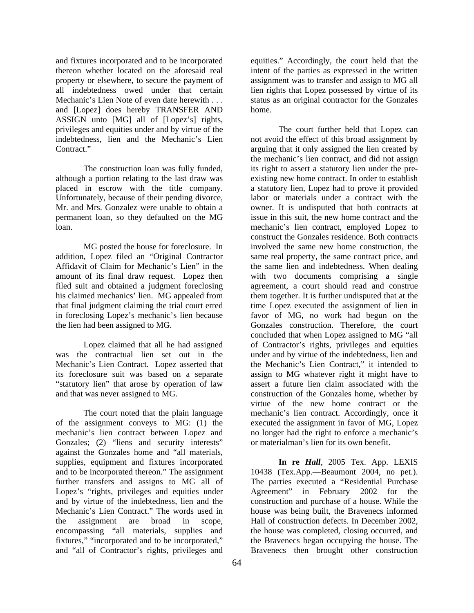and fixtures incorporated and to be incorporated thereon whether located on the aforesaid real property or elsewhere, to secure the payment of all indebtedness owed under that certain Mechanic's Lien Note of even date herewith . . . and [Lopez] does hereby TRANSFER AND ASSIGN unto [MG] all of [Lopez's] rights, privileges and equities under and by virtue of the indebtedness, lien and the Mechanic's Lien Contract<sup>"</sup>

The construction loan was fully funded, although a portion relating to the last draw was placed in escrow with the title company. Unfortunately, because of their pending divorce, Mr. and Mrs. Gonzalez were unable to obtain a permanent loan, so they defaulted on the MG loan.

MG posted the house for foreclosure. In addition, Lopez filed an "Original Contractor Affidavit of Claim for Mechanic's Lien" in the amount of its final draw request. Lopez then filed suit and obtained a judgment foreclosing his claimed mechanics' lien. MG appealed from that final judgment claiming the trial court erred in foreclosing Lopez's mechanic's lien because the lien had been assigned to MG.

Lopez claimed that all he had assigned was the contractual lien set out in the Mechanic's Lien Contract. Lopez asserted that its foreclosure suit was based on a separate "statutory lien" that arose by operation of law and that was never assigned to MG.

The court noted that the plain language of the assignment conveys to MG: (1) the mechanic's lien contract between Lopez and Gonzales; (2) "liens and security interests" against the Gonzales home and "all materials, supplies, equipment and fixtures incorporated and to be incorporated thereon." The assignment further transfers and assigns to MG all of Lopez's "rights, privileges and equities under and by virtue of the indebtedness, lien and the Mechanic's Lien Contract." The words used in the assignment are broad in scope, encompassing "all materials, supplies and fixtures," "incorporated and to be incorporated," and "all of Contractor's rights, privileges and

equities." Accordingly, the court held that the intent of the parties as expressed in the written assignment was to transfer and assign to MG all lien rights that Lopez possessed by virtue of its status as an original contractor for the Gonzales home.

The court further held that Lopez can not avoid the effect of this broad assignment by arguing that it only assigned the lien created by the mechanic's lien contract, and did not assign its right to assert a statutory lien under the preexisting new home contract. In order to establish a statutory lien, Lopez had to prove it provided labor or materials under a contract with the owner. It is undisputed that both contracts at issue in this suit, the new home contract and the mechanic's lien contract, employed Lopez to construct the Gonzales residence. Both contracts involved the same new home construction, the same real property, the same contract price, and the same lien and indebtedness. When dealing with two documents comprising a single agreement, a court should read and construe them together. It is further undisputed that at the time Lopez executed the assignment of lien in favor of MG, no work had begun on the Gonzales construction. Therefore, the court concluded that when Lopez assigned to MG "all of Contractor's rights, privileges and equities under and by virtue of the indebtedness, lien and the Mechanic's Lien Contract," it intended to assign to MG whatever right it might have to assert a future lien claim associated with the construction of the Gonzales home, whether by virtue of the new home contract or the mechanic's lien contract. Accordingly, once it executed the assignment in favor of MG, Lopez no longer had the right to enforce a mechanic's or materialman's lien for its own benefit.

**In re** *Hall*, 2005 Tex. App. LEXIS 10438 (Tex.App.—Beaumont 2004, no pet.). The parties executed a "Residential Purchase Agreement" in February 2002 for the construction and purchase of a house. While the house was being built, the Bravenecs informed Hall of construction defects. In December 2002, the house was completed, closing occurred, and the Bravenecs began occupying the house. The Bravenecs then brought other construction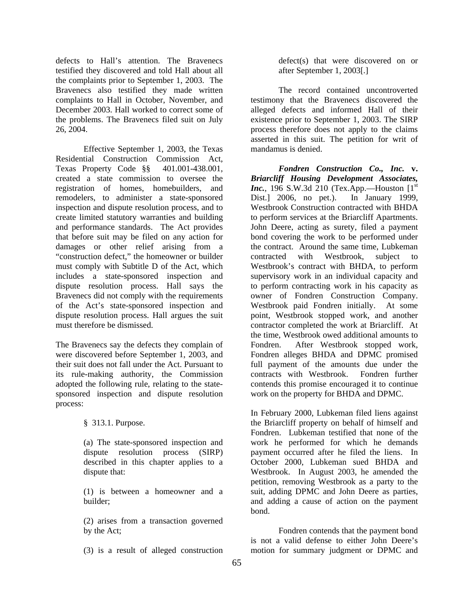defects to Hall's attention. The Bravenecs testified they discovered and told Hall about all the complaints prior to September 1, 2003. The Bravenecs also testified they made written complaints to Hall in October, November, and December 2003. Hall worked to correct some of the problems. The Bravenecs filed suit on July 26, 2004.

Effective September 1, 2003, the Texas Residential Construction Commission Act, Texas Property Code §§ 401.001-438.001, created a state commission to oversee the registration of homes, homebuilders, and remodelers, to administer a state-sponsored inspection and dispute resolution process, and to create limited statutory warranties and building and performance standards. The Act provides that before suit may be filed on any action for damages or other relief arising from a "construction defect," the homeowner or builder must comply with Subtitle D of the Act, which includes a state-sponsored inspection and dispute resolution process. Hall says the Bravenecs did not comply with the requirements of the Act's state-sponsored inspection and dispute resolution process. Hall argues the suit must therefore be dismissed.

The Bravenecs say the defects they complain of were discovered before September 1, 2003, and their suit does not fall under the Act. Pursuant to its rule-making authority, the Commission adopted the following rule, relating to the statesponsored inspection and dispute resolution process:

§ 313.1. Purpose.

(a) The state-sponsored inspection and dispute resolution process (SIRP) described in this chapter applies to a dispute that:

(1) is between a homeowner and a builder;

(2) arises from a transaction governed by the Act;

(3) is a result of alleged construction

defect(s) that were discovered on or after September 1, 2003[.]

The record contained uncontroverted testimony that the Bravenecs discovered the alleged defects and informed Hall of their existence prior to September 1, 2003. The SIRP process therefore does not apply to the claims asserted in this suit. The petition for writ of mandamus is denied.

*Fondren Construction Co., Inc.* **v.** *Briarcliff Housing Development Associates, Inc.*, 196 S.W.3d 210 (Tex.App.—Houston  $1^{st}$ Dist.] 2006, no pet.). In January 1999, Westbrook Construction contracted with BHDA to perform services at the Briarcliff Apartments. John Deere, acting as surety, filed a payment bond covering the work to be performed under the contract. Around the same time, Lubkeman contracted with Westbrook, subject to Westbrook's contract with BHDA, to perform supervisory work in an individual capacity and to perform contracting work in his capacity as owner of Fondren Construction Company. Westbrook paid Fondren initially. At some point, Westbrook stopped work, and another contractor completed the work at Briarcliff. At the time, Westbrook owed additional amounts to Fondren. After Westbrook stopped work, Fondren alleges BHDA and DPMC promised full payment of the amounts due under the contracts with Westbrook. Fondren further contends this promise encouraged it to continue work on the property for BHDA and DPMC.

In February 2000, Lubkeman filed liens against the Briarcliff property on behalf of himself and Fondren. Lubkeman testified that none of the work he performed for which he demands payment occurred after he filed the liens. In October 2000, Lubkeman sued BHDA and Westbrook. In August 2003, he amended the petition, removing Westbrook as a party to the suit, adding DPMC and John Deere as parties, and adding a cause of action on the payment bond.

 Fondren contends that the payment bond is not a valid defense to either John Deere's motion for summary judgment or DPMC and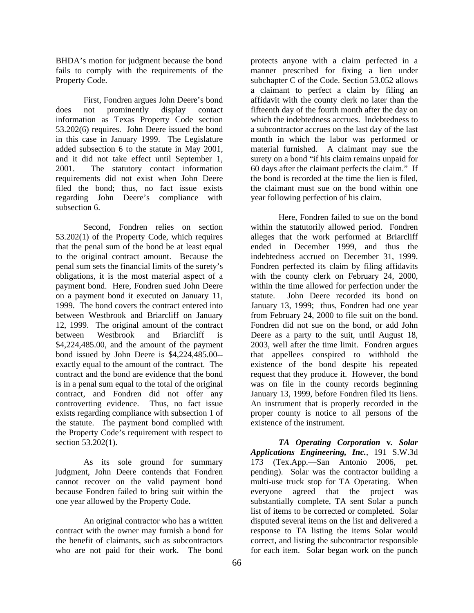BHDA's motion for judgment because the bond fails to comply with the requirements of the Property Code.

 First, Fondren argues John Deere's bond does not prominently display contact information as Texas Property Code section 53.202(6) requires. John Deere issued the bond in this case in January 1999. The Legislature added subsection 6 to the statute in May 2001, and it did not take effect until September 1, 2001. The statutory contact information requirements did not exist when John Deere filed the bond; thus, no fact issue exists regarding John Deere's compliance with subsection 6.

 Second, Fondren relies on section 53.202(1) of the Property Code, which requires that the penal sum of the bond be at least equal to the original contract amount. Because the penal sum sets the financial limits of the surety's obligations, it is the most material aspect of a payment bond. Here, Fondren sued John Deere on a payment bond it executed on January 11, 1999. The bond covers the contract entered into between Westbrook and Briarcliff on January 12, 1999. The original amount of the contract between Westbrook and Briarcliff is \$4,224,485.00, and the amount of the payment bond issued by John Deere is \$4,224,485.00- exactly equal to the amount of the contract. The contract and the bond are evidence that the bond is in a penal sum equal to the total of the original contract, and Fondren did not offer any controverting evidence. Thus, no fact issue exists regarding compliance with subsection 1 of the statute. The payment bond complied with the Property Code's requirement with respect to section 53.202(1).

 As its sole ground for summary judgment, John Deere contends that Fondren cannot recover on the valid payment bond because Fondren failed to bring suit within the one year allowed by the Property Code.

 An original contractor who has a written contract with the owner may furnish a bond for the benefit of claimants, such as subcontractors who are not paid for their work. The bond

protects anyone with a claim perfected in a manner prescribed for fixing a lien under subchapter C of the Code. Section 53.052 allows a claimant to perfect a claim by filing an affidavit with the county clerk no later than the fifteenth day of the fourth month after the day on which the indebtedness accrues. Indebtedness to a subcontractor accrues on the last day of the last month in which the labor was performed or material furnished. A claimant may sue the surety on a bond "if his claim remains unpaid for 60 days after the claimant perfects the claim." If the bond is recorded at the time the lien is filed, the claimant must sue on the bond within one year following perfection of his claim.

 Here, Fondren failed to sue on the bond within the statutorily allowed period. Fondren alleges that the work performed at Briarcliff ended in December 1999, and thus the indebtedness accrued on December 31, 1999. Fondren perfected its claim by filing affidavits with the county clerk on February 24, 2000, within the time allowed for perfection under the statute. John Deere recorded its bond on January 13, 1999; thus, Fondren had one year from February 24, 2000 to file suit on the bond. Fondren did not sue on the bond, or add John Deere as a party to the suit, until August 18, 2003, well after the time limit. Fondren argues that appellees conspired to withhold the existence of the bond despite his repeated request that they produce it. However, the bond was on file in the county records beginning January 13, 1999, before Fondren filed its liens. An instrument that is properly recorded in the proper county is notice to all persons of the existence of the instrument.

*TA Operating Corporation* **v***. Solar Applications Engineering, Inc.*, 191 S.W.3d 173 (Tex.App.—San Antonio 2006, pet. pending). Solar was the contractor building a multi-use truck stop for TA Operating. When everyone agreed that the project was substantially complete, TA sent Solar a punch list of items to be corrected or completed. Solar disputed several items on the list and delivered a response to TA listing the items Solar would correct, and listing the subcontractor responsible for each item. Solar began work on the punch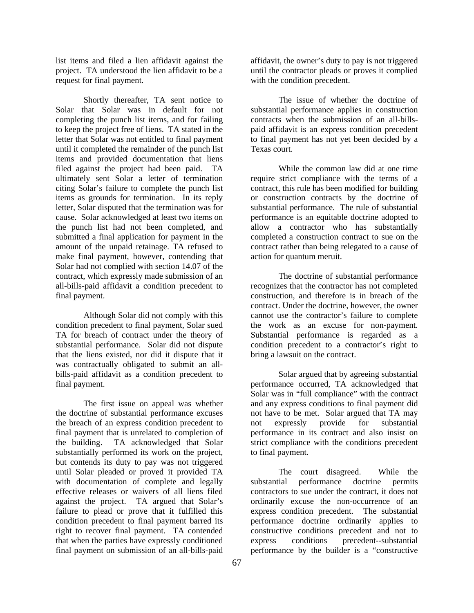list items and filed a lien affidavit against the project. TA understood the lien affidavit to be a request for final payment.

 Shortly thereafter, TA sent notice to Solar that Solar was in default for not completing the punch list items, and for failing to keep the project free of liens. TA stated in the letter that Solar was not entitled to final payment until it completed the remainder of the punch list items and provided documentation that liens filed against the project had been paid. TA ultimately sent Solar a letter of termination citing Solar's failure to complete the punch list items as grounds for termination. In its reply letter, Solar disputed that the termination was for cause. Solar acknowledged at least two items on the punch list had not been completed, and submitted a final application for payment in the amount of the unpaid retainage. TA refused to make final payment, however, contending that Solar had not complied with section 14.07 of the contract, which expressly made submission of an all-bills-paid affidavit a condition precedent to final payment.

 Although Solar did not comply with this condition precedent to final payment, Solar sued TA for breach of contract under the theory of substantial performance. Solar did not dispute that the liens existed, nor did it dispute that it was contractually obligated to submit an allbills-paid affidavit as a condition precedent to final payment.

 The first issue on appeal was whether the doctrine of substantial performance excuses the breach of an express condition precedent to final payment that is unrelated to completion of the building. TA acknowledged that Solar substantially performed its work on the project, but contends its duty to pay was not triggered until Solar pleaded or proved it provided TA with documentation of complete and legally effective releases or waivers of all liens filed against the project. TA argued that Solar's failure to plead or prove that it fulfilled this condition precedent to final payment barred its right to recover final payment. TA contended that when the parties have expressly conditioned final payment on submission of an all-bills-paid

affidavit, the owner's duty to pay is not triggered until the contractor pleads or proves it complied with the condition precedent.

 The issue of whether the doctrine of substantial performance applies in construction contracts when the submission of an all-billspaid affidavit is an express condition precedent to final payment has not yet been decided by a Texas court.

 While the common law did at one time require strict compliance with the terms of a contract, this rule has been modified for building or construction contracts by the doctrine of substantial performance. The rule of substantial performance is an equitable doctrine adopted to allow a contractor who has substantially completed a construction contract to sue on the contract rather than being relegated to a cause of action for quantum meruit.

 The doctrine of substantial performance recognizes that the contractor has not completed construction, and therefore is in breach of the contract. Under the doctrine, however, the owner cannot use the contractor's failure to complete the work as an excuse for non-payment. Substantial performance is regarded as a condition precedent to a contractor's right to bring a lawsuit on the contract.

 Solar argued that by agreeing substantial performance occurred, TA acknowledged that Solar was in "full compliance" with the contract and any express conditions to final payment did not have to be met. Solar argued that TA may not expressly provide for substantial performance in its contract and also insist on strict compliance with the conditions precedent to final payment.

 The court disagreed. While the substantial performance doctrine permits contractors to sue under the contract, it does not ordinarily excuse the non-occurrence of an express condition precedent. The substantial performance doctrine ordinarily applies to constructive conditions precedent and not to express conditions precedent--substantial performance by the builder is a "constructive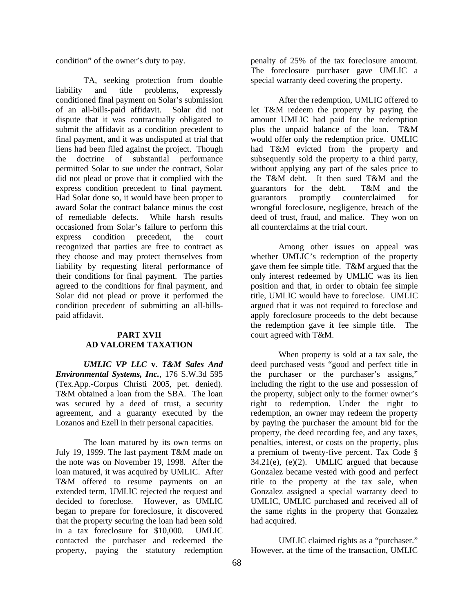condition" of the owner's duty to pay.

 TA, seeking protection from double liability and title problems, expressly conditioned final payment on Solar's submission of an all-bills-paid affidavit. Solar did not dispute that it was contractually obligated to submit the affidavit as a condition precedent to final payment, and it was undisputed at trial that liens had been filed against the project. Though the doctrine of substantial performance permitted Solar to sue under the contract, Solar did not plead or prove that it complied with the express condition precedent to final payment. Had Solar done so, it would have been proper to award Solar the contract balance minus the cost of remediable defects. While harsh results occasioned from Solar's failure to perform this express condition precedent, the court recognized that parties are free to contract as they choose and may protect themselves from liability by requesting literal performance of their conditions for final payment. The parties agreed to the conditions for final payment, and Solar did not plead or prove it performed the condition precedent of submitting an all-billspaid affidavit.

### **PART XVII AD VALOREM TAXATION**

*UMLIC VP LLC* **v.** *T&M Sales And Environmental Systems, Inc.*, 176 S.W.3d 595 (Tex.App.-Corpus Christi 2005, pet. denied). T&M obtained a loan from the SBA. The loan was secured by a deed of trust, a security agreement, and a guaranty executed by the Lozanos and Ezell in their personal capacities.

The loan matured by its own terms on July 19, 1999. The last payment T&M made on the note was on November 19, 1998. After the loan matured, it was acquired by UMLIC. After T&M offered to resume payments on an extended term, UMLIC rejected the request and decided to foreclose. However, as UMLIC began to prepare for foreclosure, it discovered that the property securing the loan had been sold in a tax foreclosure for \$10,000. UMLIC contacted the purchaser and redeemed the property, paying the statutory redemption

penalty of 25% of the tax foreclosure amount. The foreclosure purchaser gave UMLIC a special warranty deed covering the property.

After the redemption, UMLIC offered to let T&M redeem the property by paying the amount UMLIC had paid for the redemption plus the unpaid balance of the loan. T&M would offer only the redemption price. UMLIC had T&M evicted from the property and subsequently sold the property to a third party, without applying any part of the sales price to the T&M debt. It then sued T&M and the guarantors for the debt. T&M and the guarantors promptly counterclaimed for wrongful foreclosure, negligence, breach of the deed of trust, fraud, and malice. They won on all counterclaims at the trial court.

Among other issues on appeal was whether UMLIC's redemption of the property gave them fee simple title. T&M argued that the only interest redeemed by UMLIC was its lien position and that, in order to obtain fee simple title, UMLIC would have to foreclose. UMLIC argued that it was not required to foreclose and apply foreclosure proceeds to the debt because the redemption gave it fee simple title. The court agreed with T&M.

When property is sold at a tax sale, the deed purchased vests "good and perfect title in the purchaser or the purchaser's assigns," including the right to the use and possession of the property, subject only to the former owner's right to redemption. Under the right to redemption, an owner may redeem the property by paying the purchaser the amount bid for the property, the deed recording fee, and any taxes, penalties, interest, or costs on the property, plus a premium of twenty-five percent. Tax Code §  $34.21(e)$ ,  $(e)(2)$ . UMLIC argued that because Gonzalez became vested with good and perfect title to the property at the tax sale, when Gonzalez assigned a special warranty deed to UMLIC, UMLIC purchased and received all of the same rights in the property that Gonzalez had acquired.

UMLIC claimed rights as a "purchaser." However, at the time of the transaction, UMLIC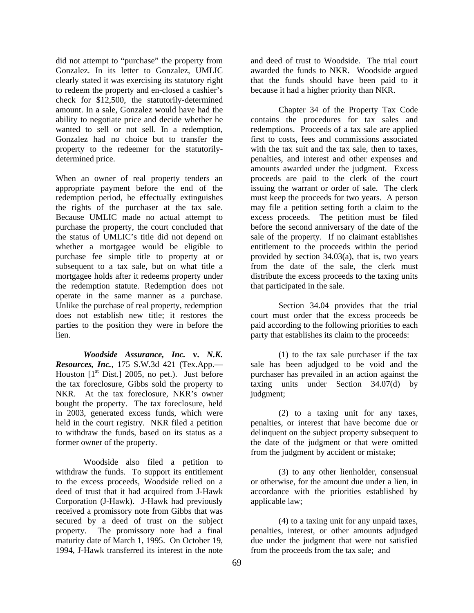did not attempt to "purchase" the property from Gonzalez. In its letter to Gonzalez, UMLIC clearly stated it was exercising its statutory right to redeem the property and en-closed a cashier's check for \$12,500, the statutorily-determined amount. In a sale, Gonzalez would have had the ability to negotiate price and decide whether he wanted to sell or not sell. In a redemption, Gonzalez had no choice but to transfer the property to the redeemer for the statutorilydetermined price.

When an owner of real property tenders an appropriate payment before the end of the redemption period, he effectually extinguishes the rights of the purchaser at the tax sale. Because UMLIC made no actual attempt to purchase the property, the court concluded that the status of UMLIC's title did not depend on whether a mortgagee would be eligible to purchase fee simple title to property at or subsequent to a tax sale, but on what title a mortgagee holds after it redeems property under the redemption statute. Redemption does not operate in the same manner as a purchase. Unlike the purchase of real property, redemption does not establish new title; it restores the parties to the position they were in before the lien.

*Woodside Assurance, Inc.* **v.** *N.K. Resources, Inc.*, 175 S.W.3d 421 (Tex.App.— Houston  $[1<sup>st</sup> Dist.]$  2005, no pet.). Just before the tax foreclosure, Gibbs sold the property to NKR. At the tax foreclosure, NKR's owner bought the property. The tax foreclosure, held in 2003, generated excess funds, which were held in the court registry. NKR filed a petition to withdraw the funds, based on its status as a former owner of the property.

 Woodside also filed a petition to withdraw the funds. To support its entitlement to the excess proceeds, Woodside relied on a deed of trust that it had acquired from J-Hawk Corporation (J-Hawk). J-Hawk had previously received a promissory note from Gibbs that was secured by a deed of trust on the subject property. The promissory note had a final maturity date of March 1, 1995. On October 19, 1994, J-Hawk transferred its interest in the note

and deed of trust to Woodside. The trial court awarded the funds to NKR. Woodside argued that the funds should have been paid to it because it had a higher priority than NKR.

 Chapter 34 of the Property Tax Code contains the procedures for tax sales and redemptions. Proceeds of a tax sale are applied first to costs, fees and commissions associated with the tax suit and the tax sale, then to taxes, penalties, and interest and other expenses and amounts awarded under the judgment. Excess proceeds are paid to the clerk of the court issuing the warrant or order of sale. The clerk must keep the proceeds for two years. A person may file a petition setting forth a claim to the excess proceeds. The petition must be filed before the second anniversary of the date of the sale of the property. If no claimant establishes entitlement to the proceeds within the period provided by section 34.03(a), that is, two years from the date of the sale, the clerk must distribute the excess proceeds to the taxing units that participated in the sale.

 Section 34.04 provides that the trial court must order that the excess proceeds be paid according to the following priorities to each party that establishes its claim to the proceeds:

 (1) to the tax sale purchaser if the tax sale has been adjudged to be void and the purchaser has prevailed in an action against the taxing units under Section 34.07(d) by judgment;

 (2) to a taxing unit for any taxes, penalties, or interest that have become due or delinquent on the subject property subsequent to the date of the judgment or that were omitted from the judgment by accident or mistake;

 (3) to any other lienholder, consensual or otherwise, for the amount due under a lien, in accordance with the priorities established by applicable law;

 (4) to a taxing unit for any unpaid taxes, penalties, interest, or other amounts adjudged due under the judgment that were not satisfied from the proceeds from the tax sale; and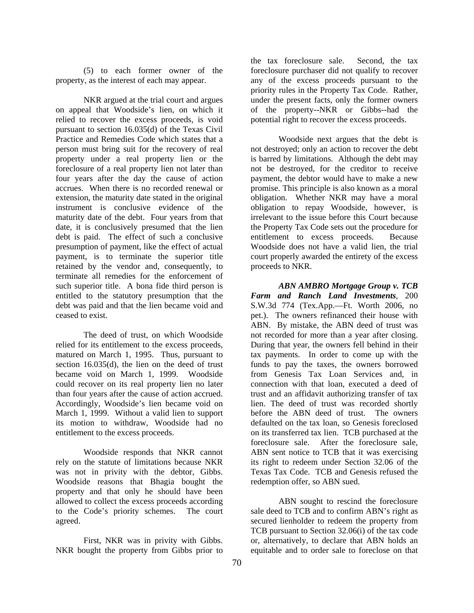(5) to each former owner of the property, as the interest of each may appear.

 NKR argued at the trial court and argues on appeal that Woodside's lien, on which it relied to recover the excess proceeds, is void pursuant to section 16.035(d) of the Texas Civil Practice and Remedies Code which states that a person must bring suit for the recovery of real property under a real property lien or the foreclosure of a real property lien not later than four years after the day the cause of action accrues. When there is no recorded renewal or extension, the maturity date stated in the original instrument is conclusive evidence of the maturity date of the debt. Four years from that date, it is conclusively presumed that the lien debt is paid. The effect of such a conclusive presumption of payment, like the effect of actual payment, is to terminate the superior title retained by the vendor and, consequently, to terminate all remedies for the enforcement of such superior title. A bona fide third person is entitled to the statutory presumption that the debt was paid and that the lien became void and ceased to exist.

 The deed of trust, on which Woodside relied for its entitlement to the excess proceeds, matured on March 1, 1995. Thus, pursuant to section 16.035(d), the lien on the deed of trust became void on March 1, 1999. Woodside could recover on its real property lien no later than four years after the cause of action accrued. Accordingly, Woodside's lien became void on March 1, 1999. Without a valid lien to support its motion to withdraw, Woodside had no entitlement to the excess proceeds.

 Woodside responds that NKR cannot rely on the statute of limitations because NKR was not in privity with the debtor, Gibbs. Woodside reasons that Bhagia bought the property and that only he should have been allowed to collect the excess proceeds according to the Code's priority schemes. The court agreed.

 First, NKR was in privity with Gibbs. NKR bought the property from Gibbs prior to

the tax foreclosure sale. Second, the tax foreclosure purchaser did not qualify to recover any of the excess proceeds pursuant to the priority rules in the Property Tax Code. Rather, under the present facts, only the former owners of the property--NKR or Gibbs--had the potential right to recover the excess proceeds.

 Woodside next argues that the debt is not destroyed; only an action to recover the debt is barred by limitations. Although the debt may not be destroyed, for the creditor to receive payment, the debtor would have to make a new promise. This principle is also known as a moral obligation. Whether NKR may have a moral obligation to repay Woodside, however, is irrelevant to the issue before this Court because the Property Tax Code sets out the procedure for entitlement to excess proceeds. Because Woodside does not have a valid lien, the trial court properly awarded the entirety of the excess proceeds to NKR.

*ABN AMBRO Mortgage Group v. TCB Farm and Ranch Land Investments*, 200 S.W.3d 774 (Tex.App.—Ft. Worth 2006, no pet.). The owners refinanced their house with ABN. By mistake, the ABN deed of trust was not recorded for more than a year after closing. During that year, the owners fell behind in their tax payments. In order to come up with the funds to pay the taxes, the owners borrowed from Genesis Tax Loan Services and, in connection with that loan, executed a deed of trust and an affidavit authorizing transfer of tax lien. The deed of trust was recorded shortly before the ABN deed of trust. The owners defaulted on the tax loan, so Genesis foreclosed on its transferred tax lien. TCB purchased at the foreclosure sale. After the foreclosure sale, ABN sent notice to TCB that it was exercising its right to redeem under Section 32.06 of the Texas Tax Code. TCB and Genesis refused the redemption offer, so ABN sued.

 ABN sought to rescind the foreclosure sale deed to TCB and to confirm ABN's right as secured lienholder to redeem the property from TCB pursuant to Section 32.06(i) of the tax code or, alternatively, to declare that ABN holds an equitable and to order sale to foreclose on that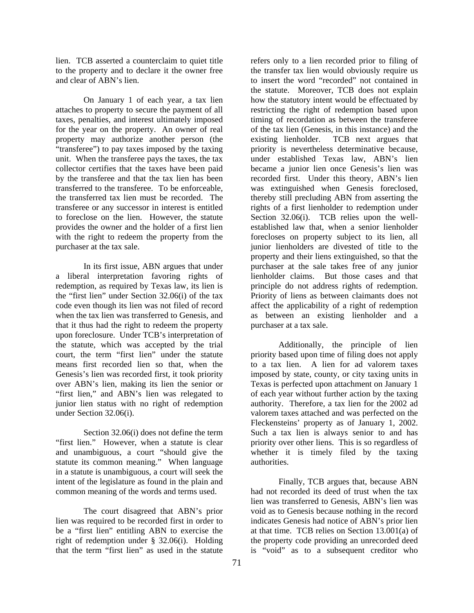lien. TCB asserted a counterclaim to quiet title to the property and to declare it the owner free and clear of ABN's lien.

 On January 1 of each year, a tax lien attaches to property to secure the payment of all taxes, penalties, and interest ultimately imposed for the year on the property. An owner of real property may authorize another person (the "transferee") to pay taxes imposed by the taxing unit. When the transferee pays the taxes, the tax collector certifies that the taxes have been paid by the transferee and that the tax lien has been transferred to the transferee. To be enforceable, the transferred tax lien must be recorded. The transferee or any successor in interest is entitled to foreclose on the lien. However, the statute provides the owner and the holder of a first lien with the right to redeem the property from the purchaser at the tax sale.

 In its first issue, ABN argues that under a liberal interpretation favoring rights of redemption, as required by Texas law, its lien is the "first lien" under Section 32.06(i) of the tax code even though its lien was not filed of record when the tax lien was transferred to Genesis, and that it thus had the right to redeem the property upon foreclosure. Under TCB's interpretation of the statute, which was accepted by the trial court, the term "first lien" under the statute means first recorded lien so that, when the Genesis's lien was recorded first, it took priority over ABN's lien, making its lien the senior or "first lien," and ABN's lien was relegated to junior lien status with no right of redemption under Section 32.06(i).

 Section 32.06(i) does not define the term "first lien." However, when a statute is clear and unambiguous, a court "should give the statute its common meaning." When language in a statute is unambiguous, a court will seek the intent of the legislature as found in the plain and common meaning of the words and terms used.

 The court disagreed that ABN's prior lien was required to be recorded first in order to be a "first lien" entitling ABN to exercise the right of redemption under § 32.06(i). Holding that the term "first lien" as used in the statute

refers only to a lien recorded prior to filing of the transfer tax lien would obviously require us to insert the word "recorded" not contained in the statute. Moreover, TCB does not explain how the statutory intent would be effectuated by restricting the right of redemption based upon timing of recordation as between the transferee of the tax lien (Genesis, in this instance) and the existing lienholder. TCB next argues that priority is nevertheless determinative because, under established Texas law, ABN's lien became a junior lien once Genesis's lien was recorded first. Under this theory, ABN's lien was extinguished when Genesis foreclosed, thereby still precluding ABN from asserting the rights of a first lienholder to redemption under Section 32.06(i). TCB relies upon the wellestablished law that, when a senior lienholder forecloses on property subject to its lien, all junior lienholders are divested of title to the property and their liens extinguished, so that the purchaser at the sale takes free of any junior lienholder claims. But those cases and that principle do not address rights of redemption. Priority of liens as between claimants does not affect the applicability of a right of redemption as between an existing lienholder and a purchaser at a tax sale.

 Additionally, the principle of lien priority based upon time of filing does not apply to a tax lien. A lien for ad valorem taxes imposed by state, county, or city taxing units in Texas is perfected upon attachment on January 1 of each year without further action by the taxing authority. Therefore, a tax lien for the 2002 ad valorem taxes attached and was perfected on the Fleckensteins' property as of January 1, 2002. Such a tax lien is always senior to and has priority over other liens. This is so regardless of whether it is timely filed by the taxing authorities.

 Finally, TCB argues that, because ABN had not recorded its deed of trust when the tax lien was transferred to Genesis, ABN's lien was void as to Genesis because nothing in the record indicates Genesis had notice of ABN's prior lien at that time. TCB relies on Section 13.001(a) of the property code providing an unrecorded deed is "void" as to a subsequent creditor who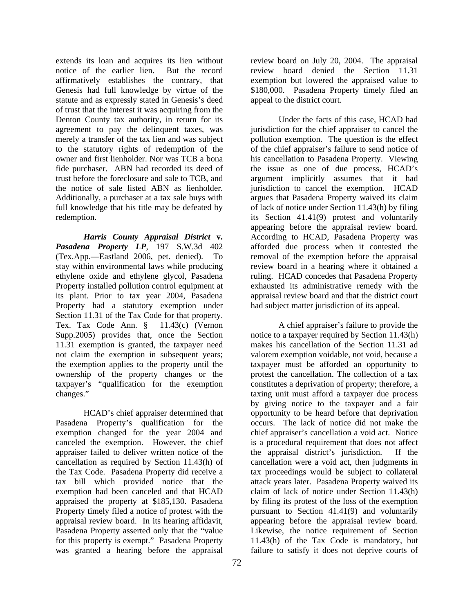extends its loan and acquires its lien without notice of the earlier lien. But the record affirmatively establishes the contrary, that Genesis had full knowledge by virtue of the statute and as expressly stated in Genesis's deed of trust that the interest it was acquiring from the Denton County tax authority, in return for its agreement to pay the delinquent taxes, was merely a transfer of the tax lien and was subject to the statutory rights of redemption of the owner and first lienholder. Nor was TCB a bona fide purchaser. ABN had recorded its deed of trust before the foreclosure and sale to TCB, and the notice of sale listed ABN as lienholder. Additionally, a purchaser at a tax sale buys with full knowledge that his title may be defeated by redemption.

*Harris County Appraisal District* **v.** *Pasadena Property LP*, 197 S.W.3d 402 (Tex.App.—Eastland 2006, pet. denied). To stay within environmental laws while producing ethylene oxide and ethylene glycol, Pasadena Property installed pollution control equipment at its plant. Prior to tax year 2004, Pasadena Property had a statutory exemption under Section 11.31 of the Tax Code for that property. Tex. Tax Code Ann. § 11.43(c) (Vernon Supp.2005) provides that, once the Section 11.31 exemption is granted, the taxpayer need not claim the exemption in subsequent years; the exemption applies to the property until the ownership of the property changes or the taxpayer's "qualification for the exemption changes."

 HCAD's chief appraiser determined that Pasadena Property's qualification for the exemption changed for the year 2004 and canceled the exemption. However, the chief appraiser failed to deliver written notice of the cancellation as required by Section 11.43(h) of the Tax Code. Pasadena Property did receive a tax bill which provided notice that the exemption had been canceled and that HCAD appraised the property at \$185,130. Pasadena Property timely filed a notice of protest with the appraisal review board. In its hearing affidavit, Pasadena Property asserted only that the "value for this property is exempt." Pasadena Property was granted a hearing before the appraisal

review board on July 20, 2004. The appraisal review board denied the Section 11.31 exemption but lowered the appraised value to \$180,000. Pasadena Property timely filed an appeal to the district court.

 Under the facts of this case, HCAD had jurisdiction for the chief appraiser to cancel the pollution exemption. The question is the effect of the chief appraiser's failure to send notice of his cancellation to Pasadena Property. Viewing the issue as one of due process, HCAD's argument implicitly assumes that it had jurisdiction to cancel the exemption. HCAD argues that Pasadena Property waived its claim of lack of notice under Section 11.43(h) by filing its Section 41.41(9) protest and voluntarily appearing before the appraisal review board. According to HCAD, Pasadena Property was afforded due process when it contested the removal of the exemption before the appraisal review board in a hearing where it obtained a ruling. HCAD concedes that Pasadena Property exhausted its administrative remedy with the appraisal review board and that the district court had subject matter jurisdiction of its appeal.

 A chief appraiser's failure to provide the notice to a taxpayer required by Section 11.43(h) makes his cancellation of the Section 11.31 ad valorem exemption voidable, not void, because a taxpayer must be afforded an opportunity to protest the cancellation. The collection of a tax constitutes a deprivation of property; therefore, a taxing unit must afford a taxpayer due process by giving notice to the taxpayer and a fair opportunity to be heard before that deprivation occurs. The lack of notice did not make the chief appraiser's cancellation a void act. Notice is a procedural requirement that does not affect the appraisal district's jurisdiction. If the cancellation were a void act, then judgments in tax proceedings would be subject to collateral attack years later. Pasadena Property waived its claim of lack of notice under Section 11.43(h) by filing its protest of the loss of the exemption pursuant to Section 41.41(9) and voluntarily appearing before the appraisal review board. Likewise, the notice requirement of Section 11.43(h) of the Tax Code is mandatory, but failure to satisfy it does not deprive courts of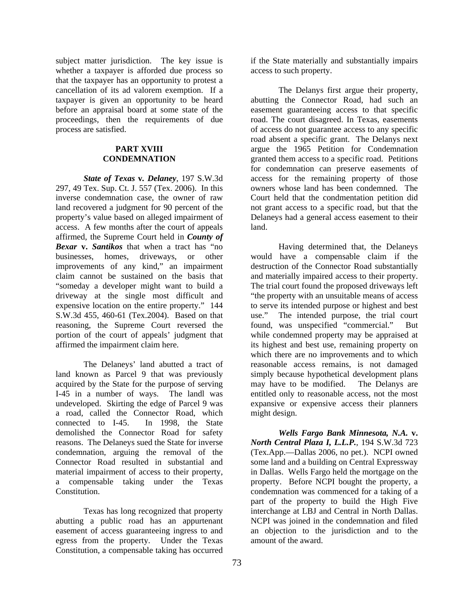subject matter jurisdiction. The key issue is whether a taxpayer is afforded due process so that the taxpayer has an opportunity to protest a cancellation of its ad valorem exemption. If a taxpayer is given an opportunity to be heard before an appraisal board at some state of the proceedings, then the requirements of due process are satisfied.

## **PART XVIII CONDEMNATION**

*State of Texas* **v***. Delaney*, 197 S.W.3d 297, 49 Tex. Sup. Ct. J. 557 (Tex. 2006). In this inverse condemnation case, the owner of raw land recovered a judgment for 90 percent of the property's value based on alleged impairment of access. A few months after the court of appeals affirmed, the Supreme Court held in *County of Bexar* **v.** *Santikos* that when a tract has "no businesses, homes, driveways, or other improvements of any kind," an impairment claim cannot be sustained on the basis that "someday a developer might want to build a driveway at the single most difficult and expensive location on the entire property." 144 S.W.3d 455, 460-61 (Tex.2004). Based on that reasoning, the Supreme Court reversed the portion of the court of appeals' judgment that affirmed the impairment claim here.

 The Delaneys' land abutted a tract of land known as Parcel 9 that was previously acquired by the State for the purpose of serving I-45 in a number of ways. The landl was undeveloped. Skirting the edge of Parcel 9 was a road, called the Connector Road, which connected to I-45. In 1998, the State demolished the Connector Road for safety reasons. The Delaneys sued the State for inverse condemnation, arguing the removal of the Connector Road resulted in substantial and material impairment of access to their property, a compensable taking under the Texas Constitution.

 Texas has long recognized that property abutting a public road has an appurtenant easement of access guaranteeing ingress to and egress from the property. Under the Texas Constitution, a compensable taking has occurred

if the State materially and substantially impairs access to such property.

 The Delanys first argue their property, abutting the Connector Road, had such an easement guaranteeing access to that specific road. The court disagreed. In Texas, easements of access do not guarantee access to any specific road absent a specific grant. The Delanys next argue the 1965 Petition for Condemnation granted them access to a specific road. Petitions for condemnation can preserve easements of access for the remaining property of those owners whose land has been condemned. The Court held that the condmentation petition did not grant access to a specific road, but that the Delaneys had a general access easement to their land.

 Having determined that, the Delaneys would have a compensable claim if the destruction of the Connector Road substantially and materially impaired access to their property. The trial court found the proposed driveways left "the property with an unsuitable means of access to serve its intended purpose or highest and best use." The intended purpose, the trial court found, was unspecified "commercial." But while condemned property may be appraised at its highest and best use, remaining property on which there are no improvements and to which reasonable access remains, is not damaged simply because hypothetical development plans may have to be modified. The Delanys are entitled only to reasonable access, not the most expansive or expensive access their planners might design.

*Wells Fargo Bank Minnesota, N.A.* **v.** *North Central Plaza I, L.L.P.*, 194 S.W.3d 723 (Tex.App.—Dallas 2006, no pet.). NCPI owned some land and a building on Central Expressway in Dallas. Wells Fargo held the mortgage on the property. Before NCPI bought the property, a condemnation was commenced for a taking of a part of the property to build the High Five interchange at LBJ and Central in North Dallas. NCPI was joined in the condemnation and filed an objection to the jurisdiction and to the amount of the award.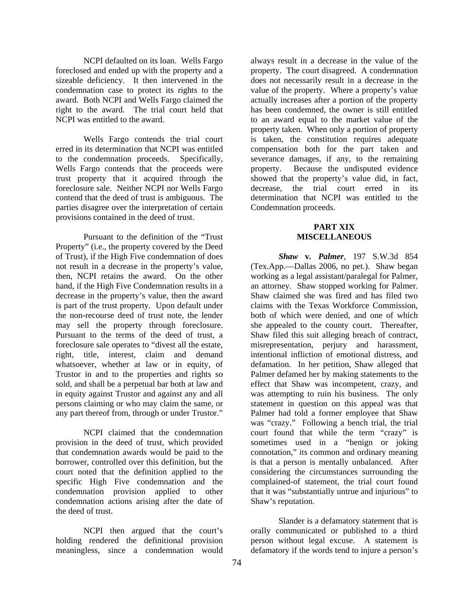NCPI defaulted on its loan. Wells Fargo foreclosed and ended up with the property and a sizeable deficiency. It then intervened in the condemnation case to protect its rights to the award. Both NCPI and Wells Fargo claimed the right to the award. The trial court held that NCPI was entitled to the award.

 Wells Fargo contends the trial court erred in its determination that NCPI was entitled to the condemnation proceeds. Specifically, Wells Fargo contends that the proceeds were trust property that it acquired through the foreclosure sale. Neither NCPI nor Wells Fargo contend that the deed of trust is ambiguous. The parties disagree over the interpretation of certain provisions contained in the deed of trust.

 Pursuant to the definition of the "Trust Property" (i.e., the property covered by the Deed of Trust), if the High Five condemnation of does not result in a decrease in the property's value, then, NCPI retains the award. On the other hand, if the High Five Condemnation results in a decrease in the property's value, then the award is part of the trust property. Upon default under the non-recourse deed of trust note, the lender may sell the property through foreclosure. Pursuant to the terms of the deed of trust, a foreclosure sale operates to "divest all the estate, right, title, interest, claim and demand whatsoever, whether at law or in equity, of Trustor in and to the properties and rights so sold, and shall be a perpetual bar both at law and in equity against Trustor and against any and all persons claiming or who may claim the same, or any part thereof from, through or under Trustor."

 NCPI claimed that the condemnation provision in the deed of trust, which provided that condemnation awards would be paid to the borrower, controlled over this definition, but the court noted that the definition applied to the specific High Five condemnation and the condemnation provision applied to other condemnation actions arising after the date of the deed of trust.

 NCPI then argued that the court's holding rendered the definitional provision meaningless, since a condemnation would

always result in a decrease in the value of the property. The court disagreed. A condemnation does not necessarily result in a decrease in the value of the property. Where a property's value actually increases after a portion of the property has been condemned, the owner is still entitled to an award equal to the market value of the property taken. When only a portion of property is taken, the constitution requires adequate compensation both for the part taken and severance damages, if any, to the remaining property. Because the undisputed evidence showed that the property's value did, in fact, decrease, the trial court erred in its determination that NCPI was entitled to the Condemnation proceeds.

## **PART XIX MISCELLANEOUS**

*Shaw* **v***. Palmer*, 197 S.W.3d 854 (Tex.App.—Dallas 2006, no pet.). Shaw began working as a legal assistant/paralegal for Palmer, an attorney. Shaw stopped working for Palmer. Shaw claimed she was fired and has filed two claims with the Texas Workforce Commission, both of which were denied, and one of which she appealed to the county court. Thereafter, Shaw filed this suit alleging breach of contract, misrepresentation, perjury and harassment, intentional infliction of emotional distress, and defamation. In her petition, Shaw alleged that Palmer defamed her by making statements to the effect that Shaw was incompetent, crazy, and was attempting to ruin his business. The only statement in question on this appeal was that Palmer had told a former employee that Shaw was "crazy." Following a bench trial, the trial court found that while the term "crazy" is sometimes used in a "benign or joking connotation," its common and ordinary meaning is that a person is mentally unbalanced. After considering the circumstances surrounding the complained-of statement, the trial court found that it was "substantially untrue and injurious" to Shaw's reputation.

 Slander is a defamatory statement that is orally communicated or published to a third person without legal excuse. A statement is defamatory if the words tend to injure a person's